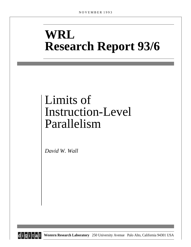# **WRL Research Report 93/6**

# Limits of Instruction-Level Parallelism

*David W. Wall*



**d i g i t a l Western Research Laboratory** 250 University Avenue Palo Alto, California 94301 USA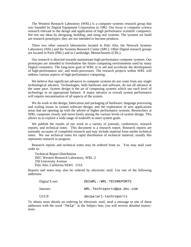The Western Research Laboratory (WRL) is a computer systems research group that was founded by Digital Equipment Corporation in 1982. Our focus is computer science research relevant to the design and application of high performance scientific computers. We test our ideas by designing, building, and using real systems. The systems we build are research prototypes; they are not intended to become products.

There two other research laboratories located in Palo Alto, the Network Systems Laboratory (NSL) and the Systems Research Center (SRC). Other Digital research groups are located in Paris (PRL) and in Cambridge, Massachusetts (CRL).

Our research is directed towards mainstream high-performance computer systems. Our prototypes are intended to foreshadow the future computing environments used by many Digital customers. The long-term goal of WRL is to aid and accelerate the development of high-performance uni- and multi-processors. The research projects within WRL will address various aspects of high-performance computing.

We believe that significant advances in computer systems do not come from any single technological advance. Technologies, both hardware and software, do not all advance at the same pace. System design is the art of composing systems which use each level of technology in an appropriate balance. A major advance in overall system performance will require reexamination of all aspects of the system.

We do work in the design, fabrication and packaging of hardware; language processing and scaling issues in system software design; and the exploration of new applications areas that are opening up with the advent of higher performance systems. Researchers at WRL cooperate closely and move freely among the various levels of system design. This allows us to explore a wide range of tradeoffs to meet system goals.

We publish the results of our work in a variety of journals, conferences, research reports, and technical notes. This document is a research report. Research reports are normally accounts of completed research and may include material from earlier technical notes. We use technical notes for rapid distribution of technical material; usually this represents research in progress.

Research reports and technical notes may be ordered from us. You may mail your order to:

Technical Report Distribution DEC Western Research Laboratory, WRL-2 250 University Avenue Palo Alto, California 94301 USA

Reports and notes may also be ordered by electronic mail. Use one of the following addresses:

| Digital E-net: | DECWRL::WRL-TECHREPORTS    |
|----------------|----------------------------|
| Internet:      | WRL-Techreports@pa.dec.com |
| UUCP:          | decpa!wrl-techreports      |

To obtain more details on ordering by electronic mail, send a message to one of these addresses with the word ''help'' in the Subject line; you will receive detailed instructions.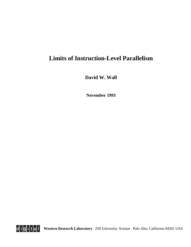# **Limits of Instruction-Level Parallelism**

**David W. Wall**

**November 1993**

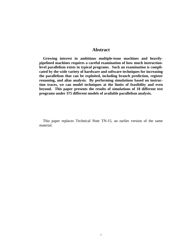# **Abstract**

**Growing interest in ambitious multiple-issue machines and heavilypipelined machines requires a careful examination of how much instructionlevel parallelism exists in typical programs. Such an examination is complicated by the wide variety of hardware and software techniques for increasing the parallelism that can be exploited, including branch prediction, register renaming, and alias analysis. By performing simulations based on instruction traces, we can model techniques at the limits of feasibility and even beyond. This paper presents the results of simulations of 18 different test programs under 375 different models of available parallelism analysis.**

This paper replaces Technical Note TN-15, an earlier version of the same material.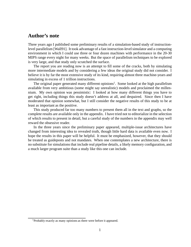# **Author's note**

Three years ago I published some preliminary results of a simulation-based study of instructionlevel parallelism [Wall91]. It took advantage of a fast instruction-level simulator and a computing environment in which I could use three or four dozen machines with performance in the 20-30 MIPS range every night for many weeks. But the space of parallelism techniques to be explored is very large, and that study only scratched the surface.

The report you are reading now is an attempt to fill some of the cracks, both by simulating more intermediate models and by considering a few ideas the original study did not consider. I believe it is by far the most extensive study of its kind, requiring almost three machine-years and simulating in excess of 1 trillion instructions.

The original paper generated many different opinions<sup>1</sup>. Some looked at the high parallelism available from very ambitious (some might say unrealistic) models and proclaimed the millennium. My own opinion was pessimistic: I looked at how many different things you have to get right, including things this study doesn't address at all, and despaired. Since then I have moderated that opinion somewhat, but I still consider the negative results of this study to be at least as important as the positive.

This study produced far too many numbers to present them all in the text and graphs, so the complete results are available only in the appendix. I have tried not to editorialize in the selection of which results to present in detail, but a careful study of the numbers in the appendix may well reward the obsessive reader.

In the three years since the preliminary paper appeared, multiple-issue architectures have changed from interesting idea to revealed truth, though little hard data is available even now. I hope the results in this paper will be helpful. It must be emphasized, however, that they should be treated as guideposts and not mandates. When one contemplates a new architecture, there is no substitute for simulations that include real pipeline details, a likely memory configuration, and a much larger program suite than a study like this one can include.

<sup>&</sup>lt;sup>1</sup>Probably exactly as many opinions as there were before it appeared.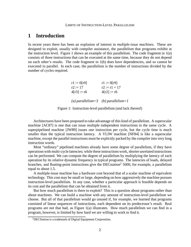# **1 Introduction**

In recent years there has been an explosion of interest in *multiple-issue machines*. These are designed to exploit, usually with compiler assistance, the parallelism that programs exhibit at the instruction level. Figure 1 shows an example of this parallelism. The code fragment in  $1(a)$ consists of three instructions that can be executed at the same time, because they do not depend on each other's results. The code fragment in 1(b) does have dependencies, and so cannot be executed in parallel. In each case, the parallelism is the number of instructions divided by the number of cycles required.

| $r1 := 0[r9]$                       | $r1 := 0[r9]$   |
|-------------------------------------|-----------------|
| $r2 := 17$                          | $r2 := r1 + 17$ |
| $4[r3] := r6$                       | $4[r2] := r6$   |
| (a) parallelism=3 (b) parallelism=1 |                 |

Figure 1: Instruction-level parallelism (and lack thereof)

Architectures have been proposed to take advantage of this kind of parallelism. A superscalar machine [AC87] is one that can issue multiple independent instructions in the same cycle. A superpipelined machine [JW89] issues one instruction per cycle, but the cycle time is much smaller than the typical instruction latency. A VLIW machine [NF84] is like a superscalar machine, except the parallel instructions must be explicitly packed by the compiler into very long instruction words.

Most "ordinary" pipelined machines already have some degree of parallelism, if they have operations with multi-cycle latencies; while these instructions work, shorter unrelated instructions can be performed. We can compute the degree of parallelism by multiplying the latency of each operation by its relative dynamic frequency in typical programs. The latencies of loads, delayed branches, and floating-point instructions give the DECstation<sup>2</sup> 5000, for example, a parallelism equal to about 1.5.

A multiple-issue machine has a hardware cost beyond that of a scalar machine of equivalent technology. This cost may be small or large, depending on how aggressively the machine pursues instruction-level parallelism. In any case, whether a particular approach is feasible depends on its cost and the parallelism that can be obtained from it.

But how much parallelism is there to exploit? This is a question about programs rather than about machines. We can build a machine with any amount of instruction-level parallelism we choose. But all of that parallelism would go unused if, for example, we learned that programs consisted of linear sequences of instructions, each dependent on its predecessor's result. Real programs are not that bad, as Figure  $1(a)$  illustrates. How much parallelism we can find in a program, however, is limited by how hard we are willing to work to find it.

<sup>2</sup>DECStation is a trademark of Digital Equipment Corporation.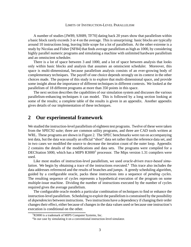A number of studies [JW89, SJH89, TF70] dating back 20 years show that parallelism within a basic block rarely exceeds 3 or 4 on the average. This is unsurprising: basic blocks are typically around 10 instructions long, leaving little scope for a lot of parallelism. At the other extreme is a study by Nicolau and Fisher [NF84] that finds average parallelism as high as 1000, by considering highly parallel numeric programs and simulating a machine with unlimited hardware parallelism and an omniscient scheduler.

There is a lot of space between 3 and 1000, and a lot of space between analysis that looks only within basic blocks and analysis that assumes an omniscient scheduler. Moreover, this space is multi-dimensional, because parallelism analysis consists of an ever-growing body of complementary techniques. The payoff of one choice depends strongly on its context in the other choices made. The purpose of this study is to explore that multi-dimensional space, and provide some insight about the importance of different techniques in different contexts. We looked at the parallelism of 18 different programs at more than 350 points in this space.

The next section describes the capabilities of our simulation system and discusses the various parallelism-enhancing techniques it can model. This is followed by a long section looking at some of the results; a complete table of the results is given in an appendix. Another appendix gives details of our implementation of these techniques.

# **2 Our experimental framework**

We studied the instruction-level parallelism of eighteen test programs. Twelve of these were taken from the SPEC92 suite; three are common utility programs, and three are CAD tools written at WRL. These programs are shown in Figure 2. The SPEC benchmarks were run on accompanying test data, but the data was usually an official "short" data set rather than the reference data set, and in two cases we modified the source to decrease the iteration count of the outer loop. Appendix 2 contains the details of the modifications and data sets. The programs were compiled for a DECStation 5000, which has a MIPS  $R3000<sup>3</sup>$  processor. The Mips version 1.31 compilers were used.

Like most studies of instruction-level parallelism, we used *oracle-driven trace-based simulation*. We begin by obtaining a trace of the instructions executed.<sup>4</sup> This trace also includes the data addresses referenced and the results of branches and jumps. A greedy scheduling algorithm, guided by a configurable oracle, packs these instructions into a sequence of *pending cycles*. The resulting sequence of cycles represents a hypothetical execution of the program on some multiple-issue machine. Dividing the number of instructions executed by the number of cycles required gives the average parallelism.

The configurable oracle models a particular combination of techniques to find or enhance the instruction-level parallelism. Scheduling to exploit the parallelism is constrained by the possibility of *dependencies* between instructions. Two instructions have a dependency if changing their order changes their effect, either because of changes in the data values used or because one instruction's execution is conditional on the other.

 $3R3000$  is a trademark of MIPS Computer Systems, Inc.

<sup>&</sup>lt;sup>4</sup>In our case by simulating it on a conventional instruction-level simulator.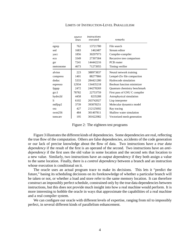|           | source<br>lines | instructions<br>executed | remarks                      |
|-----------|-----------------|--------------------------|------------------------------|
| egrep     | 762             | 13721780                 | File search                  |
| sed       | 1683            | 1462487                  | Stream editor                |
| yacc      | 1856            | 30297973                 | Compiler-compiler            |
| eco       | 3349            | 27397304                 | Recursive tree comparison    |
| grr       | 7241            | 144442216                | PCB router                   |
| metronome | 4673            | 71273955                 | Timing verifier              |
| alvinn    | 223             | 388973837                | Neural network training      |
| compress  | 1401            | 88277866                 | Lempel-Ziv file compaction   |
| doduc     | 5333            | 284421280                | Hydrocode simulation         |
| espresso  | 12934           | 134435218                | Boolean function minimizer   |
| fpppp     | 2472            | 244278269                | Quantum chemistry benchmark  |
| $\gcd$    | 78782           | 22753759                 | First pass of GNU C compiler |
| hydro2d   | 4458            | 8235288                  | Astrophysical simulation     |
| 1i        | 6102            | 263742027                | Lisp interpreter             |
| mdljsp2   | 3739            | 393078251                | Molecular dynamics model     |
| ora       | 427             | 212125692                | Ray tracing                  |
| swm $256$ | 484             | 301407811                | Shallow water simulation     |
| tomcaty   | 195             | 301622982                | Vectorized mesh generation   |

Figure 2: The eighteen test programs

Figure 3 illustrates the different kinds of dependencies. Some dependencies are real, reflecting the true flow of the computation. Others are false dependencies, accidents of the code generation or our lack of precise knowledge about the flow of data. Two instructions have a *true data dependency* if the result of the first is an operand of the second. Two instructions have an *antidependency* if the first uses the old value in some location and the second sets that location to a new value. Similarly, two instructions have an *output dependency* if they both assign a value to the same location. Finally, there is a *control dependency* between a branch and an instruction whose execution is conditional on it.

The oracle uses an actual program trace to make its decisions. This lets it "predict the future," basing its scheduling decisions on its foreknowledge of whether a particular branch will be taken or not, or whether a load and store refer to the same memory location. It can therefore construct an impossibly perfect schedule, constrained only by the true data dependencies between instructions, but this does not provide much insight into how a real machine would perform. It is more interesting to hobble the oracle in ways that approximate the capabilities of a real machine and a real compiler system.

We can configure our oracle with different levels of expertise, ranging from nil to impossibly perfect, in several different kinds of parallelism enhancement.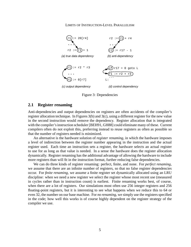

Figure 3: Dependencies

# **2.1 Register renaming**

Anti-dependencies and output dependencies on registers are often accidents of the compiler's register allocation technique. In Figures  $3(b)$  and  $3(c)$ , using a different register for the new value in the second instruction would remove the dependency. Register allocation that is integrated with the compiler's instruction scheduler [BEH91, GH88] could eliminate many of these. Current compilers often do not exploit this, preferring instead to reuse registers as often as possible so that the number of registers needed is minimized.

An alternative is the hardware solution of *register renaming*, in which the hardware imposes a level of indirection between the register number appearing in the instruction and the actual register used. Each time an instruction sets a register, the hardware selects an actual register to use for as long as that value is needed. In a sense the hardware does the register allocation dynamically. Register renaming has the additional advantage of allowing the hardware to include more registers than will fit in the instruction format, further reducing false dependencies.

We can do three kinds of register renaming: perfect, finite, and none. For *perfect renaming*, we assume that there are an infinite number of registers, so that no false register dependencies occur. For *finite renaming*, we assume a finite register set dynamically allocated using an LRU discipline: when we need a new register we select the register whose most recent use (measured in cycles rather than in instruction count) is earliest. Finite renaming works best, of course, when there are a lot of registers. Our simulations most often use 256 integer registers and 256 floating-point registers, but it is interesting to see what happens when we reduce this to 64 or even 32, the number on our base machine. For *no renaming*, we simply use the registers specified in the code; how well this works is of course highly dependent on the register strategy of the compiler we use.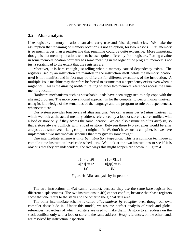## **2.2 Alias analysis**

Like registers, memory locations can also carry true and false dependencies. We make the assumption that renaming of memory locations is not an option, for two reasons. First, memory is so much larger than a register file that renaming could be quite expensive. More important, though, is that memory locations tend to be used quite differently from registers. Putting a value in some memory location normally has some meaning in the logic of the program; memory is not just a scratchpad to the extent that the registers are.

Moreover, it is hard enough just telling when a memory-carried dependency exists. The registers used by an instruction are manifest in the instruction itself, while the memory location used is not manifest and in fact may be different for different executions of the instruction. A multiple-issue machine may therefore be forced to assume that a dependency exists even when it might not. This is the *aliasing problem*: telling whether two memory references access the same memory location.

Hardware mechanisms such as squashable loads have been suggested to help cope with the aliasing problem. The more conventional approach is for the compiler to perform *alias analysis*, using its knowledge of the semantics of the language and the program to rule out dependencies whenever it can.

Our system provides four levels of alias analysis. We can assume *perfect alias analysis*, in which we look at the actual memory address referenced by a load or store; a store conflicts with a load or store only if they access the same location. We can also assume *no alias analysis*, so that a store always conflicts with a load or store. Between these two extremes would be alias analysis as a smart vectorizing compiler might do it. We don't have such a compiler, but we have implemented two intermediate schemes that may give us some insight.

One intermediate scheme is *alias by instruction inspection*. This is a common technique in compile-time instruction-level code schedulers. We look at the two instructions to see if it is obvious that they are independent; the two ways this might happen are shown in Figure 4.

| $r1 := 0[r9]$ | $r1 := 0[fp]$ |
|---------------|---------------|
| $4[r9] := r2$ | $0[gp] := r2$ |
| (a)           | (b)           |

Figure 4: Alias analysis by inspection

The two instructions in 4(a) cannot conflict, because they use the same base register but different displacements. The two instructions in 4(b) cannot conflict, because their base registers show that one refers to the stack and the other to the global data area.

The other intermediate scheme is called *alias analysis by compiler* even though our own compiler doesn't do it. Under this model, we assume perfect analysis of stack and global references, regardless of which registers are used to make them. A store to an address on the stack conflicts only with a load or store to the same address. Heap references, on the other hand, are resolved by instruction inspection.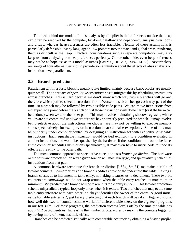The idea behind our model of alias analysis by compiler is that references outside the heap can often be resolved by the compiler, by doing dataflow and dependency analysis over loops and arrays, whereas heap references are often less tractable. Neither of these assumptions is particularly defensible. Many languages allow pointers into the stack and global areas, rendering them as difficult as the heap. Practical considerations such as separate compilation may also keep us from analyzing non-heap references perfectly. On the other side, even heap references may not be as hopeless as this model assumes [CWZ90, HHN92, JM82, LH88]. Nevertheless, our range of four alternatives should provide some intuition about the effects of alias analysis on instruction-level parallelism.

## **2.3 Branch prediction**

Parallelism within a basic block is usually quite limited, mainly because basic blocks are usually quite small. The approach of*speculative execution* tries to mitigate this by scheduling instructions across branches. This is hard because we don't know which way future branches will go and therefore which path to select instructions from. Worse, most branches go each way part of the time, so a branch may be followed by two possible code paths. We can move instructions from either path to a point before the branch only if those instructions will do no harm (or if the harm can be undone) when we take the other path. This may involve maintaining shadow registers, whose values are not committed until we are sure we have correctly predicted the branch. It may involve being selective about the instructions we choose: we may not be willing to execute memory stores speculatively, for example, or instructions that can raise exceptions. Some of this may be put partly under compiler control by designing an instruction set with explicitly squashable instructions. Each squashable instruction would be tied explicitly to a condition evaluated in another instruction, and would be squashed by the hardware if the condition turns out to be false. If the compiler schedules instructions speculatively, it may even have to insert code to undo its effects at the entry to the other path.

The most common approach to speculative execution uses *branch prediction*. The hardware or the software predicts which way a given branch will most likely go, and speculatively schedules instructions from that path.

A common hardware technique for branch prediction [LS84, Smi81] maintains a table of two-bit counters. Low-order bits of a branch's address provide the index into this table. Taking a branch causes us to increment its table entry; not taking it causes us to decrement. These two-bit counters are *saturating*: we do not wrap around when the table entry reaches its maximum or minimum. We predict that a branch will be taken if its table entry is 2 or 3. This two-bit prediction scheme mispredicts a typical loop only once, when it is exited. Two branches that map to the same table entry interfere with each other; no "key" identifies the owner of the entry. A good initial value for table entries is 2, just barely predicting that each branch will be taken. Figure 5 shows how well this two-bit counter scheme works for different table sizes, on the eighteen programs in our test suite. For most programs, the prediction success levels off by the time the table has about 512 two-bit entries. Increasing the number of bits, either by making the counters bigger or by having more of them, has little effect.

Branches can be predicted statically with comparable accuracy by obtaining a *branch profile*,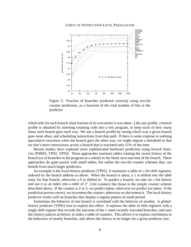

LIMITS OF INSTRUCTION-LEVEL PARALLELISM

Figure 5: Fraction of branches predicted correctly using two-bit counter prediction, as a function of the total number of bits in the predictor

which tells for each branch what fraction of its executions it was taken. Like any profile, a branch profile is obtained by inserting counting code into a test program, to keep track of how many times each branch goes each way. We use a branch profile by seeing which way a given branch goes most often, and scheduling instructions from that path. If there is some expense in undoing speculative execution when the branch goes the other way, we might impose a threshold so that we don't move instructions across a branch that is executed only 51% of the time.

Recent studies have explored more sophisticated hardware prediction using *branch histories* [PSR92, YP92, YP93]. These approaches maintain tables relating the recent history of the branch (or of branches in the program as a whole) to the likely next outcome of the branch. These approaches do quite poorly with small tables, but unlike the two-bit counter schemes they can benefit from much larger predictors.

An example is the *local-history* predictor [YP92]. It maintains a table of <sup>n</sup>-bit shift registers, indexed by the branch address as above. When the branch is taken, a 1 is shifted into the table entry for that branch; otherwise a 0 is shifted in. To predict a branch, we take its  $n$ -bit history and use it as an index into a table of  $2<sup>n</sup>$  2-bit counters like those in the simple counter scheme described above. If the counter is 2 or 3, we predict taken; otherwise we predict not taken. If the prediction proves correct, we increment the counter; otherwise we decrement it. The local-history predictor works well on branches that display a regular pattern of small period.

Sometimes the behavior of one branch is correlated with the behavior of another. A *globalhistory* predictor [YP92] tries to exploit this effect. It replaces the table of shift registers with a single shift register that records the outcome of the  $n$  most recently executed branches, and uses this history pattern as before, to index a table of counters. This allows it to exploit correlations in the behaviors of nearby branches, and allows the history to be longer for a given predictor size.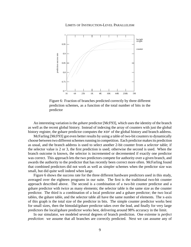

Figure 6: Fraction of branches predicted correctly by three different prediction schemes, as a function of the total number of bits in the predictor

An interesting variation is the *gshare* predictor [McF93], which uses the identity of the branch as well as the recent global history. Instead of indexing the array of counters with just the global history register, the gshare predictor computes the xor of the global history and branch address.

McFarling [McF93] got even better results by using a table of two-bit counters to dynamically choose between two different schemes running in competition. Each predictor makes its prediction as usual, and the branch address is used to select another 2-bit counter from a *selector* table; if the selector value is 2 or 3, the first prediction is used; otherwise the second is used. When the branch outcome is known, the selector is incremented or decremented if exactly one predictor was correct. This approach lets the two predictors compete for authority over a given branch, and awards the authority to the predictor that has recently been correct more often. McFarling found that combined predictors did not work as well as simpler schemes when the predictor size was small, but did quite well indeed when large.

Figure 6 shows the success rate for the three different hardware predictors used in this study, averaged over the eighteen programs in our suite. The first is the traditional two-bit counter approach described above. The second is a combination of a two-bit counter predictor and a gshare predictor with twice as many elements; the selector table is the same size as the counter predictor. The third is a combination of a local predictor and a gshare predictor; the two local tables, the gshare table, and the selector table all have the same number of elements. The x-axis of this graph is the total size of the predictor in bits. The simple counter predictor works best for small sizes, then the bimodal/gshare predictor takes over the lead, and finally for very large predictors the local/gshare predictor works best, delivering around 98% accuracy in the limit.

In our simulator, we modeled several degrees of branch prediction. One extreme is *perfect prediction*: we assume that all branches are correctly predicted. Next we can assume any of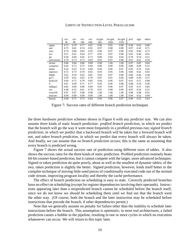|               | ctrs | ctrs | ctrs | ctrs | ctr/gsh | loc/gsh | loc/gsh | prof | sign | taken |
|---------------|------|------|------|------|---------|---------|---------|------|------|-------|
|               | 4b   | 8b   | 16b  | 64b  | 2kb     | 16kb    | 152k    |      |      |       |
| egrep         | 0.75 | 0.78 | 0.77 | 0.87 | 0.90    | 0.95    | 0.98    | 0.90 | 0.65 | 0.80  |
| sed           | 0.75 | 0.81 | 0.74 | 0.92 | 0.97    | 0.98    | 0.98    | 0.97 | 0.42 | 0.71  |
| yacc          | 0.74 | 0.80 | 0.83 | 0.92 | 0.96    | 0.97    | 0.98    | 0.92 | 0.60 | 0.73  |
| eco           | 0.57 | 0.61 | 0.64 | 0.77 | 0.95    | 0.97    | 0.98    | 0.91 | 0.46 | 0.61  |
| grr           | 0.58 | 0.60 | 0.65 | 0.73 | 0.89    | 0.92    | 0.94    | 0.78 | 0.54 | 0.51  |
| metronome     | 0.70 | 0.73 | 0.73 | 0.83 | 0.95    | 0.97    | 0.98    | 0.91 | 0.61 | 0.54  |
| alvinn        | 0.86 | 0.84 | 0.86 | 0.89 | 0.98    | 1.00    | 1.00    | 0.97 | 0.85 | 0.84  |
| compress      | 0.64 | 0.73 | 0.75 | 0.84 | 0.89    | 0.90    | 0.90    | 0.86 | 0.69 | 0.55  |
| doduc         | 0.54 | 0.53 | 0.74 | 0.84 | 0.94    | 0.96    | 0.97    | 0.95 | 0.76 | 0.45  |
| espresso      | 0.72 | 0.73 | 0.78 | 0.82 | 0.93    | 0.95    | 0.96    | 0.86 | 0.62 | 0.63  |
| fpppp         | 0.62 | 0.59 | 0.65 | 0.81 | 0.93    | 0.97    | 0.98    | 0.86 | 0.46 | 0.58  |
| $_{\rm gcc1}$ | 0.59 | 0.61 | 0.63 | 0.70 | 0.87    | 0.91    | 0.94    | 0.88 | 0.50 | 0.57  |
| hydro2d       | 0.69 | 0.75 | 0.79 | 0.85 | 0.94    | 0.96    | 0.97    | 0.91 | 0.51 | 0.68  |
| li            | 0.61 | 0.69 | 0.71 | 0.77 | 0.95    | 0.96    | 0.98    | 0.88 | 0.54 | 0.46  |
| mdljsp2       | 0.82 | 0.84 | 0.86 | 0.94 | 0.95    | 0.96    | 0.97    | 0.92 | 0.31 | 0.83  |
| ora           | 0.48 | 0.55 | 0.61 | 0.79 | 0.91    | 0.98    | 0.99    | 0.87 | 0.54 | 0.51  |
| swm $256$     | 0.97 | 0.97 | 0.98 | 0.98 | 1.00    | 1.00    | 1.00    | 0.98 | 0.98 | 0.91  |
| tomcatv       | 0.99 | 0.99 | 0.99 | 0.99 | 1.00    | 1.00    | 1.00    | 0.99 | 0.62 | 0.99  |
| hmean         | 0.68 | 0.71 | 0.75 | 0.84 | 0.94    | 0.96    | 0.97    | 0.90 | 0.55 | 0.63  |

Figure 7: Success rates of different branch prediction techniques

the three *hardware prediction* schemes shown in Figure 6 with any predictor size. We can also assume three kinds of static branch prediction: *profiled branch prediction*, in which we predict that the branch will go the way it went most frequently in a profiled previous run; *signed branch prediction*, in which we predict that a backward branch will be taken but a forward branch will not, and *taken branch prediction*, in which we predict that every branch will always be taken. And finally, we can assume that *no branch prediction* occurs; this is the same as assuming that every branch is predicted wrong.

Figure 7 shows the actual success rate of prediction using different sizes of tables. It also shows the success rates for the three kinds of static prediction. Profiled prediction routinely beats 64-bit counter-based prediction, but it cannot compete with the larger, more advanced techniques. Signed or taken prediction do quite poorly, about as well as the smallest of dynamic tables; of the two, taken prediction is slightly the better. Signed prediction, however, lends itself better to the compiler technique of moving little-used pieces of conditionally executed code out of the normal code stream, improving program locality and thereby the cache performance.

The effect of branch prediction on scheduling is easy to state. Correctly predicted branches have no effect on scheduling (except for register dependencies involving their operands). Instructions appearing later than a mispredicted branch cannot be scheduled before the branch itself, since we do not know we *should* be scheduling them until we find out that the branch went the other way. (Of course, both the branch and the later instruction may be scheduled before instructions that precede the branch, if other dependencies permit.)

Note that we generally assume no penalty for failure other than the inability to schedule later instructions before the branch. This assumption is optimistic; in most real architectures, a failed prediction causes a bubble in the pipeline, resulting in one or more cycles in which no execution whatsoever can occur. We will return to this topic later.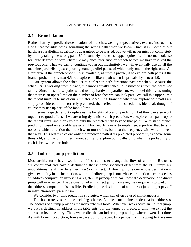## **2.4 Branch fanout**

Rather than try to predict the destinations of branches, we might speculatively execute instructions along *both* possible paths, squashing the wrong path when we know which it is. Some of our hardware parallelism capability is guaranteed to be wasted, but we will never miss out completely by blindly taking the wrong path. Unfortunately, branches happen quite often in normal code, so for large degrees of parallelism we may encounter another branch before we have resolved the previous one. Thus we cannot continue to fan out indefinitely: we will eventually use up all the machine parallelism just exploring many parallel paths, of which only one is the right one. An alternative if the branch *probability* is available, as from a profile, is to explore both paths if the branch probability is near 0.5 but explore the likely path when its probability is near 1.0.

Our system allows the scheduler to explore in both directions past branches. Because the scheduler is working from a trace, it cannot actually schedule instructions from the paths not taken. Since these false paths would use up hardware parallelism, we model this by assuming that there is an upper limit on the number of branches we can look past. We call this upper limit the *fanout limit*. In terms of our simulator scheduling, branches where we explore both paths are simply considered to be correctly predicted; their effect on the schedule is identical, though of course they use up part of the fanout limit.

In some respects fanout duplicates the benefits of branch prediction, but they can also work together to good effect. If we are using dynamic branch prediction, we explore both paths up to the fanout limit, and then explore only the predicted path beyond that point. With static branch prediction based on a profile we go still further. It is easy to implement a profiler that tells us not only which direction the branch went most often, but also the frequency with which it went that way. This lets us explore only the predicted path if its predicted probability is above some threshold, and use our limited fanout ability to explore both paths only when the probability of each is below the threshold.

# **2.5 Indirect-jump prediction**

Most architectures have two kinds of instructions to change the flow of control. Branches are conditional and have a destination that is some specified offset from the PC. Jumps are unconditional, and may be either *direct* or *indirect*. A direct jump is one whose destination is given explicitly in the instruction, while an indirect jump is one whose destination is expressed as an address computation involving a register. In principle we can know the destination of a direct jump well in advance. The destination of an indirect jump, however, may require us to wait until the address computation is possible. Predicting the destination of an indirect jump might pay off in instruction-level parallelism.

We consider two jump prediction strategies, which can often be used simultaneously.

The first strategy is a simple cacheing scheme. A table is maintained of destination addresses. The address of a jump provides the index into this table. Whenever we execute an indirect jump, we put its destination address in the table entry for the jump. To predict a jump, we extract the address in its table entry. Thus, we predict that an indirect jump will go where it went last time. As with branch prediction, however, we do not prevent two jumps from mapping to the same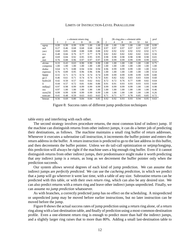|               | $n$ -element return ring |      |      |      | 2K-ring plus $n$ -element table |      |                | prof |      |      |      |      |      |
|---------------|--------------------------|------|------|------|---------------------------------|------|----------------|------|------|------|------|------|------|
|               | 1                        | 2    | 4    | 8    | 16                              | 2K   | $\overline{c}$ | 4    | 8    | 16   | 32   | 64   |      |
| egrep         | 0.99                     | 0.99 | 0.99 | 0.99 | 1.00                            | 1.00 | 1.00           | 1.00 | 1.00 | 1.00 | 1.00 | 1.00 | 0.99 |
| sed           | 0.27                     | 0.46 | 0.68 | 0.68 | 0.68                            | 0.68 | 0.97           | 0.97 | 0.97 | 0.97 | 0.97 | 0.97 | 0.97 |
| yacc          | 0.68                     | 0.85 | 0.88 | 0.88 | 0.88                            | 0.88 | 0.92           | 0.92 | 0.92 | 0.92 | 0.92 | 0.92 | 0.71 |
| eco           | 0.48                     | 0.66 | 0.76 | 0.77 | 0.77                            | 0.78 | 0.82           | 0.82 | 0.82 | 0.82 | 0.82 | 0.82 | 0.56 |
| grr           | 0.69                     | 0.84 | 0.92 | 0.95 | 0.95                            | 0.95 | 0.98           | 0.98 | 0.98 | 0.98 | 0.98 | 0.98 | 0.65 |
| met           | 0.76                     | 0.88 | 0.96 | 0.97 | 0.97                            | 0.97 | 0.99           | 0.99 | 0.99 | 0.99 | 0.99 | 0.99 | 0.65 |
| alvinn        | 0.33                     | 0.43 | 0.63 | 0.90 | 0.90                            | 0.90 | 1.00           | 1.00 | 1.00 | 1.00 | 1.00 | 1.00 | 0.75 |
| compress      | 1.00                     | 1.00 | 1.00 | 1.00 | 1.00                            | 1.00 | 1.00           | 1.00 | 1.00 | 1.00 | 1.00 | 1.00 | 1.00 |
| doduc         | 0.64                     | 0.75 | 0.88 | 0.94 | 0.94                            | 0.94 | 0.96           | 0.99 | 0.99 | 0.99 | 1.00 | 1.00 | 0.62 |
| espresso      | 0.76                     | 0.89 | 0.95 | 0.96 | 0.96                            | 0.96 | 1.00           | 1.00 | 1.00 | 1.00 | 1.00 | 1.00 | 0.54 |
| fpppp         | 0.55                     | 0.71 | 0.73 | 0.74 | 0.74                            | 0.74 | 0.99           | 0.99 | 0.99 | 0.99 | 0.99 | 0.99 | 0.80 |
| $_{\rm gcc1}$ | 0.46                     | 0.61 | 0.71 | 0.74 | 0.74                            | 0.74 | 0.81           | 0.82 | 0.82 | 0.83 | 0.83 | 0.84 | 0.60 |
| hydro2d       | 0.42                     | 0.50 | 0.57 | 0.61 | 0.62                            | 0.62 | 0.72           | 0.72 | 0.76 | 0.77 | 0.80 | 0.82 | 0.64 |
| 1i            | 0.44                     | 0.57 | 0.72 | 0.81 | 0.84                            | 0.86 | 0.91           | 0.91 | 0.93 | 0.93 | 0.93 | 0.93 | 0.69 |
| mdljsp2       | 0.97                     | 0.98 | 0.99 | 0.99 | 0.99                            | 0.99 | 0.99           | 0.99 | 0.99 | 0.99 | 1.00 | 1.00 | 0.98 |
| ora           | 0.97                     | 1.00 | 1.00 | 1.00 | 1.00                            | 1.00 | 1.00           | 1.00 | 1.00 | 1.00 | 1.00 | 1.00 | 0.46 |
| swm $256$     | 0.99                     | 0.99 | 0.99 | 0.99 | 0.99                            | 0.99 | 1.00           | 1.00 | 1.00 | 1.00 | 1.00 | 1.00 | 0.26 |
| tomcatv       | 0.41                     | 0.48 | 0.59 | 0.63 | 0.63                            | 0.63 | 0.71           | 0.71 | 0.77 | 0.78 | 0.85 | 0.85 | 0.72 |
| hmean         | 0.56                     | 0.69 | 0.80 | 0.84 | 0.84                            | 0.85 | 0.92           | 0.92 | 0.93 | 0.93 | 0.94 | 0.95 | 0.63 |

Figure 8: Success rates of different jump prediction techniques

table entry and interfering with each other.

The second strategy involves procedure returns, the most common kind of indirect jump. If the machine can distinguish returns from other indirect jumps, it can do a better job of predicting their destinations, as follows. The machine maintains a small ring buffer of return addresses. Whenever it executes a subroutine call instruction, it increments the buffer pointer and enters the return address in the buffer. A return instruction is predicted to go to the last address in this buffer, and then decrements the buffer pointer. Unless we do tail-call optimization or setjmp/longjmp, this prediction will always be right if the machine uses a big enough ring buffer. Even if it cannot distinguish returns from other indirect jumps, their predominance might make it worth predicting that *any* indirect jump is a return, as long as we decrement the buffer pointer only when the prediction succeeds.

Our system allows several degrees of each kind of jump prediction. We can assume that indirect jumps are *perfectly predicted*. We can use the *cacheing prediction*, in which we predict that a jump will go wherever it went last time, with a table of any size. Subroutine returns can be predicted with this table, or with their own *return ring*, which can also be any desired size. We can also predict returns with a return ring and leave other indirect jumps unpredicted. Finally, we can assume *no jump prediction* whatsoever.

As with branches, a correctly predicted jump has no effect on the scheduling. A mispredicted or unpredicted jump may be moved before earlier instructions, but no later instruction can be moved before the jump.

Figure 8 shows the actual success rates of jump prediction using a return ring alone, of a return ring along with a last-destination table, and finally of prediction using a most-common-destination profile. Even a one-element return ring is enough to predict more than half the indirect jumps, and a slightly larger ring raises that to more than 80%. Adding a small last-destination table to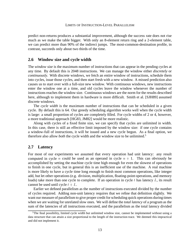predict non-returns produces a substantial improvement, although the success rate does not rise much as we make the table bigger. With only an 8-element return ring and a 2-element table, we can predict more than 90% of the indirect jumps. The most-common-destination profile, in contrast, succeeds only about two thirds of the time.

# **2.6 Window size and cycle width**

The *window size* is the maximum number of instructions that can appear in the pending cycles at any time. By default this is 2048 instructions. We can manage the window either *discretely* or *continuously*. With discrete windows, we fetch an entire window of instructions, schedule them into cycles, issue those cycles, and then start fresh with a new window. A missed prediction also causes us to start over with a full-size new window. With continuous windows, new instructions enter the window one at a time, and old cycles leave the window whenever the number of instructions reaches the window size. Continuous windows are the norm for the results described here, although to implement them in hardware is more difficult. Smith et al. [SJH89] assumed discrete windows.

The *cycle width* is the maximum number of instructions that can be scheduled in a given cycle. By default this is 64. Our greedy scheduling algorithm works well when the cycle width is large: a small proportion of cycles are completely filled. For cycle widths of 2 or 4, however, a more traditional approach [HG83, JM82] would be more realistic.

Along with cycles of a fixed finite size, we can specify that cycles are unlimited in width. In this case, there is still an effective limit imposed by the window size: if one cycle contains a window-full of instructions, it will be issued and a new cycle begun. As a final option, we therefore also allow *both* the cycle width and the window size to be unlimited.5

# **2.7 Latency**

For most of our experiments we assumed that every operation had unit latency: any result computed in cycle n could be used as an operand in cycle  $n + 1$ . This can obviously be accomplished by setting the machine cycle time high enough for even the slowest of operations to finish in one cycle, but in general this is an inefficient use of the machine. A real machine is more likely to have a cycle time long enough to finish most common operations, like integer add, but let other operations (e.g. division, multiplication, floating-point operations, and memory loads) take more than one cycle to complete. If an operation in cycle t has latency  $L$ , its result cannot be used until cycle  $t + L$ .

Earlier we defined parallelism as the number of instructions executed divided by the number of cycles required. Adding non-unit latency requires that we refine that definition slightly. We want our measure of parallelism to give proper credit for scheduling quick operations during times when we are waiting for unrelated slow ones. We will define the *total latency* of a program as the sum of the latencies of all instructions executed, and the parallelism as the total latency divided

<sup>&</sup>lt;sup>5</sup>The final possibility, limited cycle width but unlimited window size, cannot be implemented without using a data structure that can attain a size proportional to the length of the instruction trace. We deemed this impractical and did not implement it.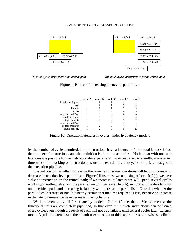



(a) multi-cycle instruction is on critical path (b) multi-cycle instruction is not on critical path

Figure 9: Effects of increasing latency on parallelism

| model A | model B | model C | model D | model E |
|---------|---------|---------|---------|---------|
|         |         |         |         |         |
|         |         |         |         |         |
|         |         |         |         |         |
|         |         |         |         |         |
|         |         |         |         |         |
|         |         |         |         |         |
|         |         |         |         |         |
|         |         |         |         |         |
|         |         |         |         |         |
|         |         |         |         |         |
|         |         |         |         |         |

Figure 10: Operation latencies in cycles, under five latency models

by the number of cycles required. If all instructions have a latency of 1, the total latency is just the number of instructions, and the definition is the same as before. Notice that with non-unit latencies it is possible for the instruction-level parallelism to exceed the cycle width; at any given time we can be working on instructions issued in several different cycles, at different stages in the execution pipeline.

It is not obvious whether increasing the latencies of some operations will tend to increase or decrease instruction-level parallelism. Figure 9 illustrates two opposing effects. In 9(a), we have a divide instruction on the critical path; if we increase its latency we will spend several cycles working on nothing else, and the parallelism will decrease. In 9(b), in contrast, the divide is *not* on the critical path, and increasing its latency will increase the parallelism. Note that whether the parallelism increases or not, it is nearly certain that the time required is less, because an increase in the latency means we have decreased the cycle time.

We implemented five different latency models. Figure 10 lists them. We assume that the functional units are completely pipelined, so that even multi-cycle instructions can be issued every cycle, even though the result of each will not be available until several cycles later. Latency model A (all unit latencies) is the default used throughout this paper unless otherwise specified.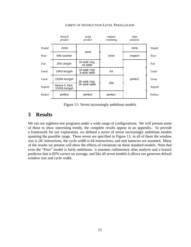

Figure 11: Seven increasingly ambitious models

# **3 Results**

We ran our eighteen test programs under a wide range of configurations. We will present some of these to show interesting trends; the complete results appear in an appendix. To provide a framework for our exploration, we defined a series of seven increasingly ambitious models spanning the possible range. These seven are specified in Figure 11; in all of them the window size is 2K instructions, the cycle width is 64 instructions, and unit latencies are assumed. Many of the results we present will show the effects of variations on these standard models. Note that even the "Poor" model is fairly ambitious: it assumes rudimentary alias analysis and a branch predictor that is 85% correct on average, and like all seven models it allows our generous default window size and cycle width.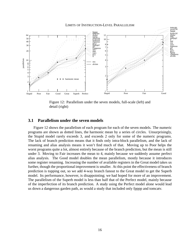

Figure 12: Parallelism under the seven models, full-scale (left) and detail (right)

# **3.1 Parallelism under the seven models**

Figure 12 shows the parallelism of each program for each of the seven models. The numeric programs are shown as dotted lines, the harmonic mean by a series of circles. Unsurprisingly, the Stupid model rarely exceeds 3, and exceeds 2 only for some of the numeric programs. The lack of branch prediction means that it finds only intra-block parallelism, and the lack of renaming and alias analysis means it won't find much of that. Moving up to Poor helps the worst programs quite a lot, almost entirely because of the branch prediction, but the mean is still under 3. Moving to Fair increases the mean to 4, mainly because we suddenly assume perfect alias analysis. The Good model doubles the mean parallelism, mostly because it introduces some register renaming. Increasing the number of available registers in the Great model takes us further, though the proportional improvement is smaller. At this point the effectiveness of branch prediction is topping out, so we add 4-way branch fanout to the Great model to get the Superb model. Its performance, however, is disappointing; we had hoped for more of an improvement. The parallelism of the Superb model is less than half that of the Perfect model, mainly because of the imperfection of its branch prediction. A study using the Perfect model alone would lead us down a dangerous garden path, as would a study that included only fpppp and tomcatv.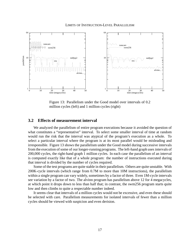

Figure 13: Parallelism under the Good model over intervals of 0.2 million cycles (left) and 1 million cycles (right)

# **3.2 Effects of measurement interval**

We analyzed the parallelism of entire program executions because it avoided the question of what constitutes a "representative" interval. To select some smaller interval of time at random would run the risk that the interval was atypical of the program's execution as a whole. To select a particular interval where the program is at its most parallel would be misleading and irresponsible. Figure 13 shows the parallelism under the Good model during successive intervals from the execution of some of our longer-running programs. The left-hand graph uses intervals of 200,000 cycles, the right-hand graph 1 million cycles. In each case the parallelism of an interval is computed exactly like that of a whole program: the number of instructions executed during that interval is divided by the number of cycles required.

Some of the test programs are quite stable in their parallelism. Others are quite unstable. With 200K-cycle intervals (which range from 0.7M to more than 10M instructions), the parallelism within a single program can vary widely, sometimes by a factor of three. Even 1M-cycle intervals see variation by a factor of two. The alvinn program has parallelism above 12 for 4 megacycles, at which point it drops down to less than half that; in contrast, the swm256 program starts quite low and then climbs to quite a respectable number indeed.

It seems clear that intervals of a million cycles would not be excessive, and even these should be selected with care. Parallelism measurements for isolated intervals of fewer than a million cycles should be viewed with suspicion and even derision.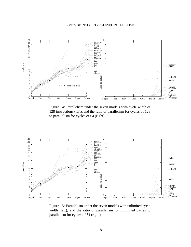

Figure 14: Parallelism under the seven models with cycle width of 128 instructions (left), and the ratio of parallelism for cycles of 128 to parallelism for cycles of 64 (right)



Figure 15: Parallelism under the seven models with unlimited cycle width (left), and the ratio of parallelism for unlimited cycles to parallelism for cycles of 64 (right)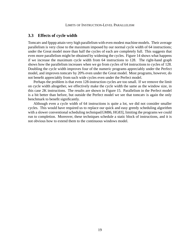## **3.3 Effects of cycle width**

Tomcatv and fpppp attain very high parallelism with even modest machine models. Their average parallelism is very close to the maximum imposed by our normal cycle width of 64 instructions; under the Great model more than half the cycles of each are completely full. This suggests that even more parallelism might be obtained by widening the cycles. Figure 14 shows what happens if we increase the maximum cycle width from 64 instructions to 128. The right-hand graph shows how the parallelism increases when we go from cycles of 64 instructions to cycles of 128. Doubling the cycle width improves four of the numeric programs appreciably under the Perfect model, and improves tomcatv by 20% even under the Great model. Most programs, however, do not benefit appreciably from such wide cycles even under the Perfect model.

Perhaps the problem is that even 128-instruction cycles are too small. If we remove the limit on cycle width altogether, we effectively make the cycle width the same as the window size, in this case 2K instructions. The results are shown in Figure 15. Parallelism in the Perfect model is a bit better than before, but outside the Perfect model we see that tomcatv is again the only benchmark to benefit significantly.

Although even a cycle width of 64 instructions is quite a lot, we did not consider smaller cycles. This would have required us to replace our quick and easy greedy scheduling algorithm with a slower conventional scheduling technique [GM86, HG83], limiting the programs we could run to completion. Moreover, these techniques schedule a static block of instructions, and it is not obvious how to extend them to the continuous windows model.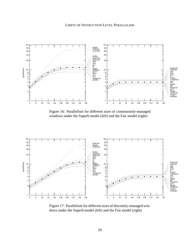

Figure 16: Parallelism for different sizes of continuously-managed windows under the Superb model (left) and the Fair model (right)



Figure 17: Parallelism for different sizes of discretely-managed windows under the Superb model (left) and the Fair model (right)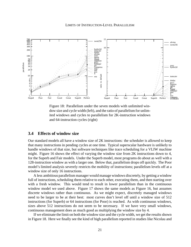

Figure 18: Parallelism under the seven models with unlimited window size and cycle width (left), and the ratio of parallelism for unlimited windows and cycles to parallelism for 2K-instruction windows and 64-instruction cycles (right)

## **3.4 Effects of window size**

Our standard models all have a window size of 2K instructions: the scheduler is allowed to keep that many instructions in pending cycles at one time. Typical superscalar hardware is unlikely to handle windows of that size, but software techniques like trace scheduling for a VLIW machine might. Figure 16 shows the effect of varying the window size from 2K instructions down to 4, for the Superb and Fair models. Under the Superb model, most programs do about as well with a 128-instruction window as with a larger one. Below that, parallelism drops off quickly. The Poor model's limited analysis severely restricts the mobility of instructions; parallelism levels off at a window size of only 16 instructions.

A less ambitious parallelism manager would manage windows discretely, by getting a window full of instructions, scheduling them relative to each other, executing them, and then starting over with a fresh window. This would tend to result in lower parallelism than in the continuous window model we used above. Figure 17 shows the same models as Figure 16, but assumes discrete windows rather than continuous. As we might expect, discretely managed windows need to be larger to be at their best: most curves don't level off until a window size of 512 instructions (for Superb) or 64 instructions (for Poor) is reached. As with continuous windows, sizes above 512 instructions do not seem to be necessary. If we have very small windows, continuous management does as much good as multiplying the window size by 4.

If we eliminate the limit on both the window size and the cycle width, we get the results shown in Figure 18. Here we finally see the kind of high parallelism reported in studies like Nicolau and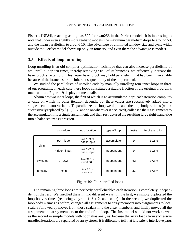Fisher's [NF84], reaching as high as 500 for swm256 in the Perfect model. It is interesting to note that under even slightly more realistic models, the maximum parallelism drops to around 50, and the mean parallelism to around 10. The advantage of unlimited window size and cycle width outside the Perfect model shows up only on tomcatv, and even there the advantage is modest.

# **3.5 Effects of loop unrolling**

Loop unrolling is an old compiler optimization technique that can also increase parallelism. If we unroll a loop ten times, thereby removing 90% of its branches, we effectively increase the basic block size tenfold. This larger basic block may hold parallelism that had been unavailable because of the branches or the inherent sequentiality of the loop control.

We studied the parallelism of unrolled code by manually unrolling four inner loops in three of our programs. In each case these loops constituted a sizable fraction of the original program's total runtime. Figure 19 displays some details.

Alvinn has two inner loops, the first of which is an accumulator loop: each iteration computes a value on which no other iteration depends, but these values are successively added into a single accumulator variable. To parallelize this loop we duplicated the loop body n times (with  $i$ successively replaced by  $i+1$ ,  $i+2$ , and so on wherever it occurred), collapsed the n assignments to the accumulator into a single assignment, and then restructured the resulting large right-hand-side into a balanced tree expression.

|         | procedure         | loop location                | type of loop | instrs | % of execution |
|---------|-------------------|------------------------------|--------------|--------|----------------|
|         | input_hidden      | line 109 of<br>backprop.c    | accumulator  | 14     | 39.5%          |
| alvinn  | hidden_input      | line $192$ of<br>backprop.c  | independent  | 14     | 39.5%          |
| swm256  | CALC <sub>2</sub> | line $325$ of<br>swm $256.f$ | independent  | 62     | 37.8%          |
| tomcaty | main              | line 86 of<br>tomcaty.f      | independent  | 258    | 67.6%          |

| Figure 19: Four unrolled loops |  |  |  |  |
|--------------------------------|--|--|--|--|
|--------------------------------|--|--|--|--|

The remaining three loops are perfectly parallelizable: each iteration is completely independent of the rest. We unrolled these in two different ways. In the first, we simply duplicated the loop body *n* times (replacing *i* by  $i + 1$ ,  $i + 2$ , and so on). In the second, we duplicated the loop body  $n$  times as before, changed all assignments to array members into assignments to local scalars followed by moves from those scalars into the array members, and finally moved all the assignments to array members to the end of the loop. The first model should not work as well as the second in simple models with poor alias analysis, because the array loads from successive unrolled iterations are separated by array stores; it is difficult to tell that it is safe to interleave parts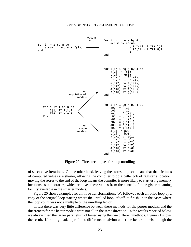

Figure 20: Three techniques for loop unrolling

of successive iterations. On the other hand, leaving the stores in place means that the lifetimes of computed values are shorter, allowing the compiler to do a better job of register allocation: moving the stores to the end of the loop means the compiler is more likely to start using memory locations as temporaries, which removes these values from the control of the register renaming facility available in the smarter models.

Figure 20 shows examples for all three transformations. We followed each unrolled loop by a copy of the original loop starting where the unrolled loop left off, to finish up in the cases where the loop count was not a multiple of the unrolling factor.

In fact there was very little difference between these methods for the poorer models, and the differences for the better models were not all in the same direction. In the results reported below, we always used the larger parallelism obtained using the two different methods. Figure 21 shows the result. Unrolling made a profound difference to alvinn under the better models, though the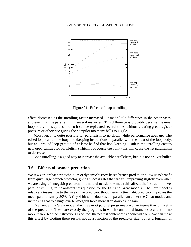



Figure 21: Effects of loop unrolling

effect decreased as the unrolling factor increased. It made little difference in the other cases, and even hurt the parallelism in several instances. This difference is probably because the inner loop of alvinn is quite short, so it can be replicated several times without creating great register pressure or otherwise giving the compiler too many balls to juggle.

Moreover, it is quite possible for parallelism to go down while performance goes up. The rolled loop can do the loop bookkeeping instructions in parallel with the meat of the loop body, but an unrolled loop gets rid of at least half of that bookkeeping. Unless the unrolling creates new opportunities for parallelism (which is of course the point) this will cause the net parallelism to decrease.

Loop unrolling is a good way to increase the available parallelism, but it is not a silver bullet.

## **3.6 Effects of branch prediction**

We saw earlier that new techniques of dynamic history-based branch prediction allow us to benefit from quite large branch predictor, giving success rates that are still improving slightly even when we are using a 1-megabit predictor. It is natural to ask how much this affects the instruction-level parallelism. Figure 22 answers this question for the Fair and Great models. The Fair model is relatively insensitive to the size of the predictor, though even a tiny 4-bit predictor improves the mean parallelism by 50%. A tiny 4-bit table doubles the parallelism under the Great model, and increasing that to a huge quarter-megabit table more than doubles it again.

Even under the Great model, the three most parallel programs are quite insensitive to the size of the predictor. These are exactly the programs in which conditional branches account for no more than 2% of the instructions executed; the nearest contender is doduc with 6%. We can mask this effect by plotting these results not as a function of the predictor size, but as a function of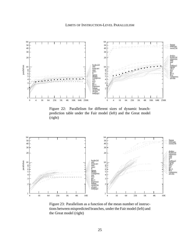

Figure 22: Parallelism for different sizes of dynamic branchprediction table under the Fair model (left) and the Great model (right)



Figure 23: Parallelism as a function of the mean number of instructions between mispredicted branches, under the Fair model (left) and the Great model (right)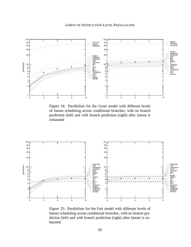

Figure 24: Parallelism for the Great model with different levels of fanout scheduling across conditional branches, with no branch prediction (left) and with branch prediction (right) after fanout is exhausted



Figure 25: Parallelism for the Fair model with different levels of fanout scheduling across conditional branches, with no branch prediction (left) and with branch prediction (right) after fanout is exhausted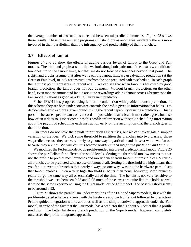the average number of instructions executed between mispredicted branches. Figure 23 shows these results. These three numeric programs still stand out as anomalies; evidently there is more involved in their parallelism than the infrequency and predictability of their branches.

# **3.7 Effects of fanout**

Figures 24 and 25 show the effects of adding various levels of fanout to the Great and Fair models. The left-hand graphs assume that we look along both paths out of the next few conditional branches, up to the fanout limit, but that we do not look past branches beyond that point. The right-hand graphs assume that after we reach the fanout limit we use dynamic prediction (at the Great or Fair level) to look for instructions from the one predicted path to schedule. In each graph the leftmost point represents no fanout at all. We can see that when fanout is followed by good branch prediction, the fanout does not buy us much. Without branch prediction, on the other hand, even modest amounts of fanout are quite rewarding: adding fanout across 4 branches to the Fair model is about as good as adding Fair branch prediction.

Fisher [Fis91] has proposed using fanout in conjunction with profiled branch prediction. In this scheme they are both under software control: the profile gives us information that helps us to decide whether to explore a given branch using the fanout capability or using a prediction. This is possible because a profile can easily record not just which way a branch most often goes, but also how often it does so. Fisher combines this profile information with static scheduling information about the payoff of scheduling each instruction early on the assumption that the branch goes in that direction.

Our traces do not have the payoff information Fisher uses, but we can investigate a simpler variation of the idea. We pick some threshold to partition the branches into two classes: those we predict because they are very likely to go one way in particular and those at which we fan out because they are not. We will call this scheme *profile-guided integrated prediction and fanout*.

We modified the Perfect model to do profile-guided integrated prediction and fanout. Figure 26 shows the parallelism for different threshold levels. Setting the threshold too low means that we use the profile to predict most branches and rarely benefit from fanout: a threshold of 0.5 causes all branches to be predicted with no use of fanout at all. Setting the threshold too high means that you fan out even on branches that nearly always go one way, wasting the hardware parallelism that fanout enables. Even a very high threshold is better than none, however; some branches really do go the same way all or essentially all of the time. The benefit is not very sensitive to the threshold we use: between 0.75 and 0.95 most of the curves are quite flat; this holds as well if we do the same experiment using the Great model or the Fair model. The best threshold seems to be around 0.92.

Figure 27 shows the parallelism under variations of the Fair and Superb models, first with the profile-integrated scheme and next with the hardware approach of fanout followed by prediction. Profile-guided integration works about as well as the simple hardware approach under the Fair model, in spite of the fact that the Fair model has a predictor that is about 5% better than a profile predictor. The better hardware branch prediction of the Superb model, however, completely outclasses the profile-integrated approach.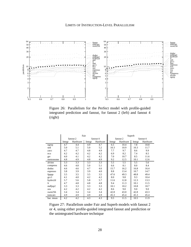

Figure 26: Parallelism for the Perfect model with profile-guided integrated prediction and fanout, for fanout 2 (left) and fanout 4 (right)

|           |                  | Fair             |                  |          | Superb |          |        |          |
|-----------|------------------|------------------|------------------|----------|--------|----------|--------|----------|
|           |                  | fanout 2         |                  | fanout 4 |        | fanout 2 |        | fanout 4 |
|           | Integr           | Hardware         | Integr           | Hardware | Integr | Hardware | Integr | Hardware |
| egrep     | 4.7              | 4.4              | 4.9              | 4.7      | 6.5    | 10.4     | 7.8    | 10.8     |
| sed       | 5.0              | 5.1              | 5.0              | 5.2      | 10.3   | 10.9     | 10.3   | 11.7     |
| yacc      | 4.7              | 4.7              | 4.8              | 4.9      | 7.7    | 9.7      | 8.6    | 9.9      |
| eco       | 4.2              | 4.2              | 4.2              | 4.2      | 6.9    | 8.2      | 7.4    | 8.5      |
| grr       | 4.0              | 4.1              | 4.2              | 4.2      | 7.0    | 10.7     | 8.5    | 11.6     |
| metronome | 4.8              | 4.9              | 4.8              | 4.9      | 9.2    | 12.5     | 10.1   | 12.6     |
| alvinn    | $\overline{3.3}$ | $\overline{3.3}$ | $\overline{3.3}$ | 3.3      | 5.5    | 5.5      | 5.5    | 5.6      |
| compress  | 4.6              | 4.8              | 5.0              | 5.1      | 6.6    | 8.1      | 8.0    | 8.4      |
| doduc     | 4.6              | 4.6              | 4.7              | 4.6      | 15.7   | 16.2     | 16.8   | 16.4     |
| espresso  | 3.8              | 3.9              | 3.9              | 4.0      | 8.8    | 13.4     | 10.7   | 14.7     |
| fpppp     | 3.5              | 3.5              | 3.5              | 3.5      | 47.6   | 49.3     | 48.8   | 49.4     |
| $\gcd$    | 4.1              | 4.0              | 4.2              | 4.2      | 8.0    | 9.8      | 9.3    | 10.4     |
| hydro2d   | 5.7              | 5.6              | 5.8              | 5.7      | 11.6   | 12.8     | 12.3   | 13.3     |
| li.       | 4.7              | 4.8              | 4.8              | 4.8      | 9.4    | 11.3     | 10.1   | 11.5     |
| mdljsp2   | 3.3              | 3.3              | 3.3              | 3.3      | 10.1   | 10.2     | 10.8   | 10.7     |
| ora       | 4.2              | 4.2              | 4.2              | 4.2      | 8.6    | 9.0      | 9.0    | 9.0      |
| swm256    | 3.4              | 3.4              | 3.4              | 3.4      | 42.8   | 43.0     | 42.8   | 43.3     |
| tomcaty   | 4.9              | 4.9              | 4.9              | 4.9      | 45.3   | 45.4     | 45.3   | 45.4     |
| har. mean | 4.2              | 4.2              | 4.3              | 4.3      | 9.5    | 11.5     | 10.5   | 11.9     |

Figure 27: Parallelism under Fair and Superb models with fanout 2 or 4, using either profile-guided integrated fanout and prediction or the unintegrated hardware technique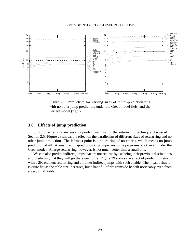

Figure 28: Parallelism for varying sizes of return-prediction ring with no other jump prediction, under the Great model (left) and the Perfect model (right)

# **3.8 Effects of jump prediction**

Subroutine returns are easy to predict well, using the return-ring technique discussed in Section 2.5. Figure 28 shows the effect on the parallelism of different sizes of return ring and no other jump prediction. The leftmost point is a return ring of no entries, which means no jump prediction at all. A small return-prediction ring improves some programs a lot, even under the Great model. A large return ring, however, is not much better than a small one.

We can also predict indirect jumps that are not returns by cacheing their previous destinations and predicting that they will go there next time. Figure 29 shows the effect of predicting returns with a 2K-element return ring and all other indirect jumps with such a table. The mean behavior is quite flat as the table size increases, but a handful of programs do benefit noticeably even from a very small table.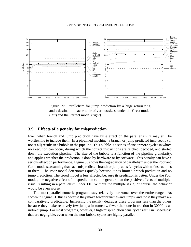

Figure 29: Parallelism for jump prediction by a huge return ring and a destination-cache table of various sizes, under the Great model (left) and the Perfect model (right)

# **3.9 Effects of a penalty for misprediction**

Even when branch and jump prediction have little effect on the parallelism, it may still be worthwhile to include them. In a pipelined machine, a branch or jump predicted incorrectly (or not at all) results in a bubble in the pipeline. This bubble is a series of one or more cycles in which no execution can occur, during which the correct instructions are fetched, decoded, and started down the execution pipeline. The size of the bubble is a function of the pipeline granularity, and applies whether the prediction is done by hardware or by software. This penalty can have a serious effect on performance. Figure 30 shows the degradation of parallelism under the Poor and Good models, assuming that each mispredicted branch or jump adds  $N$  cycles with no instructions in them. The Poor model deteriorates quickly because it has limited branch prediction and no jump prediction. The Good model is less affected because its prediction is better. Under the Poor model, the negative effect of misprediction can be greater than the positive effects of multipleissue, resulting in a parallelism under 1.0. Without the multiple issue, of course, the behavior would be even worse.

The most parallel numeric programs stay relatively horizontal over the entire range. As shown in Figure 31, this is because they make fewer branches and jumps, and those they make are comparatively predictable. Increasing the penalty degrades these programs less than the others because they make relatively few jumps; in tomcatv, fewer than one instruction in 30000 is an indirect jump. For most programs, however, a high misprediction penalty can result in "speedups" that are negligible, even when the non-bubble cycles are highly parallel.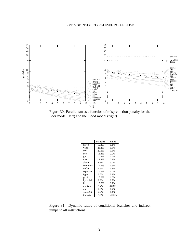

Figure 30: Parallelism as a function of misprediction penalty for the Poor model (left) and the Good model (right)

|                | branches | jumps   |
|----------------|----------|---------|
| egrep          | 19.3%    | 0.1%    |
| yacc           | 23.2%    | 0.5%    |
| sed            | 20.6%    | 1.3%    |
| eco            | 15.8%    | 2.2%    |
| grr            | 10.9%    | 1.5%    |
| <sub>met</sub> | 12.3%    | 2.1%    |
| alvinn         | 8.6%     | 0.2%    |
| compress       | 14.9%    | 0.3%    |
| doduc          | 6.3%     | 0.9%    |
| espresso       | 15.6%    | 0.5%    |
| fpppp          | 0.7%     | 0.1%    |
| $\gcd$         | 15.0%    | 1.6%    |
| hydro2d        | 9.8%     | 0.7%    |
| 1i             | 15.7%    | 3.7%    |
| mdljsp2        | 9.4%     | 0.03%   |
| ora            | 7.0%     | $0.7\%$ |
| swm256         | 2.2%     | $0.1\%$ |
| tomcatv        | 1.8%     | 0.003%  |

Figure 31: Dynamic ratios of conditional branches and indirect jumps to all instructions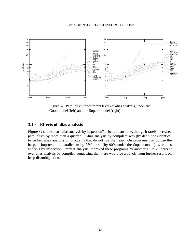

Figure 32: Parallelism for different levels of alias analysis, under the Good model (left) and the Superb model (right)

# **3.10 Effects of alias analysis**

Figure 32 shows that "alias analysis by inspection" is better than none, though it rarely increased parallelism by more than a quarter. "Alias analysis by compiler" was (by definition) identical to perfect alias analysis on programs that do not use the heap. On programs that do use the heap, it improved the parallelism by 75% or so (by 90% under the Superb model) over alias analysis by inspection. Perfect analysis improved these programs by another 15 to 20 percent over alias analysis by compiler, suggesting that there would be a payoff from further results on heap disambiguation.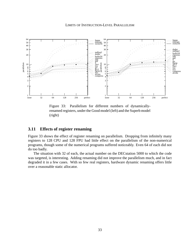

Figure 33: Parallelism for different numbers of dynamicallyrenamed registers, under the Good model (left) and the Superb model (right)

## **3.11 Effects of register renaming**

Figure 33 shows the effect of register renaming on parallelism. Dropping from infinitely many registers to 128 CPU and 128 FPU had little effect on the parallelism of the non-numerical programs, though some of the numerical programs suffered noticeably. Even 64 of each did not do too badly.

The situation with 32 of each, the actual number on the DECstation 5000 to which the code was targeted, is interesting. Adding renaming did not improve the parallelism much, and in fact degraded it in a few cases. With so few real registers, hardware dynamic renaming offers little over a reasonable static allocator.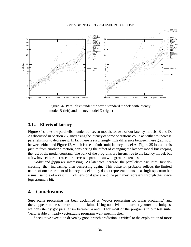

Figure 34: Parallelism under the seven standard models with latency model B (left) and latency model D (right)

## **3.12 Effects of latency**

Figure 34 shows the parallelism under our seven models for two of our latency models, B and D. As discussed in Section 2.7, increasing the latency of some operations could act either to increase parallelism or to decrease it. In fact there is surprisingly little difference between these graphs, or between either and Figure 12, which is the default (unit) latency model A. Figure 35 looks at this picture from another direction, considering the effect of changing the latency model but keeping the rest of the model constant. The bulk of the programs are insensitive to the latency model, but a few have either increased or decreased parallelism with greater latencies.

*Doduc* and *fpppp* are interesting. As latencies increase, the parallelism oscillates, first decreasing, then increasing, then decreasing again. This behavior probably reflects the limited nature of our assortment of latency models: they do not represent points on a single spectrum but a small sample of a vast multi-dimensional space, and the path they represent through that space jogs around a bit.

# **4 Conclusions**

Superscalar processing has been acclaimed as "vector processing for scalar programs," and there appears to be some truth in the claim. Using nontrivial but currently known techniques, we consistently got parallelism between 4 and 10 for most of the programs in our test suite. Vectorizable or nearly vectorizable programs went much higher.

Speculative execution driven by good branch prediction is critical to the exploitation of more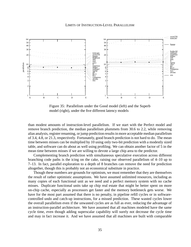

Figure 35: Parallelism under the Good model (left) and the Superb model (right), under the five different latency models

than modest amounts of instruction-level parallelism. If we start with the Perfect model and remove branch prediction, the median parallelism plummets from 30.6 to 2.2, while removing alias analysis, register renaming, or jump prediction results in more acceptable median parallelism of 3.4, 4.8, or 21.3, respectively. Fortunately, good branch prediction is not hard to do. The mean time between misses can be multiplied by 10 using only two-bit prediction with a modestly sized table, and software can do about as well using profiling. We can obtain another factor of 5 in the mean time between misses if we are willing to devote a large chip area to the predictor.

Complementing branch prediction with simultaneous speculative execution across different branching code paths is the icing on the cake, raising our observed parallelism of 4–10 up to 7–13. In fact, parallel exploration to a depth of 8 branches can remove the need for prediction altogether, though this is probably not an economical substitute in practice.

Though these numbers are grounds for optimism, we must remember that they are themselves the result of rather optimistic assumptions. We have assumed unlimited resources, including as many copies of each functional unit as we need and a perfect memory system with no cache misses. Duplicate functional units take up chip real estate that might be better spent on more on-chip cache, especially as processors get faster and the memory bottleneck gets worse. We have for the most part assumed that there is no penalty, in pipeline refill cycles or in softwarecontrolled undo and catch-up instructions, for a missed prediction. These wasted cycles lower the overall parallelism even if the unwasted cycles are as full as ever, reducing the advantage of an instruction-parallel architecture. We have assumed that all machines modeled have the same cycle time, even though adding superscalar capability will surely not decrease the cycle time and may in fact increase it. And we have assumed that all machines are built with comparable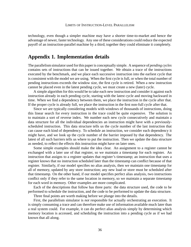technology, even though a simpler machine may have a shorter time-to-market and hence the advantage of newer, faster technology. Any one of these considerations could reduce the expected payoff of an instruction-parallel machine by a third; together they could eliminate it completely.

# **Appendix 1. Implementation details**

The parallelism simulator used for this paper is conceptually simple. A sequence of *pending cycles* contains sets of instructions that can be issued together. We obtain a trace of the instructions executed by the benchmark, and we place each successive instruction into the earliest cycle that is consistent with the model we are using. When the first cycle is full, or when the total number of pending instructions exceeds the window size, the first cycle is retired. When a new instruction cannot be placed even in the latest pending cycle, we must create a new (later) cycle.

A simple algorithm for this would be to take each new instruction and consider it against each instruction already in each pending cycle, starting with the latest cycle and moving backward in time. When we find a dependency between them, we place the instruction in the cycle after that. If the proper cycle is already full, we place the instruction in the first non-full cycle after that.

Since we are typically considering models with windows of thousands of instructions, doing this linear search for every instruction in the trace could be quite expensive. The solution is to maintain a sort of reverse index. We number each new cycle consecutively and maintain a data structure for all the individual dependencies an instruction might have with a previouslyscheduled instruction. This data structure tells us the cycle number of the last instruction that can cause each kind of dependency. To schedule an instruction, we consider each dependency it might have, and we look up the cycle number of the barrier imposed by that dependency. The latest of all such barriers tells us where to put the instruction. Then we update the data structure as needed, to reflect the effects this instruction might have on later ones.

Some simple examples should make the idea clear. An assignment to a register cannot be exchanged with a later use of that register, so we maintain a timestamp for each register. An instruction that assigns to a register updates that register's timestamp; an instruction that uses a register knows that no instruction scheduled later than the timestamp can conflict because of that register. Similarly, if our model specifies no alias analysis, then we maintain one timestamp for all of memory, updated by any store instruction; any new load or store must be scheduled after that timestamp. On the other hand, if our model specifies perfect alias analysis, two instructions conflict only if they refer to the same location in memory, so we maintain a separate timestamp for each word in memory. Other examples are more complicated.

Each of the descriptions that follow has three parts: the data structure used, the code to be performed to schedule the instruction, and the code to be performed to update the data structure.

Three final points are worth making before we plunge into the details.

First, the parallelism simulator is *not* responsible for actually orchestrating an execution. It is simply consuming a trace and can therefore make use of information available much later than a real system could. For example, it can do perfect alias analysis simply by determining which memory location is accessed, and scheduling the instruction into a pending cycle as if we had known that all along.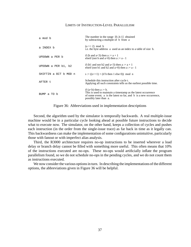| a mod b               | The number in the range $[0b-1]$ obtained<br>by subtracting a multiple of b from a                                                                                                          |
|-----------------------|---------------------------------------------------------------------------------------------------------------------------------------------------------------------------------------------|
| a INDEX b             | $(a \gg 2) \mod b$<br>i.e. the byte address a used as an index to a table of size b.                                                                                                        |
| UPDOWN a PER b        | if (b and $a<3$ ) then $a := a + 1$<br>elseif (not b and a>0) then $a := a - 1$                                                                                                             |
| UPDOWN a PER b1, b2   | if (b1 and not b2 and $a<3$ ) then $a := a + 1$<br>elseif (not b1 and b2 and a>0) then a := $a - 1$                                                                                         |
| SHIFTIN a BIT b MOD n | $s := ((s < 1) + (if b then 1 else 0)) \mod n$                                                                                                                                              |
| AFTER t               | Schedule this instruction after cycle t.<br>Applying all such constraints tells us the earliest possible time.                                                                              |
| BUMP a TO b           | if $(a< b)$ then $a := b$ .<br>This is used to maintain a timestamp as the latest occurrence<br>of some event; a is the latest so far, and b is a new occurrence,<br>possibly later than a. |

Figure 36: Abbreviations used in implementation descriptions

Second, the algorithm used by the simulator is temporally backwards. A real multiple-issue machine would be in a particular cycle looking ahead at possible future instructions to decide what to execute now. The simulator, on the other hand, keeps a collection of cycles and pushes each instruction (in the order from the single-issue trace) as far back in time as it legally can. This backwardness can make the implementation of some configurations unintuitive, particularly those with fanout or with imperfect alias analysis.

Third, the R3000 architecture requires no-op instructions to be inserted wherever a load delay or branch delay cannot be filled with something more useful. This often means that 10% of the instructions executed are no-ops. These no-ops would artificially inflate the program parallelism found, so we do not schedule no-ops in the pending cycles, and we do not count them as instructions executed.

We now consider the various options in turn. In describing the implementations of the different options, the abbreviations given in Figure 36 will be helpful.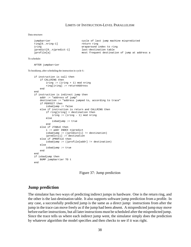#### Data structure:

```
jumpbarrier cycle of last jump machine mispredicted<br>
ring[0..nring-1] return ring
Jumpbarrier<br>ring[0..nring-1]
iring wraparound index to ring
jpredict[0..njpredict-1] last-destination table
jprofile[a] most frequent destination of jump at address a
```
#### To schedule:

```
AFTER jumpbarrier
```
To bookkeep, after scheduling the instruction in cycle t:

```
if instruction is call then
   if CALLRING then
       iring := (iring + 1) mod nring
       ring[iring] := returnAddress
   end
end
if instruction is indirect jump then
   addr := "address of jump"
   destination := "address jumped to, according to trace"
   if PERFECT then
       isbadjump := false
   else if instruction is return and CALLRING then
       if ring[iring] = destination then
           iring := (iring - 1) mod nring
        else
            isbadjump := true
        end
   else if JTABLE then
        i := addr INDEX njpredict
        isbadjump := (jpredict[i] != destination)
       jpredict[i] := destination
   else if JPROFILE then
       isbadjump := (jprofile[addr] != destination)
    else
       isbadjump := true
   end
end
if isbadjump then
   BUMP jumpbarrier TO t
end
```
Figure 37: Jump prediction

## **Jump prediction**

The simulator has two ways of predicting indirect jumps in hardware. One is the return ring, and the other is the last-destination table. It also supports software jump prediction from a profile. In any case, a successfully predicted jump is the same as a direct jump: instructions from after the jump in the trace can move freely as if the jump had been absent. A mispredicted jump may move before earlier instructions, but all later instructions must be scheduled after the mispredicted jump. Since the trace tells us where each indirect jump went, the simulator simply does the prediction by whatever algorithm the model specifies and then checks to see if it was right.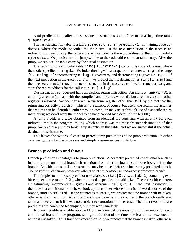A mispredicted jump affects all subsequent instructions, so it suffices to use a single timestamp jumpbarrier.

The last-destination table is a table jpredict[0..njpredict-1] containing code addresses, where the model specifies the table size. If the next instruction in the trace is an indirect jump, we look up the table entry whose index is the word address of the jump, modulo njpredict. We predict that the jump will be to the code address in that table entry. After the jump, we replace the table entry by the actual destination.

The return ring is a circular table  $\text{ring}[0..nnring-1]$  containing code addresses, where the model specifies the ring size. We index the ring with a wraparound counter iring in the range [0..nring-1]: incrementing nring-1 gives zero, and decrementing 0 gives nring-1. If the next instruction in the trace is a return, we predict that its destination is  $\text{ring}$  [iring] and then we decrement iring. If the next instruction in the trace is a call, we increment iring and store the return address for the call into ring[iring].

Our instruction set does not have an explicit return instruction. An indirect jump via  $r31$  is certainly a return (at least with the compilers and libraries we used), but a return via some other register is allowed. We identify a return via some register other than r 31 by the fact that the return ring correctly predicts it. (This is not realistic, of course, but use of the return ring assumes that returns can be identified, either through compiler analysis or through use of a specific return instruction; we don't want the model to be handicapped by a detail of the R3000.)

A jump profile is a table obtained from an identical previous run, with an entry for each indirect jump in the program, telling which address was the most frequent destination of that jump. We predict a jump by looking up its entry in this table, and we are successful if the actual destination is the same.

This leaves the two trivial cases of perfect jump prediction and no jump prediction. In either case we ignore what the trace says and simply assume success or failure.

## **Branch prediction and fanout**

Branch prediction is analogous to jump prediction. A correctly predicted conditional branch is just like an unconditional branch: instructions from after the branch can move freely before the branch. As with jumps, no later instruction may be moved before an incorrectly predicted branch. The possibility of fanout, however, affects what we consider an incorrectly predicted branch.

The simple counter-based predictor uses a table  $\texttt{ctrlab}[0 \dots \texttt{nextab} - 1]$  containing twobit counter in the range [0..3], where the model specifies the table size. These two-bit counters are saturating: incrementing 3 gives 3 and decrementing 0 gives 0. If the next instruction in the trace is a conditional branch, we look up the counter whose index is the word address of the branch, modulo nctrtab. If the counter is at least 2, we predict that the branch will be taken, otherwise that it will not. After the branch, we increment the counter if the branch really was taken and decrement it if it was not, subject to saturation in either case. The other two hardware predictors are combined techniques, but they work similarly.

A branch profile is a table obtained from an identical previous run, with an entry for each conditional branch in the program, telling the fraction of the times the branch was executed in which it was taken. If this fraction is more than half, we predict that the branch is taken; otherwise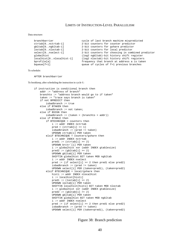#### Data structure:

```
branchbarrier cycle of last branch machine mispredicted
ctrtab[0..nctrtab-1] 2-bit counters for counter predictor
gbltab[0..ngbltab-1] 2-bit counters for gshare predictor loctab[0..nloctab-1] 2-bit counters for local predictor
                           2-bit counters for local predictor
select[0..nselect-1] 2-bit counters for choosing in combined predictor
globalhist (log2 ngbltab)-bit history shift register
localhist[0..nlocalhist-1] (log2 nloctab)-bit history shift registers
bprofile[a] frequency that branch at address a is taken
bqueue[f+1] queue of cycles of f+1 previous branches
```
To schedule:

AFTER branchbarrier

To bookkeep, after scheduling the instruction in cycle t:

```
if instruction is conditional branch then
   addr := "address of branch"
   branchto := "address branch would go to if taken"
   taken := "trace says branch is taken"
   if not BPREDICT then
       isbadbranch := true
   else if BTAKEN then
       isbadbranch := not taken;
   else if BSIGN then
        isbadbranch := (taken = (branchto > addr))
   else if BTABLE then
       if BTECHNIQUE = counters then
           i := addr INDEX nctrtab
           pred = (ctrlab[i] >= 1)isbadbranch := (pred != taken)
           UPDOWN ctrtab[i] PER taken
        elsif BTECHNIQUE = counters/gshare then
           i := addr INDEX nctrtab
           pred1 := (ctrlab[i] >= 2)UPDOWN brctrˆ[i] PER taken
           i := globalhist xor (addr INDEX gtablesize)
           pred2 := (gbltab[i] >= 2)UPDOWN gbltab[i] PER taken
           SHIFTIN globalhist BIT taken MOD ngbltab
           i := addr INDEX nselect
           pred := (if select[i] >= 2 then pred1 else pred2)
           isbadbranch := (pred != taken)
           UPDOWN select[i] PER (taken=pred1), (taken=pred2)
        elsif BTECHNIQUE = local/gshare then
           histi := addr INDEX nlocalhist
           i := localhist[histi]
           pred1 := (loctab[i] >= 2)UPDOWN loctab[i] PER taken
           SHIFTIN localhist[histi] BIT taken MOD nloctab
           i := globalhist xor (addr INDEX gtablesize)
           pred2 := (qbltab[i] >= 2)UPDOWN gbltab[i] PER taken
           SHIFTIN globalhist BIT taken MOD ngbltab
            i := addr INDEX nselect
           pred := (if select[i] >= 2 then pred1 else pred2)
            isbadbranch := (pred != taken)
           UPDOWN select[i] PER (taken=pred1), (taken=pred2)
```
Figure 38: Branch prediction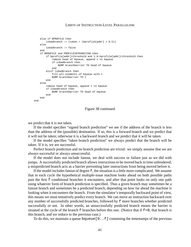```
else if BPROFILE then
        isbadbranch := (taken = (bprofile[addr] < 0.5))else
        isbadbranch := false
    end
    if BPROFILE and PROFILEINTEGRATION then
        if bprofile[addr]<threshold and 1.0-bprofile[addr]<threshold then
            remove head of bqueue, append t to bqueue
            if isbadbranch then
               BUMP branchbarrier TO head of bqueue
            end
        elsif isbadbranch then
            fill all elements of bqueue with t
            BUMP branchbarrier TO t
        end
    else
       remove head of bqueue, append t to bqueue
        if isbadbranch then
            BUMP branchbarrier TO head of bqueue
        end
    end
end
```
Figure 38 continued

we predict that it is not taken.

If the model specifies "signed branch prediction" we see if the address of the branch is less than the address of the (possible) destination. If so, this is a forward branch and we predict that it will not be taken; otherwise it is a backward branch and we predict that it will be taken.

If the model specifies "taken branch prediction" we always predict that the branch will be taken. If it is, we are successful.

Perfect branch prediction and no branch prediction are trivial: we simply assume that we are always successful or always unsuccessful.

If the model does not include fanout, we deal with success or failure just as we did with jumps. A successfully predicted branch allows instructions to be moved back in time unhindered; a mispredicted branch acts as a barrier preventing later instructions from being moved before it.

If the model includes fanout of degree f, the situation is a little more complicated. We assume that in each cycle the hypothetical multiple-issue machine looks ahead on both possible paths past the first f conditional branches it encounters, and after that point looks on only one path using whatever form of branch prediction is specified. Thus a given branch may sometimes be a fanout branch and sometimes be a predicted branch, depending on how far ahead the machine is looking when it encounters the branch. From the simulator's temporally backward point of view, this means we must tentatively predict every branch. We can move an instruction backward over any number of successfully predicted branches, followed by f more branches whether predicted successfully or not. In other words, an unsuccessfully predicted branch means the barrier is situated at the cycle of the branch  $\pm$  branches before this one. (Notice that if  $\pm$ =0, that branch is this branch, and we reduce to the previous case.)

To do this, we maintain a queue bqueue  $[0, f]$  containing the timestamps of the previous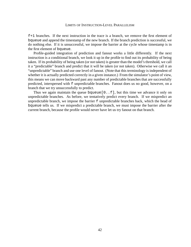$f+1$  branches. If the next instruction in the trace is a branch, we remove the first element of bqueue and append the timestamp of the new branch. If the branch prediction is successful, we do nothing else. If it is unsuccessful, we impose the barrier at the cycle whose timestamp is in the first element of bqueue.

Profile-guided integration of prediction and fanout works a little differently. If the next instruction is a conditional branch, we look it up in the profile to find out its probability of being taken. If its probability of being taken (or not taken) is greater than the model's threshold, we call it a "predictable" branch and predict that it will be taken (or not taken). Otherwise we call it an "unpredictable" branch and use one level of fanout. (Note that this terminology is independent of whether it is actually predicted correctly in a given instance.) From the simulator's point of view, this means we can move backward past any number of predictable branches that are successfully predicted, interspersed with f unpredictable branches. Fanout does us no good, however, on a branch that we try unsuccessfully to predict.

Thus we again maintain the queue  $b$ queue  $[0..f]$ , but this time we advance it only on unpredictable branches. As before, we tentatively predict every branch. If we mispredict an unpredictable branch, we impose the barrier f unpredictable branches back, which the head of bqueue tells us. If we mispredict a predictable branch, we must impose the barrier after the current branch, because the profile would never have let us try fanout on that branch.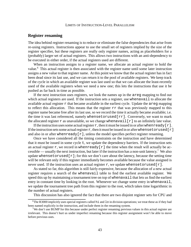## **Register renaming**

The idea behind register renaming is to reduce or eliminate the false dependencies that arise from re-using registers. Instructions appear to use the small set of registers implied by the size of the register specifier, but these registers are really only register names, acting as placeholders for a (probably) larger set of actual registers. This allows two instructions with an anti-dependency to be executed in either order, if the actual registers used are different.

When an instruction assigns to a register name, we allocate an actual register to hold the value.6 This actual register is then associated with the register name until some later instruction assigns a new value to that register name. At this point we know that the actual register has in fact been dead since its last use, and we can return it to the pool of available registers. We keep track of the cycle in which an available register was last used so that we can allocate the least-recently used of the available registers when we need a new one; this lets the instructions that use it be pushed as far back in time as possible.

If the next instruction uses registers, we look the names up in the areg mapping to find out which actual registers are used. If the instruction sets a register, use whenavail to allocate the available actual register  $r$  that became available in the earliest cycle. Update the  $\alpha r \in \alpha$  mapping to reflect this allocation. This means that the register  $rr$  that was previously mapped to this register name became free after its last use, so we record the time it actually became available; i.e. the time it was last referenced, namely whensetorused[rr]. Conversely, we want to mark the allocated register r as unavailable, so we change whenavail  $[r]$  to an infinitely late value.

If the instruction uses some actual register r, then it must be issued in or after when ready  $[r]$ . If the instruction sets some actual register  $r$ , then it must be issued in or after whensetorused [r] and also in or after when  $\text{ready}[r]$ , unless the model specifies perfect register renaming.

Once we have considered all the timing constraints on the instruction and have determined that it must be issued in some cycle t, we update the dependency barriers. If the instruction sets an actual register  $r$ , we record in whenready [ $r$ ] the time when the result will actually be accessible — usually the next instruction, but later if the instruction has a non-unit latency.<sup>7</sup> We also update whensetorused  $[r]$ ; for this we don't care about the latency, because the setting time will be relevant only if this register immediately becomes available because the value assigned is never used. If the instruction uses an actual register  $r$ , we update whensetorused[r].

As stated so far, this algorithm is still fairly expensive, because the allocation of a new actual register requires a search of the whenavail table to find the earliest available register. We speed this up by maintaining a tournament tree on top of whenavail that lets us find the earliest entry in constant time by looking in the root. Whenever we change some entry in whenavail, we update the tournament tree path from this register to the root, which takes time logarithmic in the number of actual registers.

This discussion has also ignored the fact that there are two disjoint register sets for CPU and

 $6$ The R3000 implicitly uses special registers called hi and  $1\circ$  in division operations; we treat these as if they had been named explicitly in the instruction, and include them in the renaming system.

 $7$ We don't use BUMP for this because under perfect register renaming previous values in this actual register are irrelevant. This doesn't hurt us under imperfect renaming because this register assignment won't be able to move before previous uses.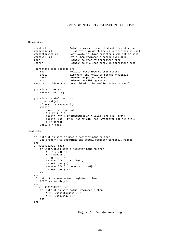Data structure:

```
areg[rn] <br>whenready[r] Actual register associated with register name rn<br>whenready[r] First cycle in which the value in r can be used
                         First cycle in which the value in r can be used
whensetorused[r] Last cycle in which register r was set or used<br>whenavail[r] Cycle when register r became available.
                         Cycle when register r became available.
root Pointer to root of tournament tree
leaf[r] Pointer to r's leaf entry in tournament tree
Tournament tree records are:
    reg register described by this record
    avail time when the register became available
    parent pointer to parent record<br>sib pointer to sibling record
                         pointer to sibling record
Each record identifies the child with the smaller value of avail.
procedure Oldest()
    return rootˆ.reg
procedure UpdateOldest (r)
    p := leaf[r]p^*.avail := whenavail[r]
    repeat
        parent := pˆ.parent
        sib := p^* \cdot sibparentˆ.avail := mininimum of pˆ.avail and sibˆ.avail
        parentˆ.reg := pˆ.reg or sibˆ.reg, whichever had min avail
        p := parent
    until p = root
```
#### To schedule:

```
if instruction sets or uses a register name rn then
   use areg[rn] to determine the actual register currently mapped
end
if REGSRENUMBER then
    if instruction sets a register name rn then
       rr := \text{area}[rn]r := Oldest()
        areg[rn] := r
        whenavail[r] := +InfinityUpdateOldest(r)
        whenavail[rr] := whensetorused[rr]UpdateOldest(rr)
    end
end
if instruction uses actual register r then
   AFTER whenready[r]-1
end
if not REGSPERFECT then
    if instruction sets actual register r then
        AFTER whensetorused[r]-1
        AFTER whenready[r]-1
    end
end
```
Figure 39: Register renaming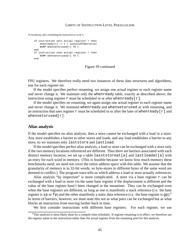To bookkeep, after scheduling the instruction in cycle t:

```
if instruction sets actual register r then
   whenready[r] := t + latencyOfOperation
   BUMP whensetorused[r] TO t
end
if instruction uses actual register r then
   BUMP whensetorused[r] TO t
end
```
## Figure 39 continued

FPU registers. We therefore really need *two* instances of these data structures and algorithms, one for each register set.

If the model specifies perfect renaming, we assign one actual register to each register name and never change it. We maintain only the whenready table, exactly as described above; the instruction using register  $r$  must be scheduled in or after when  $real(r)$ .

If the model specifies no renaming, we again assign one actual register to each register name and never change it. We maintain whenready and whensetorused as with renaming, and an instruction that uses register  $r$  must be scheduled in or after the later of whenready [ $r$ ] and whensetorused[r].

## **Alias analysis**

If the model specifies no alias analysis, then a store cannot be exchanged with a load or a store. Any store establishes a barrier to other stores and loads, and any load establishes a barrier to any store, so we maintain only laststore and lastload.

If the model specifies perfect alias analysis, a load or store can be exchanged with a store only if the two memory locations referenced are different. Thus there are barriers associated with each distinct memory location; we set up a table lasststoreat[a] and lastloadat[a] with an entry for each word in memory. (This is feasible because we know how much memory these benchmarks need; we need not cover the entire address space with this table. We assume that the granularity of memory is in 32-bit words, so byte-stores to different bytes of the same word are deemed to conflict.) The program trace tells us which address a load or store actually references.

Alias analysis "by inspection" is more complicated. A store via a base register  $r \cdot c$  can be exchanged with a load or store via the same base register if the displacement is different and the value of the base register hasn't been changed in the meantime. They can be exchanged even when the base registers are different, as long as one is manifestly a stack reference (i.e. the base register is  $sp$  or  $sp$ ) and the other manifestly a static data reference (i.e. the base register is qp).<sup>8</sup> In terms of barriers, however, we must state this not as what pairs can be exchanged but as what blocks an instruction from moving farther back in time.

We first consider instructions with different base registers. For each register, we use

 $8$ This analysis is most likely done by a compile-time scheduler. If register renaming is in effect, we therefore use the register name in the instruction rather than the actual register from the renaming pool for this analysis.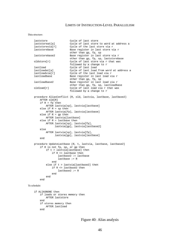#### Data structure:

```
laststore Cycle of last store
   laststoreat[a] Cycle of last store to word at address a
   laststorevia[r] Cycle of the last store via r<br>laststorebase Base register in last store v
                            Base register in last store via r
                            other than gp, fp, sp
   laststorebase2 Base register in last store via r
                            other than gp, fp, sp, laststorebase
   oldstore[r] Cycle of last store via r that was
                            followed by a change to r
   lastload Cycle of last load<br>lastloadat[a] Cycle of last load
                            Cycle of last load from word at address a
   lastloadvia[r] Cycle of the last load via r<br>lastloadbase Base register in last load v
                            Base register in last load via r
                            other than gp, fp, sp
   lastloadbase2 Base register in last load via r
                            other than gp, fp, sp, lastloadbase
   oldload[r] Cycle of last load via r that was
                            followed by a change to r
   procedure AliasConflict (R, old, lastvia, lastbase, lastbase2)
       AFTER old[R]
       if R = fp then
            AFTER lastvia[sp], lastvia[lastbase]
        else if R = sp then
           AFTER lastvia[fp], lastvia[lastbase]
        else if R = gp then
            AFTER lastvia[lastbase]
        else if R = lastbase then
            AFTER lastvia[sp], lastvia[fp],
                  lastvia[gp], lastvia[lastbase2]
       else
            AFTER lastvia[sp], lastvia[fp],
                  lastvia[gp], lastvia[lastbase]
        end
   procedure UpdateLastbase (R, t, lastvia, lastbase, lastbase2)
        if R is not fp, sp, or gp then
            if t > lastvia[lastbase] then
                if R <> lastbase then
                    lastbase2 := lastbase
                    lastbase := R
                end
            else if t > lastvia[lastbase2] then
                if R <> lastbase2 then
                    lastbase2 := R
                end
            end
        end
To schedule:
```

```
if ALIASNONE then
   if loads or stores memory then
       AFTER laststore
    end
   if stores memory then
       AFTER lastload
   end
```
Figure 40: Alias analysis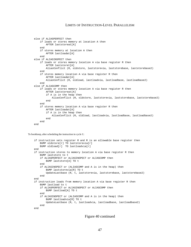```
else if ALIASPERFECT then
   if loads or stores memory at location A then
       AFTER laststoreat[A]
    end
   if stores memory at location A then
       AFTER lastloadat[A]
   end
else if ALIASINSPECT then
    if loads or stores memory location A via base register R then
       AFTER laststoret[A]
       AliasConflict (R, oldstore, laststorevia, laststorebase, laststorebase2)
    end
    if stores memory location A via base register R then
        AFTER lastloadat[A]
       AliasConflict (R, oldload, lastloadvia, lastloadbase, lastloadbase2)
    end
else if ALIASCOMP then
   if loads or stores memory location A via base register R then
        AFTER laststoreat[A]
        if A is in the heap then
            AliasConflict (R, oldstore, laststorevia, laststorebase, laststorebase2)
        end
   end
    if stores memory location A via base register R then
       AFTER lastloadat[A]
        if A is in the heap then
           AliasConflict (R, oldload, lastloadvia, lastloadbase, lastloadbase2)
        end
    end
end
```
To bookkeep, after scheduling the instruction in cycle t:

```
if instruction sets register R and R is an allowable base register then
    BUMP oldstore[r] TO laststorevia[r]
   BUMP oldload[r] TO lastloadvia[r]
end
if instruction stores to memory location A via base register R then
   BUMP laststore to t
    if ALIASPERFECT or ALIASINSPECT or ALIASCOMP then
       BUMP laststore[A] TO t
   end
   if ALIASINSPECT or (ALIASCOMP and A is in the heap) then
       BUMP laststorevia[R] TO t
        UpdateLastbase (R, t, laststorevia, laststorebase, laststorebase2)
    end
end
if instruction loads from memory location A via base register R then
   BUMP lastload to t
    if ALIASPERFECT or ALIASINSPECT or ALIASCOMP then
       BUMP lastload[A] TO t
   end
    if ALIASINSPECT or (ALIASCOMP and A is in the heap) then
        BUMP lastloadvia[R] TO t
        UpdateLastbase (R, t, lastloadvia, lastloadbase, lastloadbase2)
    end
end
```
## Figure 40 continued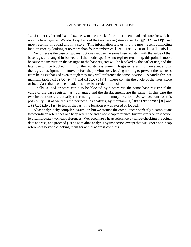laststorevia and lastloadvia to keep track of the most recent load and store for which it was the base register. We also keep track of the two base registers other than qp, sp, and fp used most recently in a load and in a store. This information lets us find the most recent conflicting load or store by looking at no more than four members of laststorevia or lastloadvia.

Next there is the case of two instructions that use the same base register, with the value of that base register changed in between. If the model specifies no register renaming, this point is moot, because the instruction that assigns to the base register will be blocked by the earlier use, and the later use will be blocked in turn by the register assignment. Register renaming, however, allows the register assignment to move before the previous use, leaving nothing to prevent the two uses from being exchanged even though they may well reference the same location. To handle this, we maintain tables oldstore  $[r]$  and oldload  $[r]$ . These contain the cycle of the latest store or load via  $r$  that has been made obsolete by a redefinition of  $r$ .

Finally, a load or store can also be blocked by a store via the same base register if the value of the base register hasn't changed and the displacements are the same. In this case the two instructions are actually referencing the same memory location. So we account for this possibility just as we did with perfect alias analysis, by maintaining lasststoreat[a] and lastloadat [a] to tell us the last time location a was stored or loaded.

Alias analysis "by compiler" is similar, but we assume the compiler can perfectly disambiguate two non-heap references or a heap reference and a non-heap reference, but must rely on inspection to disambiguate two heap references. We recognize a heap reference by range-checking the actual data address, and proceed just as with alias analysis by inspection except that we ignore non-heap references beyond checking them for actual address conflicts.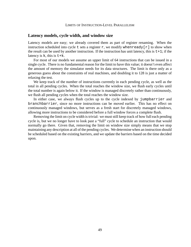## **Latency models, cycle width, and window size**

Latency models are easy; we already covered them as part of register renaming. When the instruction scheduled into cycle t sets a register r, we modify when ready  $[r]$  to show when the result can be used by another instruction. If the instruction has unit latency, this is  $t+1$ ; if the latency is  $k$ , this is  $t+k$ .

For most of our models we assume an upper limit of 64 instructions that can be issued in a single cycle. There is no fundamental reason for the limit to have this value; it doesn't even affect the amount of memory the simulator needs for its data structures. The limit is there only as a generous guess about the constraints of real machines, and doubling it to 128 is just a matter of relaxing the test.

We keep track of the number of instructions currently in each pending cycle, as well as the total in all pending cycles. When the total reaches the window size, we flush early cycles until the total number is again below it. If the window is managed discretely rather than continuously, we flush all pending cycles when the total reaches the window size.

In either case, we always flush cycles up to the cycle indexed by jumpbarrier and branchbarrier, since no more instructions can be moved earlier. This has no effect on continuously managed windows, but serves as a fresh start for discretely managed windows, allowing more instructions to be considered before a full window forces a complete flush.

Removing the limit on cycle width is trivial: we must still keep track of how full each pending cycle is, but we no longer have to look past a "full" cycle to schedule an instruction that would normally go there. Given that, removing the limit on window size simply means that we stop maintaining any description at all of the pending cycles. We determine when an instruction should be scheduled based on the existing barriers, and we update the barriers based on the time decided upon.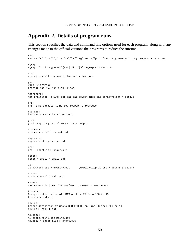# **Appendix 2. Details of program runs**

This section specifies the data and command line options used for each program, along with any changes made to the official versions the programs to reduce the runtime.

```
sed:
sed -e 's/\/\*/(*/g' -e 's/\*\//*)/g' -e 's/fprintf(\(.*\));/DEBUG \1 ;/g' sed0.c > test.out
egrep:
egrep 'ˆ...$|regparse|ˆ[a-z]|if .*{$' regexp.c > test.out
eco:
eco -i tna.old tna.new -o tna.eco > test.out
yacc:
yacc -v grammar
grammar has 450 non-blank lines
metronome:
met dma.tuned -c 100k.cat pal.cat dc.cat misc.cat teradyne.cat > output
grr:
grr -i mc.unroute -l mc.log mc.pcb -o mc.route
hydro2d:
hydro2d < short.in > short.out
gcc1:
gcc1 cexp.i -quiet -O -o cexp.s > output
compress:
compress < ref.in > ref.out
espresso:
espresso -t opa > opa.out
ora:
ora < short.in > short.out
fpppp:
fpppp < small > small.out
li:
li dwwtiny.lsp > dwwtiny.out (dwwtiny.lsp is the 7-queens problem)
doduc:
doduc < small >small.out
swm256:
cat swm256.in | sed 's/1200/30/' | swm256 > swm256.out
tomcatv:
Change initial value of LMAX on line 22 from 100 to 15
tomcatv > output
alvinn:
Change definition of macro NUM_EPOCHS on line 23 from 200 to 10
alvinn > result.out
mdljsp2:
mv short.mdlj2.dat mdlj2.dat
mdljsp2 < input.file > short.out
```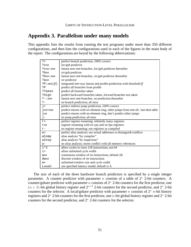# **Appendix 3. Parallelism under many models**

This appendix lists the results from running the test programs under more than 350 different configurations, and then lists the configurations used in each of the figures in the main body of the report. The configurations are keyed by the following abbreviations:

| $? +$            | perfect branch prediction, 100% correct                                        |
|------------------|--------------------------------------------------------------------------------|
| $?$ $Cnn$        | loc/gsh predictor                                                              |
| $?$ $cnn : mm$   | fanout next mm branches, loc/gsh predictor thereafter                          |
| $? \text{bnn}$   | ctr/gsh predictor                                                              |
| $?$ bnn: $mm$    | fanout next mm branches, ctr/gsh predictor thereafter                          |
| ?ann             | ctr predictor                                                                  |
| PP:mm(f)         | integrated mm-way fanout and profile-prediction with threshold ff              |
| ?Р               | predict all branches from profile                                              |
| ?Taken           | predict all branches taken                                                     |
| ?Sign            | predict backward branches taken, forward branches not taken                    |
| $? - :mm$        | fanout next mm branches, no prediction thereafter                              |
| $\frac{1}{2}$ -  | no branch prediction; all miss                                                 |
| $\overline{1}$ + | perfect indirect jump prediction, 100% correct                                 |
| $jnn+mm$         | predict returns with nn-element ring, other jumps from mm-elt. last-dest table |
| $\exists nn$     | predict returns with <i>nn</i> -element ring, don't predict other jumps        |
| $j-$             | no jump prediction; all miss                                                   |
| $r +$            | perfect register renaming; infinitely many registers                           |
| rnn              | register renaming with nn cpu and nn fpu registers                             |
| $r -$            | no register renaming; use registers as compiled                                |
| $a+$             | perfect alias analysis; use actual addresses to distinguish conflicts          |
| aComp            | alias analysis "by compiler"                                                   |
| aInsp            | alias analysis "by inspection"                                                 |
| $a -$            | no alias analysis; stores conflict with all memory references                  |
| $i*2$            | allow cycles to issue 128 instructions, not 64                                 |
| $i +$            | allow unlimited cycle width                                                    |
| wnn              | continuous window of nn instructions, default 2K                               |
| dwnn             | discrete window of nn instructions                                             |
| $W +$            | unlimited window size and cycle width                                          |
| $L$ <i>model</i> | use specified latency model; default is A                                      |

The size of each of the three hardware branch predictors is specified by a single integer parameter. A counter predictor with parameter *n* consists of a table of  $2^n$  2-bit counters. A counter/gshare predictor with parameter *n* consists of  $2<sup>n</sup>$  2-bit counters for the first predictor, one  $(n + 1)$ -bit global history register and  $2^{n+1}$  2-bit counters for the second predictor, and  $2^n$  2-bit counters for the selector. A local/gshare predictor with parameter n consists of  $2^n$  n-bit history registers and  $2^n$  2-bit counters for the first predictor, one *n*-bit global history register and  $2^n$  2-bit counters for the second predictor, and  $2<sup>n</sup>$  2-bit counters for the selector.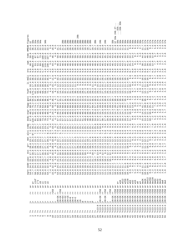|                          |                       |                          |                            |                                                                                     |                           |                                                                             |               |                                                  |                              |                              |                                        |                              |                        |                           |                                     |                                                                                                                                                                                                                                                                                                                                                                                                                                                              |               |                          |                        |                          |                          |                                                             |                                                  |                                                                     |                                             |                                  |                                           |                                                                      |                                 | $\cdot$<br>∼<br>$\sim$<br>4b<br>$\sim$ | $\sqrt{2}$<br>$\cdot$ $\sim$<br>$\frac{2b}{3b}$ .<br>$\omega$ $\omega$<br>$\cdot$ | $\cdot$                                   |                                             |                                                                      |                                           |                                 |                          |                                                                         |                                 |                                                  |                                      |                                              |                                                                                        |                                   |                               |
|--------------------------|-----------------------|--------------------------|----------------------------|-------------------------------------------------------------------------------------|---------------------------|-----------------------------------------------------------------------------|---------------|--------------------------------------------------|------------------------------|------------------------------|----------------------------------------|------------------------------|------------------------|---------------------------|-------------------------------------|--------------------------------------------------------------------------------------------------------------------------------------------------------------------------------------------------------------------------------------------------------------------------------------------------------------------------------------------------------------------------------------------------------------------------------------------------------------|---------------|--------------------------|------------------------|--------------------------|--------------------------|-------------------------------------------------------------|--------------------------------------------------|---------------------------------------------------------------------|---------------------------------------------|----------------------------------|-------------------------------------------|----------------------------------------------------------------------|---------------------------------|----------------------------------------|-----------------------------------------------------------------------------------|-------------------------------------------|---------------------------------------------|----------------------------------------------------------------------|-------------------------------------------|---------------------------------|--------------------------|-------------------------------------------------------------------------|---------------------------------|--------------------------------------------------|--------------------------------------|----------------------------------------------|----------------------------------------------------------------------------------------|-----------------------------------|-------------------------------|
| m<br>$\omega$<br>Ĕ<br>ת  |                       |                          |                            | <b>ದ</b> ದ ದ<br>નિં ભ છે છે જે જે<br><b>EHHHHM</b>                                  |                           | 4b<br>$\sim$                                                                |               |                                                  |                              |                              |                                        |                              |                        |                           |                                     | 88888888888<br>a a a a a a a a a a a a                                                                                                                                                                                                                                                                                                                                                                                                                       | д<br>$\sigma$ |                          |                        |                          |                          |                                                             |                                                  | ₽<br>$\infty$<br>$\sim$                                             | 4b<br>$\sim$                                |                                  | 4b<br>$\sim$                              |                                                                      |                                 | ď<br>G<br>$\overline{\phantom{a}}$     |                                                                                   |                                           |                                             | M H H H H H H H H H H H H H H H H H H                                |                                           |                                 |                          |                                                                         |                                 |                                                  |                                      |                                              |                                                                                        |                                   |                               |
|                          |                       | $\overline{\phantom{a}}$ |                            |                                                                                     |                           | $\overline{u}$ n n $\overline{\infty}$ $\overline{\infty}$ n $\overline{u}$ |               |                                                  | $\overline{a}$               |                              |                                        |                              |                        |                           |                                     | $\begin{smallmatrix}0&0&0&\widetilde{C}&\widetilde{C}&\widetilde{C}&\widetilde{C}&\widetilde{C}&\widetilde{C}&\widetilde{C}&\widetilde{C}&\widetilde{C}&\widetilde{C}&\widetilde{C}&\widetilde{C}&\widetilde{C}&\widetilde{C}&\widetilde{C}&\widetilde{C}&\widetilde{C}&\widetilde{C}&\widetilde{C}&\widetilde{C}&\widetilde{C}&\widetilde{C}&\widetilde{C}&\widetilde{C}&\widetilde{C}&\widetilde{C}&\widetilde{C}&\widetilde{C}&\widetilde{C}&\widetilde{$ |               |                          |                        |                          |                          |                                                             |                                                  |                                                                     |                                             |                                  |                                           |                                                                      |                                 |                                        |                                                                                   |                                           |                                             |                                                                      |                                           |                                 |                          |                                                                         |                                 |                                                  |                                      |                                              |                                                                                        |                                   |                               |
|                          |                       | ഹ                        |                            |                                                                                     |                           | 46556014<br>$-1 - 1$                                                        |               |                                                  |                              |                              |                                        |                              |                        |                           |                                     | $\frac{1}{10}$ a d m a d a d m a d m a d m a d m a d m a d m a d m a d m a d m a d m a d m a d m a d m a d m a d m a d m a d m a d m a d m a d m a d m a d m a d m a d m a d m a d m a d m a d m a d m a d m a d m a d m a d m a<br>4 4 4 4 4 4 4 4 4                                                                                                                                                                                                        |               |                          | ব ব ব                  |                          |                          |                                                             |                                                  |                                                                     |                                             |                                  |                                           |                                                                      |                                 |                                        |                                                                                   |                                           |                                             |                                                                      |                                           |                                 |                          |                                                                         |                                 |                                                  |                                      |                                              |                                                                                        |                                   |                               |
|                          |                       |                          |                            |                                                                                     |                           |                                                                             |               |                                                  |                              |                              |                                        |                              |                        |                           |                                     |                                                                                                                                                                                                                                                                                                                                                                                                                                                              |               |                          |                        |                          |                          |                                                             |                                                  |                                                                     |                                             |                                  |                                           |                                                                      |                                 |                                        |                                                                                   |                                           |                                             |                                                                      |                                           |                                 |                          |                                                                         |                                 |                                                  |                                      |                                              |                                                                                        |                                   |                               |
|                          |                       |                          |                            |                                                                                     |                           |                                                                             |               |                                                  |                              |                              |                                        |                              |                        |                           |                                     |                                                                                                                                                                                                                                                                                                                                                                                                                                                              |               |                          |                        |                          |                          |                                                             |                                                  |                                                                     |                                             |                                  |                                           |                                                                      |                                 |                                        |                                                                                   |                                           |                                             |                                                                      |                                           |                                 |                          |                                                                         |                                 |                                                  |                                      |                                              |                                                                                        |                                   |                               |
| $\overline{\phantom{0}}$ |                       |                          |                            |                                                                                     |                           |                                                                             |               |                                                  |                              |                              |                                        |                              |                        |                           |                                     |                                                                                                                                                                                                                                                                                                                                                                                                                                                              |               |                          |                        |                          |                          |                                                             |                                                  |                                                                     |                                             |                                  |                                           |                                                                      |                                 |                                        |                                                                                   |                                           |                                             | ----------------                                                     |                                           |                                 |                          |                                                                         |                                 |                                                  |                                      |                                              |                                                                                        |                                   |                               |
|                          |                       |                          |                            |                                                                                     |                           | ת היה היה היה היה<br>את המשפט משל<br>היה היה היה היה ה                      |               |                                                  |                              |                              |                                        |                              |                        |                           |                                     | $\alpha$ a was considered a distribution computed consideration was distributed considered and distribution of the considered considered considered considered considered considered considered considered considered considered                                                                                                                                                                                                                             |               |                          |                        |                          |                          |                                                             |                                                  |                                                                     |                                             |                                  |                                           |                                                                      |                                 |                                        |                                                                                   |                                           |                                             |                                                                      |                                           |                                 |                          |                                                                         |                                 |                                                  |                                      |                                              |                                                                                        |                                   |                               |
|                          |                       |                          |                            |                                                                                     |                           | m m m m m m m                                                               |               |                                                  |                              |                              |                                        |                              |                        |                           |                                     | $\Xi$ , a consideration and control in a direct consideration and control and an action and consideration and all direct consideration and all direct consideration and all direct consideration and consideration and conside<br>браго по обочбаг пробобочиции бойна байдоо бообор таагилгилтийн т                                                                                                                                                          |               |                          |                        |                          |                          |                                                             |                                                  |                                                                     |                                             |                                  |                                           |                                                                      |                                 |                                        |                                                                                   |                                           |                                             |                                                                      |                                           |                                 |                          |                                                                         |                                 |                                                  |                                      |                                              |                                                                                        |                                   |                               |
|                          |                       |                          |                            |                                                                                     |                           |                                                                             |               |                                                  |                              |                              |                                        |                              |                        |                           |                                     | ה הרב בשטחים היה מספר המספר המשמש המחים המשמש הסבר המשמש המשפט המשמש המשמש המשמש המשמש להיה היה היה היה היה לי<br>מסמש לא היה המשמש המספר הספר המשמש המשמש המספר המספר המשמש המשמש המשמש המשמש המשמש המשמש המשמש המשמש המשמש המ<br>                                                                                                                                                                                                                          |               |                          |                        |                          |                          |                                                             |                                                  |                                                                     |                                             |                                  |                                           |                                                                      |                                 |                                        |                                                                                   |                                           |                                             |                                                                      |                                           |                                 |                          |                                                                         |                                 |                                                  |                                      |                                              |                                                                                        |                                   |                               |
|                          |                       |                          |                            |                                                                                     |                           |                                                                             |               |                                                  |                              |                              |                                        |                              |                        |                           |                                     |                                                                                                                                                                                                                                                                                                                                                                                                                                                              |               |                          |                        |                          |                          |                                                             |                                                  |                                                                     |                                             |                                  |                                           |                                                                      |                                 |                                        |                                                                                   |                                           |                                             |                                                                      |                                           |                                 |                          |                                                                         |                                 |                                                  |                                      |                                              |                                                                                        |                                   |                               |
|                          |                       |                          |                            |                                                                                     |                           |                                                                             |               |                                                  |                              |                              |                                        |                              |                        |                           |                                     | $\frac{1}{9}$ is distributed and is interested by the following and additional distribution of the distribution of the distribution of the state of the distribution of the state of the state of the state of the state of the s                                                                                                                                                                                                                            |               |                          |                        |                          |                          |                                                             |                                                  |                                                                     |                                             |                                  |                                           |                                                                      |                                 |                                        |                                                                                   |                                           |                                             |                                                                      |                                           |                                 |                          |                                                                         |                                 |                                                  |                                      |                                              |                                                                                        |                                   |                               |
|                          |                       |                          |                            |                                                                                     |                           | U N N N N N N N                                                             |               |                                                  |                              |                              |                                        |                              |                        |                           |                                     |                                                                                                                                                                                                                                                                                                                                                                                                                                                              |               |                          |                        |                          |                          |                                                             |                                                  |                                                                     |                                             |                                  |                                           |                                                                      |                                 |                                        |                                                                                   |                                           |                                             |                                                                      |                                           |                                 |                          |                                                                         |                                 |                                                  |                                      |                                              |                                                                                        |                                   |                               |
| ೲ<br>$\omega$            |                       | ന                        |                            |                                                                                     |                           |                                                                             |               |                                                  |                              |                              |                                        |                              |                        |                           |                                     | #awww.drrwadorrrrrrrrmadddregggaddaggregggaddddddddddddggaddag                                                                                                                                                                                                                                                                                                                                                                                               |               |                          |                        |                          |                          |                                                             |                                                  |                                                                     |                                             |                                  |                                           |                                                                      |                                 |                                        |                                                                                   |                                           |                                             |                                                                      |                                           |                                 |                          |                                                                         |                                 |                                                  |                                      |                                              |                                                                                        |                                   |                               |
|                          |                       |                          |                            |                                                                                     |                           |                                                                             |               |                                                  |                              |                              |                                        |                              |                        |                           |                                     | pia na a a r r n u o a r o r r r r r r o o a n a o a a u o o di d i i i i i i i i i i i i o v n u i i o o o n u i i o o n u i o i i i i<br>Flo d d d i i i i i d o a u n o a r o r r r r r r o o o mu i i o a d u d d i i i i i i                                                                                                                                                                                                                            |               |                          |                        |                          |                          |                                                             |                                                  |                                                                     |                                             |                                  |                                           |                                                                      |                                 |                                        |                                                                                   |                                           |                                             |                                                                      |                                           |                                 |                          |                                                                         |                                 |                                                  |                                      |                                              |                                                                                        |                                   |                               |
| $\mathfrak{r}$ )         |                       |                          |                            |                                                                                     |                           | <b>QUAQUAQ</b>                                                              |               | $\sim$                                           |                              |                              |                                        |                              |                        |                           |                                     | o w co w w 4 w w co co co co co co co co co co                                                                                                                                                                                                                                                                                                                                                                                                               |               |                          |                        |                          |                          |                                                             |                                                  |                                                                     |                                             |                                  |                                           |                                                                      |                                 |                                        |                                                                                   |                                           |                                             |                                                                      |                                           |                                 |                          |                                                                         |                                 |                                                  |                                      |                                              |                                                                                        |                                   |                               |
| υ                        |                       |                          |                            | <b>ANONNANA</b>                                                                     |                           |                                                                             | $\sim$        | $\overline{\phantom{0}}$                         |                              | $\sim$                       | $\overline{ }$                         | $\sim$                       | $\sim$                 |                           |                                     | .<br><b>ANANANAN</b>                                                                                                                                                                                                                                                                                                                                                                                                                                         |               |                          |                        |                          |                          | $\overline{a}$<br>2221111                                   |                                                  | $\overline{\phantom{0}}$                                            |                                             |                                  | $\overline{ }$                            | $\overline{ }$<br>$\overline{ }$                                     |                                 |                                        |                                                                                   |                                           |                                             |                                                                      |                                           |                                 |                          |                                                                         |                                 |                                                  |                                      |                                              |                                                                                        |                                   |                               |
| edd                      | ru ru<br>$\cdot$<br>4 | $\cdot$<br>4             | $\cdot$<br>4               | $\cdot$<br>$\cdot$<br>4<br>4                                                        |                           | nnnooo<br>$\cdot$<br>$\begin{array}{c} \n 0 \\  0\n \end{array}$            | $\cdot$<br>4  | $M$ $M$ $O$ $M$                                  | $\cdot$<br>$\cdot$<br>$\sim$ | $\cdot$<br>4                 | $\overline{ }$<br>$-1$                 | Б<br>$\cdot$                 | $\cdot$<br>4           | $\cdot$<br>4              | $\cdot$<br>$\overline{\phantom{a}}$ | $\cdot$<br>$\cdot$<br>4                                                                                                                                                                                                                                                                                                                                                                                                                                      | 4             | 4<br>$\cdot$             | 4                      | $\sim$<br>$\bullet$      | $\bullet$                | <b>NATRAO</b><br>$\cdot$<br><b>A</b> <i>a a a a a a a a</i> |                                                  |                                                                     |                                             |                                  |                                           | $\circ$<br>$\overline{ }$                                            |                                 |                                        |                                                                                   |                                           |                                             | H P P P P W W W H                                                    |                                           | $\cdot$                         | $\blacksquare$<br>4      | $\cdot$<br>$\sim$                                                       |                                 |                                                  |                                      | 8 8 7 6 8 9 9 9 9 9 9                        | $\cdot$<br>$\circ$                                                                     | LO                                | 4                             |
| $\frac{5}{9}$ $\cdot$    | $\circ$<br>$\cdot$    | $\blacksquare$           |                            | <b>DONNON</b><br>$\overline{a}$ $\overline{a}$ $\overline{b}$<br>$\cdot$<br>$\cdot$ | $\circ$<br>$\blacksquare$ | N N<br>$\circ$ $\exists$<br>$\cdot$<br><b>L</b> cocod rund L UN             | $\cdot$       | $\sim$<br>4<br>$\bullet$<br>$\cdot$              | $\infty$ $\circ$<br>$\cdot$  | $\sim$<br>$\circ$<br>$\cdot$ | $\sim$<br>$\overset{\infty}{.}$<br>4N4 | $\sim$<br>$\circ$<br>$\cdot$ | $\sim$                 |                           |                                     | <b>ANNAH</b>                                                                                                                                                                                                                                                                                                                                                                                                                                                 |               | $\overline{\phantom{0}}$ | $\overline{ }$         | $\overline{\phantom{0}}$ | $\overline{\phantom{0}}$ | $\overline{ }$                                              | $\sim$                                           | $\overline{ }$<br>$\overline{\phantom{0}}$                          | $\overline{\phantom{0}}$                    | $\overline{\phantom{0}}$         | $\overline{ }$                            | $\overline{ }$<br>$\overline{\phantom{0}}$                           | $\overline{a}$                  | $\overline{ }$                         | $\overline{ }$<br>$\overline{ }$                                                  | $\overline{\phantom{0}}$                  | $\overline{\phantom{0}}$                    | $\overline{ }$                                                       |                                           |                                 |                          |                                                                         | $\overline{ }$                  | $\overline{ }$<br>$\overline{\phantom{0}}$       |                                      |                                              |                                                                                        |                                   |                               |
|                          |                       |                          |                            |                                                                                     |                           | $0$ $n \wedge n$ $n \wedge n$ $n \wedge n$                                  |               | $\sim$                                           |                              |                              |                                        |                              |                        |                           |                                     |                                                                                                                                                                                                                                                                                                                                                                                                                                                              |               |                          |                        |                          |                          |                                                             |                                                  |                                                                     |                                             |                                  |                                           |                                                                      |                                 |                                        | $\overline{a}$<br>$\overline{ }$                                                  | $\overline{\phantom{0}}$<br>$\sim$        | $\overline{a}$<br>$\circ$                   | $\overline{a}$<br>$\infty$<br>$\overline{ }$                         |                                           | $\sim$                          |                          |                                                                         | $\overline{ }$<br>$\rightarrow$ | $\overline{ }$                                   |                                      | dw512<br>dw256<br>dw128                      | $\overline{\phantom{a}}$                                                               | $\sim$ $\sim$                     |                               |
|                          | $^+_6$                | $\ddot{}$<br>൯           | iInf<br>$\frac{+}{\sigma}$ | $i*2$<br>$\Xi$<br>$\frac{+}{\sigma}$<br>$^{+}$<br>đ                                 | $_{\rm \pi}^{+}$          | $\frac{+}{\sigma}$                                                          | $^{+}$<br>൯   | +<br>œ<br>൯                                      | $+$<br>൯                     | $\frac{+}{\sigma}$           | œ                                      | ൯                            | $_\sigma^+$            | ιQ                        | ൯                                   | $^{+}$<br>œ<br>ಗ                                                                                                                                                                                                                                                                                                                                                                                                                                             | ൯             | ൯                        | ιQ                     | ൯                        | ൯                        | ൯                                                           | ൯                                                | ൯<br>൯                                                              | ൯                                           | ൯                                | <b>G</b>                                  | $_{\alpha}^{+}$<br>$\pm$<br>൯                                        | $_{\text{m}}^{+}$               | $^{+}$<br>đ                            | w1K<br>$\frac{1}{2}$<br>$_{\rm \sigma}^{+}$                                       | $_{\rm \sigma}^{+}$<br>$\frac{+}{\sigma}$ | w51:<br>w256<br>w128<br>$_{\rm \sigma}^{+}$ | $\frac{6}{3}$<br>$_{\rm \sigma}^{+}$                                 | $\frac{+}{\sigma}$<br>$\frac{+}{\sigma}$  | $W_3$<br>$\frac{+}{\sigma}$     | w8<br>$\frac{+}{\sigma}$ | w <sub>4</sub><br>$\frac{+}{\sigma}$                                    | dw2K<br>$^+_0$                  | dw1K<br>$\frac{+}{\sigma}$<br>$\frac{+}{\sigma}$ | $_{\rm \sigma}^{+}$                  | $_{\rm d}^+$                                 | $\frac{6}{3}$<br>$\frac{3}{3}$<br>$\frac{3}{4}$<br>$\frac{3}{4}$<br>$\frac{+}{\sigma}$ | $\frac{+}{\sigma}$                |                               |
|                          |                       |                          | $\ddot{}$<br>7             | $\ddot{}$<br>⊾<br>R                                                                 | $\ddot{}$<br>R            | $^{+}$<br>$\mathsf{H}$                                                      | $\frac{+}{2}$ | O<br>25<br>$^+$ $\vec{\Delta}$<br>$\overline{M}$ | $\mathbf{L}$<br>$\mathbf{H}$ | $\stackrel{+}{\simeq}$       | O<br>25<br>$\overline{a}$              | $^{+}$<br>Я                  | $+$<br>$\mathsf{H}$    | $\ddot{}$<br>$\mathsf{H}$ | Я                                   | $\ddot{}$<br>$\ddot{}$<br>⊾<br>⊾                                                                                                                                                                                                                                                                                                                                                                                                                             | ⊾             | $\ddot{}$                | $^{+}$<br>$\mathsf{H}$ | $^{+}$<br>R              | $^{+}$<br>R              | $\begin{array}{c} + \end{array}$<br>$\overline{\mathbf{H}}$ | $\begin{array}{c} + \end{array}$<br>$\mathbf{H}$ | $^{+}_{\Delta}$<br>$\begin{array}{c} + \end{array}$<br>$\mathbf{H}$ | 0<br>25<br>$\mathbf{H}$                     | $^+$<br>я                        | r256                                      | r256<br>$^{+}_{\rm A}$                                               | $\stackrel{+}{\simeq}$          | $\infty$                               | $\mathsf{\omega}$<br>$\circ$                                                      | $\circ$                                   | $\circ$                                     | $\circ$<br>$\circ$                                                   | $\mathsf{\omega}$                         | $\mathsf \omega$                | $\circ$                  | $\circ$                                                                 | $\mathsf{o}$                    | $\circ$<br>$\circ$                               | $\mathsf \omega$                     | $\circ$                                      | $\circ$                                                                                | $\circ$                           | $\circ$                       |
|                          |                       |                          |                            |                                                                                     |                           | $^{+}$                                                                      |               | $\ddot{}$<br>$^{+}$                              | $\ddot{}$                    |                              | $2K + 2K$<br>$2K + 2K$                 | $2K + 64$                    | $2K + 32$<br>$2K + 16$ |                           | $2K + 8$                            |                                                                                                                                                                                                                                                                                                                                                                                                                                                              |               |                          |                        | 4                        |                          |                                                             |                                                  | $\ddot{}$                                                           | $K+2K$<br>$\sim$                            | $\begin{array}{c} + \end{array}$ | $2K+2K$                                   | $\begin{array}{c} + \end{array}$<br>$\begin{array}{c} + \end{array}$ | $2K+2K$                         | $2K+2K$                                | $j2K + 2K$<br>$j2K + 2K$                                                          | $2K+2K$                                   | $j2K+2K$                                    | $2K+2K$<br>$2K+2K$                                                   | $j2K+2K$                                  | $2K+2K$                         | $2K+2K$                  | $2K+2K$                                                                 | $2K+2K$                         | $2K+2K$<br>$2K + 2K$                             | $2K+2K$                              | $2K + 2K$                                    | $2K+2K$                                                                                | $2K+2K$                           | $K+2K$<br>$\sim$              |
|                          |                       | $+ + + +$                |                            |                                                                                     |                           |                                                                             |               |                                                  |                              |                              |                                        |                              |                        |                           |                                     |                                                                                                                                                                                                                                                                                                                                                                                                                                                              |               |                          |                        |                          |                          | 277P                                                        |                                                  | $\infty$                                                            | $\infty$ $\infty$<br>$\cdot\cdot$<br>$\sim$ | w<br>$\ldots$<br>$\sim$          | $\circ$<br>$\cdot\cdot$<br>m <sub>m</sub> | $\overline{\phantom{a}}$<br>4<br>$\ddotsc$<br>$\cdot \cdot$          | $\overline{ }$<br>$\cdot \cdot$ | 4<br>$\cdot \cdot$                     | $\overline{\phantom{a}}$<br>$\overline{4}$<br>$\cdot \cdot$<br>$\cdot \cdot$      | 4<br>$\ddotsc$                            | $\overline{ }$<br>$\cdot \cdot$             | $\overline{4}$<br>4<br>$\ddot{\phantom{0}}$<br>$\ddotsc$<br>mmmmmmmm | $\overline{\phantom{a}}$<br>$\cdot \cdot$ | 4<br>$\ddotsc$<br>$m \, m \, m$ | 4<br>$\ddotsc$           | $\overline{\phantom{a}}$<br>$\cdot \cdot$<br>$\omega$ $\omega$ $\omega$ | 4<br>$\ddotsc$<br>$\ddotsc$     | 4<br>$\overline{\phantom{a}}$<br>$\cdot \cdot$   | 4<br>$\cdot \cdot$                   | $\overline{ }$<br>$\ddotsc$<br>$m \, m \, m$ | 4<br>$\cdot \cdot$                                                                     | 4<br>ოო                           | 4<br>$\sim$                   |
|                          |                       |                          | $\sim$                     |                                                                                     |                           |                                                                             |               |                                                  |                              |                              |                                        |                              |                        |                           |                                     |                                                                                                                                                                                                                                                                                                                                                                                                                                                              |               | $\sim$                   | $\stackrel{+}{\sim}$   | $\sim$                   |                          | $0.0 + 0.0 + 0.0$                                           |                                                  | $\mathfrak{a}$                                                      | $\frac{1}{5}$<br>$\sim$                     |                                  |                                           |                                                                      | cd<br>201                       | 2c1                                    | cd<br>201                                                                         | $\rm \bar{\rm o}$<br>$\alpha$             | cd<br>cd<br>cd                              | 2c1                                                                  |                                           | cd<br>201                       | 2c1                      | $\frac{2}{5}$ c1                                                        |                                 | $\rm \bar{\rm o}$<br>$\sim$                      | $\rm _{\rm 5}^{+1}$<br>$\sim$ $\sim$ | $\rm _{\rm C}^{-1}$<br>$\sim$                | $\overline{\text{c}}$                                                                  | $\vec{\text{c}}$<br>$\sim$ $\sim$ | $\overline{\textbf{C}}$<br>Λ. |
|                          |                       |                          |                            |                                                                                     |                           |                                                                             |               |                                                  |                              |                              |                                        |                              |                        |                           |                                     |                                                                                                                                                                                                                                                                                                                                                                                                                                                              |               |                          |                        |                          |                          |                                                             |                                                  |                                                                     |                                             |                                  |                                           |                                                                      |                                 |                                        |                                                                                   |                                           |                                             |                                                                      |                                           |                                 |                          |                                                                         |                                 |                                                  |                                      |                                              |                                                                                        |                                   |                               |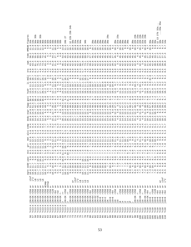|                   |                            |                                     |                                                                                                                                                                                                                                       |                                                                                                                                                                                                                                                                                                                                                                                                                                                         |                                                 |                        |                |                   |                                                         |               |              |                       | 24b<br>23 <sub>b</sub>      |                         |                                     |                        |                     |                |              |          |                                     |                                                                                                                                  |                                                                                                          |         |    |                                                                                               | ಗ           |                                  |                          | ದ                                                             |               |                                                                                                               |                     |                          |                |                                                                   |                                                                                                                         |                                      |                                                                                                                                                                                                                                      |                     |                                                         |                                                                                                                                                                                                                                                                                                               | 27 <sub>b</sub>                               |
|-------------------|----------------------------|-------------------------------------|---------------------------------------------------------------------------------------------------------------------------------------------------------------------------------------------------------------------------------------|---------------------------------------------------------------------------------------------------------------------------------------------------------------------------------------------------------------------------------------------------------------------------------------------------------------------------------------------------------------------------------------------------------------------------------------------------------|-------------------------------------------------|------------------------|----------------|-------------------|---------------------------------------------------------|---------------|--------------|-----------------------|-----------------------------|-------------------------|-------------------------------------|------------------------|---------------------|----------------|--------------|----------|-------------------------------------|----------------------------------------------------------------------------------------------------------------------------------|----------------------------------------------------------------------------------------------------------|---------|----|-----------------------------------------------------------------------------------------------|-------------|----------------------------------|--------------------------|---------------------------------------------------------------|---------------|---------------------------------------------------------------------------------------------------------------|---------------------|--------------------------|----------------|-------------------------------------------------------------------|-------------------------------------------------------------------------------------------------------------------------|--------------------------------------|--------------------------------------------------------------------------------------------------------------------------------------------------------------------------------------------------------------------------------------|---------------------|---------------------------------------------------------|---------------------------------------------------------------------------------------------------------------------------------------------------------------------------------------------------------------------------------------------------------------------------------------------------------------|-----------------------------------------------|
| O<br>Я<br>.<br>ភូ | n 4 4<br>5 4 4             | $\overline{10}$<br>3                | 95<br>3                                                                                                                                                                                                                               | nuuuuuuuuu<br>Pappanguunuu<br>Pappanguunuu<br>$\circ$                                                                                                                                                                                                                                                                                                                                                                                                   | $\sigma$<br>$\circ$                             | 4                      | 4              | O                 | ഥ                                                       | 4             | $\infty$ in  | $\mathbf{\sim}$<br>4b | д<br>ä<br>$\mathbf{\Omega}$ | $\approx$ $\frac{a}{8}$ | ೲ                                   | 104                    | 4                   |                | A,           |          |                                     | T T T T T T T T T<br>T T T T T T T T T T<br>$\begin{array}{c} \mathcal{O} & \mathcal{O} & \mathcal{O} & \mathcal{O} \end{array}$ |                                                                                                          |         |    |                                                                                               | Ō<br>$\sim$ |                                  |                          | $\sim$<br>8<br>8<br>2<br>2<br>2<br>2<br>2<br>2<br>3<br>2<br>3 |               |                                                                                                               | $28a$<br>$28a$<br>Ō |                          | $\circ$        | 23 <sub>b</sub><br>$\begin{array}{c} 28a \\ 22b \end{array}$<br>ഥ | $22a$<br>$22b$                                                                                                          |                                      | $22a$<br>$22b$<br>$\circ$                                                                                                                                                                                                            |                     | $\sigma$                                                | d d d d d<br>m m m n d d                                                                                                                                                                                                                                                                                      | $\infty$<br>$\overline{\phantom{0}}$<br>on vo |
| HMEAN<br>omc      |                            |                                     |                                                                                                                                                                                                                                       |                                                                                                                                                                                                                                                                                                                                                                                                                                                         | 4.7.9.7.9.9.9.9                                 |                        |                |                   |                                                         |               |              | 4                     | w                           |                         |                                     |                        |                     |                |              |          | $\blacksquare$                      |                                                                                                                                  |                                                                                                          |         |    |                                                                                               |             | $\sigma$                         | $\circ$<br>$\mathcal{A}$ | $\frac{1}{4}$<br>$\sigma$                                     | $\dot{\circ}$ | $\dot{\circ}$                                                                                                 |                     | $O_0$ $O_1$              | 4              | $\dot{\circ}$<br>ഗത                                               | $\ddot{ }$                                                                                                              | $\circ$<br>ᢦ                         | $\frac{1}{4}$<br>$\sigma$                                                                                                                                                                                                            | ᡇᡊ                  |                                                         |                                                                                                                                                                                                                                                                                                               |                                               |
| swm               | $\circ$                    | $\circ$                             |                                                                                                                                                                                                                                       | n o o o o n d 4 w 4 r 6 4 w n w n m n m m m o o                                                                                                                                                                                                                                                                                                                                                                                                         |                                                 |                        |                |                   |                                                         |               |              |                       |                             |                         |                                     |                        |                     |                |              |          |                                     |                                                                                                                                  |                                                                                                          |         |    |                                                                                               |             | <b>N N D D D D D D D D N N N</b> |                          | 4                                                             |               | <b>566566</b><br>raddadadada da da da da da da<br>"Canadadada da da da da da da<br>"Canadadadada" da da da da |                     |                          |                | S                                                                 |                                                                                                                         | S                                    | 4<br>$\overline{\Omega}$                                                                                                                                                                                                             | 52                  | $\frac{1}{2}$                                           | m m                                                                                                                                                                                                                                                                                                           |                                               |
|                   | ര⊂                         |                                     |                                                                                                                                                                                                                                       | <b>COOCOOCOO COO</b>                                                                                                                                                                                                                                                                                                                                                                                                                                    |                                                 |                        |                |                   |                                                         |               |              |                       |                             | $\circ$                 |                                     |                        |                     | ∼              |              |          | $\infty$ ທ $\infty$ $\circ$ $\circ$ |                                                                                                                                  | $\circ$                                                                                                  | $\circ$ |    |                                                                                               |             |                                  |                          |                                                               |               |                                                                                                               |                     |                          |                |                                                                   | $\sim$                                                                                                                  | U W                                  | oongnom                                                                                                                                                                                                                              |                     | G                                                       | م م                                                                                                                                                                                                                                                                                                           |                                               |
|                   | 5.5.5                      |                                     |                                                                                                                                                                                                                                       |                                                                                                                                                                                                                                                                                                                                                                                                                                                         |                                                 | $\frac{1}{4}$<br>۱۵ سی | $\overline{6}$ | $\infty$          |                                                         |               | $\sigma$     |                       | $\circ$ $\circ$ $\circ$     |                         | $\circ$ $\circ$ $\circ$<br>on on on |                        | <b>LO</b>           | LO             |              |          | $\infty$<br>$\sigma$                |                                                                                                                                  | ന ന ന                                                                                                    |         | തത |                                                                                               | $\sigma$    | $\circ$ $\circ$ $\circ$          | ᡡ                        | 4<br>Q Q                                                      | $\sigma$      | $\sigma$<br>ᡡ                                                                                                 | ᡡ                   | 0.000<br>ᡡ               |                | $\sigma$                                                          |                                                                                                                         | $\infty$                             |                                                                                                                                                                                                                                      |                     | ______                                                  |                                                                                                                                                                                                                                                                                                               | $\infty$                                      |
|                   |                            |                                     |                                                                                                                                                                                                                                       |                                                                                                                                                                                                                                                                                                                                                                                                                                                         |                                                 |                        |                |                   |                                                         |               |              |                       |                             |                         |                                     |                        |                     |                |              |          |                                     |                                                                                                                                  |                                                                                                          |         |    |                                                                                               |             |                                  |                          |                                                               |               |                                                                                                               |                     |                          |                |                                                                   |                                                                                                                         |                                      |                                                                                                                                                                                                                                      |                     |                                                         |                                                                                                                                                                                                                                                                                                               |                                               |
| hydr              |                            |                                     |                                                                                                                                                                                                                                       |                                                                                                                                                                                                                                                                                                                                                                                                                                                         |                                                 |                        |                |                   |                                                         |               |              |                       |                             |                         |                                     |                        |                     |                |              |          |                                     |                                                                                                                                  |                                                                                                          |         |    |                                                                                               |             |                                  |                          |                                                               |               |                                                                                                               |                     |                          |                |                                                                   |                                                                                                                         |                                      |                                                                                                                                                                                                                                      |                     |                                                         |                                                                                                                                                                                                                                                                                                               |                                               |
|                   |                            |                                     |                                                                                                                                                                                                                                       |                                                                                                                                                                                                                                                                                                                                                                                                                                                         |                                                 |                        |                |                   |                                                         |               |              |                       |                             |                         |                                     |                        |                     |                |              |          |                                     |                                                                                                                                  |                                                                                                          |         |    |                                                                                               |             |                                  |                          |                                                               |               |                                                                                                               |                     |                          |                |                                                                   |                                                                                                                         |                                      |                                                                                                                                                                                                                                      |                     |                                                         |                                                                                                                                                                                                                                                                                                               |                                               |
| Eppp              |                            |                                     |                                                                                                                                                                                                                                       |                                                                                                                                                                                                                                                                                                                                                                                                                                                         |                                                 |                        |                |                   |                                                         |               |              |                       |                             |                         |                                     |                        |                     |                |              |          |                                     |                                                                                                                                  |                                                                                                          |         |    |                                                                                               |             |                                  |                          |                                                               |               |                                                                                                               |                     |                          |                |                                                                   | $\infty$ $\infty$ $\infty$ $\infty$ $\infty$                                                                            |                                      | $\ddot{u}$ , $\ddot{u}$ , $\ddot{u}$ , $\ddot{u}$ , $\ddot{u}$ , $\ddot{u}$                                                                                                                                                          |                     |                                                         |                                                                                                                                                                                                                                                                                                               |                                               |
| esp               |                            |                                     |                                                                                                                                                                                                                                       |                                                                                                                                                                                                                                                                                                                                                                                                                                                         |                                                 |                        |                |                   |                                                         |               |              |                       |                             |                         |                                     |                        |                     |                |              |          |                                     |                                                                                                                                  |                                                                                                          |         |    |                                                                                               |             |                                  |                          |                                                               |               | $\overline{ }$<br>47                                                                                          | $\overline{r}$      | ${}^{\circ}$             | 47             | 48                                                                |                                                                                                                         |                                      |                                                                                                                                                                                                                                      |                     |                                                         |                                                                                                                                                                                                                                                                                                               |                                               |
| ರ<br>ರ            | <b>664544</b><br>H H H H H |                                     |                                                                                                                                                                                                                                       |                                                                                                                                                                                                                                                                                                                                                                                                                                                         | すっこ<br>A HT STORHTHHTHHTHHTHHTHTHTHT            |                        |                |                   | $\begin{array}{c} -1 & 0 & 0 \\ -1 & 0 & 0 \end{array}$ |               |              |                       |                             |                         |                                     |                        |                     |                |              |          |                                     |                                                                                                                                  |                                                                                                          |         |    |                                                                                               |             |                                  |                          | $\overline{ }$                                                | Ō<br>4        | 4                                                                                                             |                     | 4.4.74.7                 |                |                                                                   | O<br>₩                                                                                                                  | $\sigma$<br>$\overline{\phantom{a}}$ | ru ru<br>4<br>4                                                                                                                                                                                                                      |                     | $\circ$ $\circ$                                         | ⊄ শ                                                                                                                                                                                                                                                                                                           | $\circ$                                       |
|                   |                            |                                     |                                                                                                                                                                                                                                       |                                                                                                                                                                                                                                                                                                                                                                                                                                                         |                                                 |                        |                |                   |                                                         |               |              |                       |                             |                         |                                     |                        |                     |                |              |          | $\infty$                            |                                                                                                                                  |                                                                                                          |         |    |                                                                                               |             | N N                              |                          | $Q \sim 4$                                                    |               | 2222242                                                                                                       |                     |                          |                |                                                                   |                                                                                                                         |                                      | ₩                                                                                                                                                                                                                                    | $\overline{a}$      |                                                         |                                                                                                                                                                                                                                                                                                               |                                               |
| alvi              | <b>56666666666</b>         |                                     |                                                                                                                                                                                                                                       |                                                                                                                                                                                                                                                                                                                                                                                                                                                         |                                                 |                        |                |                   |                                                         |               |              |                       |                             |                         | 0                                   |                        |                     |                |              |          |                                     |                                                                                                                                  |                                                                                                          |         |    |                                                                                               |             |                                  |                          |                                                               |               |                                                                                                               |                     |                          |                |                                                                   | n o w o w                                                                                                               |                                      |                                                                                                                                                                                                                                      | ဖက                  |                                                         |                                                                                                                                                                                                                                                                                                               |                                               |
|                   |                            |                                     |                                                                                                                                                                                                                                       |                                                                                                                                                                                                                                                                                                                                                                                                                                                         | $\ddot{\omega}$ $\ddot{\omega}$ $\ddot{\omega}$ |                        |                |                   |                                                         |               |              |                       |                             |                         |                                     |                        |                     |                |              |          | $0.0$<br>$1.4$                      |                                                                                                                                  | 44444                                                                                                    |         |    |                                                                                               |             | $\overline{0}$ .                 | $\overline{a}$           |                                                               |               |                                                                                                               | 0.7                 |                          |                |                                                                   | $\begin{array}{c} 60 & 0 \\ 0 & 0 \\ 0 & 0 \\ \end{array} \rightarrow \begin{array}{c} 1 \\ 0 \\ 0 \\ 0 \\ \end{array}$ |                                      |                                                                                                                                                                                                                                      | $\alpha$ , $\alpha$ | $\circ \circ \circ \circ \circ \circ \circ \circ \circ$ |                                                                                                                                                                                                                                                                                                               |                                               |
| öì                | 9 R                        |                                     |                                                                                                                                                                                                                                       |                                                                                                                                                                                                                                                                                                                                                                                                                                                         |                                                 |                        |                |                   |                                                         |               |              |                       |                             |                         |                                     |                        | $\circ$<br>$\sigma$ | ್.<br>$\infty$ |              | $\infty$ | rv o                                | $\circ$                                                                                                                          | $\circ$ .                                                                                                | $\circ$ |    | $\overset{\circ}{\circ} \overset{\circ}{\circ} \overset{\circ}{\circ} \overset{\circ}{\circ}$ |             | 4                                |                          | $\infty$ $\infty$                                             |               |                                                                                                               | O N                 |                          |                |                                                                   |                                                                                                                         |                                      | 200000000                                                                                                                                                                                                                            |                     |                                                         |                                                                                                                                                                                                                                                                                                               |                                               |
|                   | റ ഥ                        |                                     |                                                                                                                                                                                                                                       |                                                                                                                                                                                                                                                                                                                                                                                                                                                         | ဖ                                               | மங                     |                | $\infty$          |                                                         |               |              |                       | 4 w 10 % 9 % %              |                         |                                     | $^{\circ}$             | $\infty$            |                |              |          |                                     |                                                                                                                                  |                                                                                                          |         |    |                                                                                               |             |                                  |                          |                                                               |               |                                                                                                               |                     |                          |                |                                                                   |                                                                                                                         |                                      |                                                                                                                                                                                                                                      |                     |                                                         |                                                                                                                                                                                                                                                                                                               |                                               |
|                   |                            | o o o o o o u o o d r               | $\begin{array}{c} \begin{array}{c} \text{ } \\ \text{ } \\ \text{ } \\ \end{array} & \begin{array}{c} \text{ } \\ \text{ } \\ \text{ } \\ \end{array} & \begin{array}{c} \text{ } \\ \text{ } \\ \text{ } \\ \end{array} \end{array}$ |                                                                                                                                                                                                                                                                                                                                                                                                                                                         |                                                 |                        |                |                   |                                                         |               |              |                       |                             |                         |                                     |                        |                     |                |              |          | $0$ $0$ $0$ $0$ $0$ $0$             |                                                                                                                                  |                                                                                                          |         | ററ |                                                                                               |             |                                  |                          |                                                               | $\sigma$      |                                                                                                               |                     | @Q@Q@Q@Q                 |                |                                                                   |                                                                                                                         |                                      |                                                                                                                                                                                                                                      |                     |                                                         |                                                                                                                                                                                                                                                                                                               |                                               |
| edd<br>CΩ         |                            |                                     |                                                                                                                                                                                                                                       |                                                                                                                                                                                                                                                                                                                                                                                                                                                         |                                                 |                        |                |                   |                                                         |               |              |                       |                             |                         |                                     |                        |                     |                |              |          |                                     |                                                                                                                                  |                                                                                                          |         |    |                                                                                               |             |                                  |                          |                                                               |               |                                                                                                               |                     | $\overline{\phantom{0}}$ | $0.7$<br>$6.7$ | $\overline{\phantom{0}}$                                          | $\begin{array}{c}\n\circ & \circ & \circ \\ \circ & \circ & \circ \\ \circ & \circ & \circ\n\end{array}$                | $\overline{ }$                       |                                                                                                                                                                                                                                      |                     |                                                         | $-1$                                                                                                                                                                                                                                                                                                          |                                               |
| Φ                 | $\infty$ $\infty$ $\infty$ |                                     | P P                                                                                                                                                                                                                                   | 4                                                                                                                                                                                                                                                                                                                                                                                                                                                       |                                                 |                        |                |                   |                                                         |               |              |                       |                             |                         |                                     |                        |                     |                |              |          |                                     |                                                                                                                                  |                                                                                                          |         |    |                                                                                               |             |                                  |                          |                                                               |               |                                                                                                               |                     |                          |                |                                                                   |                                                                                                                         |                                      | a<br>conocido da dida do contra do contra do contra dida do contra do dida dida do contra do contra do contra do co<br>conocido do cal dida do contra do contra do contra do contra do contra do contra do contra do contra do contr |                     |                                                         |                                                                                                                                                                                                                                                                                                               |                                               |
|                   | inf                        | י<br>אָפֿטלאָ<br>אַבֿון             |                                                                                                                                                                                                                                       |                                                                                                                                                                                                                                                                                                                                                                                                                                                         |                                                 |                        |                |                   |                                                         |               |              |                       |                             |                         |                                     |                        |                     |                |              |          |                                     |                                                                                                                                  |                                                                                                          |         |    |                                                                                               |             |                                  |                          |                                                               |               |                                                                                                               |                     |                          |                |                                                                   |                                                                                                                         |                                      |                                                                                                                                                                                                                                      |                     |                                                         |                                                                                                                                                                                                                                                                                                               |                                               |
|                   |                            | $+$                                 |                                                                                                                                                                                                                                       | $+$                                                                                                                                                                                                                                                                                                                                                                                                                                                     | Comp                                            | $\mathbf{p}$<br>Ins)   |                |                   |                                                         |               |              |                       | $^{+}$                      | $\ddot{}$               | $^{+}$<br>ದ                         | $^{+}$<br><sub>ದ</sub> | $\ddot{}$           | $\ddot{}$<br>đ | <sub>ದ</sub> |          |                                     |                                                                                                                                  |                                                                                                          |         |    |                                                                                               |             |                                  |                          | $\overline{1}$                                                |               |                                                                                                               |                     |                          |                |                                                                   | $^{+}$                                                                                                                  |                                      | $^{+}$                                                                                                                                                                                                                               |                     | $^{+}$<br>ರ ರ ರ                                         | $^{+}$<br>ರ ರ ರ                                                                                                                                                                                                                                                                                               | $\ddot{}$                                     |
|                   | r 256<br>r 256             |                                     |                                                                                                                                                                                                                                       | $\begin{array}{lll} \texttt{GO} & \texttt{GO} & \texttt{GO} & \texttt{GO} \\ \texttt{GO} & \texttt{GO} & \texttt{GO} & \texttt{GO} \\ \texttt{O} & \texttt{O} & \texttt{O} & \texttt{O} \\ \texttt{O} & \texttt{O} & \texttt{O} & \texttt{O} \\ \texttt{O} & \texttt{O} & \texttt{O} & \texttt{O} \end{array} \quad \begin{array}{lll} \texttt{O} & \texttt{O} & \texttt{O} \\ \texttt{O} & \texttt{O} & \texttt{O} & \texttt{O} \\ \texttt{O} & \text$ |                                                 |                        |                |                   |                                                         |               |              |                       |                             |                         |                                     |                        |                     |                |              |          |                                     |                                                                                                                                  |                                                                                                          |         |    |                                                                                               |             |                                  |                          |                                                               |               |                                                                                                               |                     |                          |                |                                                                   | $\mathbf{I}$<br>$\mathbf{H}$                                                                                            | w<br>256<br>ਮ ਮ                      | w<br>$\perp$                                                                                                                                                                                                                         |                     | 7<br>764<br>74                                          | F256<br>F128<br>F64                                                                                                                                                                                                                                                                                           |                                               |
|                   | $j2K + 2K$<br>$j2K + 2K$   |                                     |                                                                                                                                                                                                                                       |                                                                                                                                                                                                                                                                                                                                                                                                                                                         |                                                 |                        |                |                   |                                                         |               |              |                       |                             |                         |                                     |                        |                     |                |              |          |                                     |                                                                                                                                  |                                                                                                          |         |    |                                                                                               |             |                                  |                          |                                                               |               |                                                                                                               |                     |                          | $\mathbf{L}$   |                                                                   | $j2K + 2K$<br>$j16$<br>$j2K + 2K$<br>$j16$                                                                              |                                      |                                                                                                                                                                                                                                      |                     | $j 2K + 2K$<br>$j 2K + 2K$<br>$j 16 + 8$                | $\begin{array}{c} 1.16 + 8 \\ 1.16 + 8 \\ 1.16 + 8 \\ 1.16 + 8 \\ 1.16 + 8 \\ 1.16 + 8 \\ 1.16 + 8 \\ 1.16 + 8 \\ 1.16 + 8 \\ 1.16 + 8 \\ 1.16 + 8 \\ 1.16 + 8 \\ 1.16 + 8 \\ 1.16 + 8 \\ 1.16 + 8 \\ 1.16 + 8 \\ 1.16 + 8 \\ 1.16 + 8 \\ 1.16 + 8 \\ 1.16 + 8 \\ 1.16 + 8 \\ 1.16 + 8 \\ 1.16 + 8 \\ 1.16 +$ |                                               |
|                   | 4                          | 4<br>4<br>$\ddotsc$<br>$\cdot\cdot$ |                                                                                                                                                                                                                                       | $\cdots$                                                                                                                                                                                                                                                                                                                                                                                                                                                | 4<br>$\ldots$<br>$\cdots$                       | 4<br>$\cdot\cdot$      | 4<br>$\ldots$  | 4<br>$\cdot\cdot$ | 4<br>$\ddotsc$                                          | 4<br>$\cdots$ | $\cdot\cdot$ | $\cdot\cdot$          | $\omega$ $\omega$ $\omega$  |                         | $\mathbf{\omega}$                   | $\epsilon$             | $\omega$            | w w            |              | $\sim$   | $\omega$<br>$\omega$                |                                                                                                                                  |                                                                                                          |         |    |                                                                                               | $\epsilon$  |                                  | $\mathbf{\widetilde{z}}$ |                                                               |               | $\omega$                                                                                                      |                     |                          |                |                                                                   |                                                                                                                         |                                      | $\circ$                                                                                                                                                                                                                              |                     |                                                         | $\circ$                                                                                                                                                                                                                                                                                                       |                                               |
|                   | 딩                          | 2c13<br>2c13                        | ?c13<br>?c13<br>?c13                                                                                                                                                                                                                  |                                                                                                                                                                                                                                                                                                                                                                                                                                                         | $2013$<br>$2013$                                | 2c13                   |                | ?c13<br>?c13      | 2c13                                                    | ?c13<br>?c13  |              | 2c13                  | 2c1                         | 2 <sub>c1</sub>         |                                     | 2c1                    | 2 <sub>c1</sub>     | 2c1            |              | 201      | 2c1                                 |                                                                                                                                  | $\begin{smallmatrix} 0.013 & 0.013 \\ 0.013 & 0.013 \\ 0.013 & 0.013 \\ 0.013 & 0.013 \end{smallmatrix}$ |         |    |                                                                                               | 2c1         | ?c13<br>?c13                     | 2 <sub>c1</sub>          | ?c13<br>?c13                                                  |               | 2 <sub>c1</sub>                                                                                               | ?c13<br>?c13        | 2c13                     | ?c13<br>?c12   |                                                                   | Pc12                                                                                                                    | 2c11                                 | 2c11<br>2c1                                                                                                                                                                                                                          | 2c1                 | 2c1                                                     | 2 <sub>c1</sub>                                                                                                                                                                                                                                                                                               | 2c1<br>2c1                                    |
|                   |                            |                                     |                                                                                                                                                                                                                                       |                                                                                                                                                                                                                                                                                                                                                                                                                                                         |                                                 |                        |                |                   |                                                         |               |              |                       |                             |                         |                                     |                        |                     |                |              |          |                                     |                                                                                                                                  |                                                                                                          |         |    |                                                                                               |             |                                  |                          |                                                               |               |                                                                                                               |                     |                          |                |                                                                   |                                                                                                                         |                                      |                                                                                                                                                                                                                                      |                     |                                                         |                                                                                                                                                                                                                                                                                                               |                                               |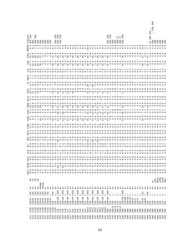|              |                                          |                                                                                                                                                                                                                                                                                                                                    |                                   |                                                          |                                                       | $\bar{u}$<br>Ф                                                            | edd                                          |  |  |                                                                                                                                                                                                                                                                                                                                                                                                              |                                                                                                                                                                                                                                     |                                                                                                                                                                                                                                 |                                                                                                                                                                                                                                     |  |                                                                                                                                                                                                                                  | jures<br>135a                                                       |
|--------------|------------------------------------------|------------------------------------------------------------------------------------------------------------------------------------------------------------------------------------------------------------------------------------------------------------------------------------------------------------------------------------|-----------------------------------|----------------------------------------------------------|-------------------------------------------------------|---------------------------------------------------------------------------|----------------------------------------------|--|--|--------------------------------------------------------------------------------------------------------------------------------------------------------------------------------------------------------------------------------------------------------------------------------------------------------------------------------------------------------------------------------------------------------------|-------------------------------------------------------------------------------------------------------------------------------------------------------------------------------------------------------------------------------------|---------------------------------------------------------------------------------------------------------------------------------------------------------------------------------------------------------------------------------|-------------------------------------------------------------------------------------------------------------------------------------------------------------------------------------------------------------------------------------|--|----------------------------------------------------------------------------------------------------------------------------------------------------------------------------------------------------------------------------------|---------------------------------------------------------------------|
|              | $\circ$<br>$\overline{c}$                | $\infty$<br>$j16+8$                                                                                                                                                                                                                                                                                                                | r64                               | $\frac{+}{\sigma}$                                       |                                                       | 5<br>ن چو<br>ه                                                            | $\infty$ 4<br>$\infty$ $\infty$              |  |  |                                                                                                                                                                                                                                                                                                                                                                                                              |                                                                                                                                                                                                                                     |                                                                                                                                                                                                                                 |                                                                                                                                                                                                                                     |  |                                                                                                                                                                                                                                  |                                                                     |
|              | ?c10                                     | $16 + 8$                                                                                                                                                                                                                                                                                                                           | r64                               | œ                                                        | <b>ASSA</b>                                           | $\infty$<br>$\circ$                                                       |                                              |  |  |                                                                                                                                                                                                                                                                                                                                                                                                              |                                                                                                                                                                                                                                     |                                                                                                                                                                                                                                 |                                                                                                                                                                                                                                     |  |                                                                                                                                                                                                                                  |                                                                     |
| ਦੇ           | 2c10                                     | $\infty$<br>$j16+8$                                                                                                                                                                                                                                                                                                                | r64                               | $\frac{+}{\sigma}$                                       |                                                       | $\infty$                                                                  | $\sigma$                                     |  |  |                                                                                                                                                                                                                                                                                                                                                                                                              |                                                                                                                                                                                                                                     |                                                                                                                                                                                                                                 |                                                                                                                                                                                                                                     |  |                                                                                                                                                                                                                                  | ೲ<br>$\mathfrak{m}$<br>$\sim$                                       |
| ਜ਼ੋ ਜ਼ੋ      | ?c10<br>?c10                             | $\infty$ $\infty$<br>$16 + 8$                                                                                                                                                                                                                                                                                                      | r64<br>r64                        | $_{\rm \sigma}^{+}$                                      |                                                       | $\ddot{\circ}$ is<br>$0 - 0$                                              | $\ddot{a}$ $\ddot{a}$ $\ddot{a}$<br>$\sigma$ |  |  |                                                                                                                                                                                                                                                                                                                                                                                                              |                                                                                                                                                                                                                                     |                                                                                                                                                                                                                                 |                                                                                                                                                                                                                                     |  |                                                                                                                                                                                                                                  |                                                                     |
| S            |                                          | $16 + 8$                                                                                                                                                                                                                                                                                                                           |                                   | acomp                                                    |                                                       |                                                                           | $\infty$                                     |  |  |                                                                                                                                                                                                                                                                                                                                                                                                              |                                                                                                                                                                                                                                     |                                                                                                                                                                                                                                 |                                                                                                                                                                                                                                     |  |                                                                                                                                                                                                                                  |                                                                     |
|              | Pelo<br>Pelo<br>Pelo                     | $\infty$<br>$\frac{116+8}{116+8}$                                                                                                                                                                                                                                                                                                  | r64                               | aInsp                                                    |                                                       | $\overline{r}$<br>444                                                     | 4<br>$\overline{\phantom{a}}$                |  |  | 。<br>Билипим постранатносточность при сторото мотиворительного при посточности посточность с<br>Оппим пим потитичественности посточность при пим посточность посточность с<br>קתי מים המים המוחק המוחמים המוחמים המוחמים המוחמים המוחמים המוחמים המוחמים המוחמים המוחמים המוחמים היום היום<br>בדומות המוחמים המוחמים המוחמים המוחמים המוחמים המוחמים המוחמים המוחמים המוחמים המוחמים המוחמים המוחמים המוחמים | a<br>משמש משמש להווה המוחד המוחד המוחד המוחד המוחד המוחד המוחד המוחד המוחד המוחד המוחד המוחד המוחד המוחד המוחד המו<br>מהיה הביטוח המוחד המוחד המוחד המוחד המוחד המוחד המוחד המוחד המוחד המוחד המוחד המוחד המוחד המוחד המוחד המוחד ה | संसम्मानये कार्यालये अपूर्ण के प्रकार की अपूर्ण के अर्थ के अर्थ के अपूर्ण कार्य कार्य अपूर्ण के अपूर्ण कार्य अ<br>परिवर्ण कार्य कार्य कार्य के अपूर्ण कार्य को अपूर्ण के अर्थ के अर्थ कार्य कार्य कार्य कार्य कार्य कार्य कार्य | d<br>And Linion 4 who not control and motival and motival and motival motival motival motival motival motival motiv<br>And Linion 4 who not control motival motival motival motival motival motival motival motival motival motival |  | יש ביטוח המוסימים לאחרים הוא המוסימים לאחר המוסימים לאחר המוסימים לאחר המוסימים לאחר המוסימים לאחר המוסימים לא<br>הוא המוסימים לאחר המוסימים לאחר המוסימים לאחר המוסימים לאחר המוסימים לאחר המוסימים לאחר המוסימים לאחר המוסימים |                                                                     |
|              |                                          | $\infty$<br>$\infty$                                                                                                                                                                                                                                                                                                               | r64<br>$\sim$<br>Ξz               | $+$<br>л.<br><b>Q</b>                                    |                                                       | $\circ$ $\sim$                                                            | $\overline{P}$<br>$\sim$                     |  |  |                                                                                                                                                                                                                                                                                                                                                                                                              |                                                                                                                                                                                                                                     |                                                                                                                                                                                                                                 |                                                                                                                                                                                                                                     |  |                                                                                                                                                                                                                                  |                                                                     |
|              |                                          |                                                                                                                                                                                                                                                                                                                                    | $\mathbb{I}$<br>$\mathbf{H}$      | $\frac{+}{\sigma}$<br>Q,                                 |                                                       | $\overline{\phantom{a}}$                                                  | $\circ$<br>$\circ$<br>L                      |  |  |                                                                                                                                                                                                                                                                                                                                                                                                              |                                                                                                                                                                                                                                     |                                                                                                                                                                                                                                 |                                                                                                                                                                                                                                     |  |                                                                                                                                                                                                                                  |                                                                     |
|              |                                          |                                                                                                                                                                                                                                                                                                                                    | r64                               | $_{\rm \sigma}^{+}$                                      |                                                       | $\circ$                                                                   | $\circ$                                      |  |  |                                                                                                                                                                                                                                                                                                                                                                                                              |                                                                                                                                                                                                                                     |                                                                                                                                                                                                                                 |                                                                                                                                                                                                                                     |  |                                                                                                                                                                                                                                  |                                                                     |
|              | 2010<br>2010<br>2010                     | $\begin{array}{cccccc} 1 & 1 & 6 & + & 8 \\ 7 & 6 & + & 2 & 1 \\ 1 & 1 & 1 & 2 & 1 \\ 1 & 1 & 2 & 1 & 1 \\ 1 & 1 & 2 & 1 & 1 \\ 1 & 1 & 1 & 2 & 1 \\ 1 & 1 & 1 & 1 & 1 \\ 1 & 1 & 1 & 1 & 1 \\ 1 & 1 & 1 & 1 & 1 \\ 1 & 1 & 1 & 1 & 1 \\ 1 & 1 & 1 & 1 & 1 \\ 1 & 1 & 1 & 1 & 1 \\ 1 & 1 & 1 & 1 & 1 \\ 1 & 1 & 1 & 1 & 1 \\ 1 & $ | $\perp$<br>$\mathbb H$            | $+$<br>Q,                                                |                                                       | $\overline{ }$                                                            | $\circ$<br>$\mathsf{L}\Omega$                |  |  |                                                                                                                                                                                                                                                                                                                                                                                                              |                                                                                                                                                                                                                                     |                                                                                                                                                                                                                                 |                                                                                                                                                                                                                                     |  |                                                                                                                                                                                                                                  |                                                                     |
|              | c<br>00000000000000<br>00000000000000000 |                                                                                                                                                                                                                                                                                                                                    | r256                              | $\frac{+}{\sigma}$                                       |                                                       |                                                                           | 4<br>$\circ$                                 |  |  |                                                                                                                                                                                                                                                                                                                                                                                                              |                                                                                                                                                                                                                                     |                                                                                                                                                                                                                                 |                                                                                                                                                                                                                                     |  |                                                                                                                                                                                                                                  | a<br>23<br>23<br>23                                                 |
|              |                                          |                                                                                                                                                                                                                                                                                                                                    | $\mathbf{1}$<br>Я                 | $_\sigma^+$                                              |                                                       |                                                                           | LO                                           |  |  |                                                                                                                                                                                                                                                                                                                                                                                                              |                                                                                                                                                                                                                                     |                                                                                                                                                                                                                                 |                                                                                                                                                                                                                                     |  |                                                                                                                                                                                                                                  |                                                                     |
|              |                                          |                                                                                                                                                                                                                                                                                                                                    | r256                              | Q,                                                       |                                                       |                                                                           | o m o N 0 0 0 4<br>$\circ$                   |  |  |                                                                                                                                                                                                                                                                                                                                                                                                              |                                                                                                                                                                                                                                     |                                                                                                                                                                                                                                 |                                                                                                                                                                                                                                     |  |                                                                                                                                                                                                                                  |                                                                     |
|              |                                          |                                                                                                                                                                                                                                                                                                                                    | $\mathbb{L}$<br>$\mathsf{H}$      | $_\sigma^+$                                              |                                                       |                                                                           | $\sqrt{2}$                                   |  |  |                                                                                                                                                                                                                                                                                                                                                                                                              |                                                                                                                                                                                                                                     |                                                                                                                                                                                                                                 |                                                                                                                                                                                                                                     |  |                                                                                                                                                                                                                                  |                                                                     |
|              |                                          |                                                                                                                                                                                                                                                                                                                                    | r256                              | $_\sigma^+$                                              |                                                       |                                                                           | $\infty$                                     |  |  |                                                                                                                                                                                                                                                                                                                                                                                                              |                                                                                                                                                                                                                                     |                                                                                                                                                                                                                                 |                                                                                                                                                                                                                                     |  |                                                                                                                                                                                                                                  |                                                                     |
|              |                                          |                                                                                                                                                                                                                                                                                                                                    | $\mathbf{I}$<br>Я                 | Ġ,                                                       |                                                       |                                                                           | 4                                            |  |  |                                                                                                                                                                                                                                                                                                                                                                                                              |                                                                                                                                                                                                                                     |                                                                                                                                                                                                                                 |                                                                                                                                                                                                                                     |  |                                                                                                                                                                                                                                  |                                                                     |
|              |                                          |                                                                                                                                                                                                                                                                                                                                    | r256                              | $_\sigma^+$                                              |                                                       |                                                                           | $\infty$                                     |  |  |                                                                                                                                                                                                                                                                                                                                                                                                              |                                                                                                                                                                                                                                     |                                                                                                                                                                                                                                 |                                                                                                                                                                                                                                     |  |                                                                                                                                                                                                                                  |                                                                     |
|              |                                          | $j2K+2K$<br>$j16$<br>$j2K+2K$                                                                                                                                                                                                                                                                                                      | $\mathbf{I}$<br>Ή                 | $_\sigma^+$                                              |                                                       |                                                                           | 4                                            |  |  |                                                                                                                                                                                                                                                                                                                                                                                                              |                                                                                                                                                                                                                                     |                                                                                                                                                                                                                                 |                                                                                                                                                                                                                                     |  |                                                                                                                                                                                                                                  |                                                                     |
|              |                                          |                                                                                                                                                                                                                                                                                                                                    | r256                              | $_{\text{\tiny{D}}}^+$                                   |                                                       |                                                                           | $\circ$                                      |  |  |                                                                                                                                                                                                                                                                                                                                                                                                              |                                                                                                                                                                                                                                     |                                                                                                                                                                                                                                 |                                                                                                                                                                                                                                     |  |                                                                                                                                                                                                                                  |                                                                     |
|              |                                          | j16<br>j2K+2K<br>j16                                                                                                                                                                                                                                                                                                               | $\mathbf{I}$<br>Ή                 | $_{\text{\tiny{D}}}^+$                                   |                                                       |                                                                           | 4                                            |  |  |                                                                                                                                                                                                                                                                                                                                                                                                              |                                                                                                                                                                                                                                     |                                                                                                                                                                                                                                 |                                                                                                                                                                                                                                     |  |                                                                                                                                                                                                                                  |                                                                     |
|              |                                          |                                                                                                                                                                                                                                                                                                                                    | r256                              | $_\sigma^+$                                              |                                                       |                                                                           | $\circ$                                      |  |  |                                                                                                                                                                                                                                                                                                                                                                                                              |                                                                                                                                                                                                                                     |                                                                                                                                                                                                                                 |                                                                                                                                                                                                                                     |  |                                                                                                                                                                                                                                  |                                                                     |
|              |                                          |                                                                                                                                                                                                                                                                                                                                    | $\mathbf{I}$<br>Я                 | $_\sigma^+$                                              |                                                       | 4                                                                         | 4                                            |  |  |                                                                                                                                                                                                                                                                                                                                                                                                              |                                                                                                                                                                                                                                     |                                                                                                                                                                                                                                 |                                                                                                                                                                                                                                     |  |                                                                                                                                                                                                                                  |                                                                     |
|              | $\sim$<br>cpd?                           |                                                                                                                                                                                                                                                                                                                                    | r256                              | $_\sigma^+$                                              |                                                       | $\overline{\phantom{a}}$ .                                                | $\sigma$                                     |  |  |                                                                                                                                                                                                                                                                                                                                                                                                              |                                                                                                                                                                                                                                     |                                                                                                                                                                                                                                 |                                                                                                                                                                                                                                     |  |                                                                                                                                                                                                                                  |                                                                     |
|              | $\sim$<br>cgs.                           | $j2K + 2K$<br>$j16$<br>$j2K + 2K$                                                                                                                                                                                                                                                                                                  | $\mathsf{L}$<br>Я                 | $_\sigma^+$                                              |                                                       | $\ddot{a}$ $\ddot{a}$                                                     | 4                                            |  |  |                                                                                                                                                                                                                                                                                                                                                                                                              |                                                                                                                                                                                                                                     |                                                                                                                                                                                                                                 |                                                                                                                                                                                                                                     |  |                                                                                                                                                                                                                                  |                                                                     |
|              | $\mathbf{\sim}$<br>Lq <sub>c</sub>       |                                                                                                                                                                                                                                                                                                                                    | r256                              | $_{\text{\tiny{D}}}^+$                                   |                                                       |                                                                           | $\sigma$                                     |  |  |                                                                                                                                                                                                                                                                                                                                                                                                              |                                                                                                                                                                                                                                     |                                                                                                                                                                                                                                 |                                                                                                                                                                                                                                     |  |                                                                                                                                                                                                                                  |                                                                     |
|              | 2b12                                     | j16<br>j2K+2K<br>j16                                                                                                                                                                                                                                                                                                               | $\mathbb T$<br>Η                  | $_\sigma^+$                                              |                                                       | ᅼ<br>c d r d d r w w w d w d w c d c d r w d w w w d w                    | 4                                            |  |  |                                                                                                                                                                                                                                                                                                                                                                                                              |                                                                                                                                                                                                                                     |                                                                                                                                                                                                                                 |                                                                                                                                                                                                                                     |  |                                                                                                                                                                                                                                  |                                                                     |
|              | 2011                                     |                                                                                                                                                                                                                                                                                                                                    | r256                              | $\frac{+}{\sigma}$                                       |                                                       | $\infty$                                                                  | $\sigma$                                     |  |  |                                                                                                                                                                                                                                                                                                                                                                                                              |                                                                                                                                                                                                                                     |                                                                                                                                                                                                                                 |                                                                                                                                                                                                                                     |  |                                                                                                                                                                                                                                  |                                                                     |
|              | 2b11                                     |                                                                                                                                                                                                                                                                                                                                    | $\mathbf{1}$<br>$\mathbb{H}$      | $_\sigma^+$                                              |                                                       |                                                                           | $\overline{ }$                               |  |  |                                                                                                                                                                                                                                                                                                                                                                                                              |                                                                                                                                                                                                                                     |                                                                                                                                                                                                                                 |                                                                                                                                                                                                                                     |  |                                                                                                                                                                                                                                  |                                                                     |
|              | 0 TR.5                                   |                                                                                                                                                                                                                                                                                                                                    | r256                              | $_\sigma^+$                                              |                                                       |                                                                           | $\sigma$                                     |  |  |                                                                                                                                                                                                                                                                                                                                                                                                              |                                                                                                                                                                                                                                     |                                                                                                                                                                                                                                 |                                                                                                                                                                                                                                     |  |                                                                                                                                                                                                                                  |                                                                     |
|              |                                          |                                                                                                                                                                                                                                                                                                                                    | $\mathbf{I}$<br>$\mathbf{H}$      | $_\sigma^+$                                              |                                                       |                                                                           | 4                                            |  |  |                                                                                                                                                                                                                                                                                                                                                                                                              |                                                                                                                                                                                                                                     |                                                                                                                                                                                                                                 |                                                                                                                                                                                                                                     |  |                                                                                                                                                                                                                                  |                                                                     |
| 42           | eqs                                      |                                                                                                                                                                                                                                                                                                                                    | r256                              | $_\sigma^+$                                              |                                                       |                                                                           | $\sigma$                                     |  |  |                                                                                                                                                                                                                                                                                                                                                                                                              |                                                                                                                                                                                                                                     |                                                                                                                                                                                                                                 |                                                                                                                                                                                                                                     |  |                                                                                                                                                                                                                                  | $23a$<br>$23a$<br>a<br>Gangnang<br>Gangnan                          |
| 43           | eqs.                                     |                                                                                                                                                                                                                                                                                                                                    | $\mathbb{L}$<br>$\mathsf{H}$      | $_\sigma^+$                                              |                                                       |                                                                           | 4                                            |  |  |                                                                                                                                                                                                                                                                                                                                                                                                              |                                                                                                                                                                                                                                     |                                                                                                                                                                                                                                 |                                                                                                                                                                                                                                     |  |                                                                                                                                                                                                                                  |                                                                     |
|              | 8:845                                    |                                                                                                                                                                                                                                                                                                                                    | $\mathbf{I}$                      | $\frac{+}{\sigma}$                                       |                                                       |                                                                           | LN.                                          |  |  |                                                                                                                                                                                                                                                                                                                                                                                                              |                                                                                                                                                                                                                                     |                                                                                                                                                                                                                                 |                                                                                                                                                                                                                                     |  |                                                                                                                                                                                                                                  |                                                                     |
| 45           | 9:8d5                                    |                                                                                                                                                                                                                                                                                                                                    | $\mathbf{I}$                      | $_\sigma^+$                                              |                                                       | $\overline{\phantom{a}}$                                                  | LO                                           |  |  |                                                                                                                                                                                                                                                                                                                                                                                                              |                                                                                                                                                                                                                                     |                                                                                                                                                                                                                                 |                                                                                                                                                                                                                                     |  |                                                                                                                                                                                                                                  |                                                                     |
| $46$<br>$47$ | $\ddot{4}$<br>89 ccc                     |                                                                                                                                                                                                                                                                                                                                    | $\mathbb{L}$<br><b>A A A A</b>    | $_{\rm \sigma}^{+}$                                      |                                                       | 44                                                                        | L                                            |  |  |                                                                                                                                                                                                                                                                                                                                                                                                              |                                                                                                                                                                                                                                     |                                                                                                                                                                                                                                 |                                                                                                                                                                                                                                     |  |                                                                                                                                                                                                                                  | 27<br>27<br>23<br>29                                                |
|              | $\sim$<br>$\ddotsc$                      |                                                                                                                                                                                                                                                                                                                                    | $\mathbf{I}$                      | $_{\rm \sigma}^{+}$                                      |                                                       | 4.                                                                        | LN.                                          |  |  |                                                                                                                                                                                                                                                                                                                                                                                                              |                                                                                                                                                                                                                                     |                                                                                                                                                                                                                                 |                                                                                                                                                                                                                                     |  |                                                                                                                                                                                                                                  |                                                                     |
|              | 300c                                     | $2K + 2K$                                                                                                                                                                                                                                                                                                                          | 256<br>$\overline{M}$             | $_{\rm \pi}^{+}$                                         |                                                       | $\ddot{\phi}$ , $\ddot{\phi}$ , $\ddot{\phi}$<br>$\overline{\phantom{a}}$ | $\sigma$                                     |  |  |                                                                                                                                                                                                                                                                                                                                                                                                              |                                                                                                                                                                                                                                     |                                                                                                                                                                                                                                 |                                                                                                                                                                                                                                     |  |                                                                                                                                                                                                                                  |                                                                     |
|              | 8q¿<br>8d                                |                                                                                                                                                                                                                                                                                                                                    | $\mathbf{I}$<br>Я                 | $_{\rm \sigma}^{+}$                                      |                                                       |                                                                           | LO                                           |  |  |                                                                                                                                                                                                                                                                                                                                                                                                              |                                                                                                                                                                                                                                     |                                                                                                                                                                                                                                 |                                                                                                                                                                                                                                     |  |                                                                                                                                                                                                                                  |                                                                     |
|              | 30 <sup>2</sup>                          | j2K+64<br>j2K+32<br>j2K+16                                                                                                                                                                                                                                                                                                         | Я                                 | $_{\rm \sigma}^{+}$                                      |                                                       |                                                                           | LN.<br>$\mathsf{L} \Omega$                   |  |  |                                                                                                                                                                                                                                                                                                                                                                                                              |                                                                                                                                                                                                                                     |                                                                                                                                                                                                                                 |                                                                                                                                                                                                                                     |  |                                                                                                                                                                                                                                  |                                                                     |
|              |                                          |                                                                                                                                                                                                                                                                                                                                    | $\mathbf{I}$<br>$\mathsf{H}$<br>Я | $_{\rm \sigma}^{+}$<br>$_\sigma^+$                       |                                                       | $\ddot{\circ}$ $\ddot{\circ}$ $\ddot{\circ}$                              | LO                                           |  |  |                                                                                                                                                                                                                                                                                                                                                                                                              |                                                                                                                                                                                                                                     |                                                                                                                                                                                                                                 |                                                                                                                                                                                                                                     |  |                                                                                                                                                                                                                                  |                                                                     |
|              | 8q¿<br>8d                                |                                                                                                                                                                                                                                                                                                                                    | $\mathbf{I}$<br>$\mathsf{H}$      | $\frac{+}{\sigma}$                                       |                                                       |                                                                           | LN.                                          |  |  |                                                                                                                                                                                                                                                                                                                                                                                                              |                                                                                                                                                                                                                                     |                                                                                                                                                                                                                                 |                                                                                                                                                                                                                                     |  |                                                                                                                                                                                                                                  |                                                                     |
|              | 30 <sup>2</sup>                          |                                                                                                                                                                                                                                                                                                                                    | $\blacksquare$<br>$\mathsf{H}$    | $\frac{+}{\sigma}$                                       |                                                       |                                                                           |                                              |  |  |                                                                                                                                                                                                                                                                                                                                                                                                              |                                                                                                                                                                                                                                     |                                                                                                                                                                                                                                 |                                                                                                                                                                                                                                     |  |                                                                                                                                                                                                                                  |                                                                     |
|              |                                          |                                                                                                                                                                                                                                                                                                                                    | $\mathbf{I}$<br>$\mathsf{H}$      | $_{\rm \sigma}^{+}$                                      |                                                       | $\infty$ $\infty$                                                         | $\mathbf{d}$                                 |  |  |                                                                                                                                                                                                                                                                                                                                                                                                              |                                                                                                                                                                                                                                     |                                                                                                                                                                                                                                 |                                                                                                                                                                                                                                     |  |                                                                                                                                                                                                                                  |                                                                     |
|              | 8q <sub>c</sub><br>8qc                   |                                                                                                                                                                                                                                                                                                                                    | r64                               | $\frac{+}{\sigma}$                                       |                                                       | $\overline{r}$<br>$\cdot$<br>mmmmmmmdmdmm                                 | $\infty$                                     |  |  |                                                                                                                                                                                                                                                                                                                                                                                                              |                                                                                                                                                                                                                                     |                                                                                                                                                                                                                                 |                                                                                                                                                                                                                                     |  |                                                                                                                                                                                                                                  |                                                                     |
|              | 30 <sup>c</sup>                          | $\infty$<br>$16 + 1$                                                                                                                                                                                                                                                                                                               | $\pm$<br>Я                        | $_\sigma^+$                                              |                                                       |                                                                           |                                              |  |  |                                                                                                                                                                                                                                                                                                                                                                                                              |                                                                                                                                                                                                                                     |                                                                                                                                                                                                                                 |                                                                                                                                                                                                                                     |  |                                                                                                                                                                                                                                  |                                                                     |
|              | 30 <sup>c</sup>                          |                                                                                                                                                                                                                                                                                                                                    | 4<br>$\circ$<br>$\mathbf{H}$      | $_{\rm \sigma}^{+}$                                      |                                                       | $\infty$ $\sim$                                                           | <b>VO</b>                                    |  |  |                                                                                                                                                                                                                                                                                                                                                                                                              |                                                                                                                                                                                                                                     |                                                                                                                                                                                                                                 |                                                                                                                                                                                                                                     |  |                                                                                                                                                                                                                                  |                                                                     |
|              | 300                                      |                                                                                                                                                                                                                                                                                                                                    | $\mathbb{L}$<br>$\mathsf{H}$      | $_\sigma^+$                                              |                                                       | $\infty$                                                                  | $\infty$<br>÷                                |  |  |                                                                                                                                                                                                                                                                                                                                                                                                              |                                                                                                                                                                                                                                     |                                                                                                                                                                                                                                 |                                                                                                                                                                                                                                     |  |                                                                                                                                                                                                                                  | 22a<br>GB<br>$\overline{\phantom{a}}$                               |
|              | 30 <sup>c</sup>                          |                                                                                                                                                                                                                                                                                                                                    | $\mathbf{I}$<br>$\mathbf{H}$      | $_\sigma^+$                                              | $\frac{1}{2}$                                         | $\infty$                                                                  |                                              |  |  |                                                                                                                                                                                                                                                                                                                                                                                                              |                                                                                                                                                                                                                                     |                                                                                                                                                                                                                                 |                                                                                                                                                                                                                                     |  |                                                                                                                                                                                                                                  | مۍ<br>൯<br>$\frac{1}{9}$ $\frac{1}{9}$<br>$\alpha$ $\alpha$ $\beta$ |
|              | 30 <sup>c</sup>                          |                                                                                                                                                                                                                                                                                                                                    | $\blacksquare$                    | $_\mathrm{\sigma}^+$                                     |                                                       | $\infty$                                                                  | $\infty$ $\infty$                            |  |  |                                                                                                                                                                                                                                                                                                                                                                                                              |                                                                                                                                                                                                                                     |                                                                                                                                                                                                                                 |                                                                                                                                                                                                                                     |  |                                                                                                                                                                                                                                  |                                                                     |
|              | 304                                      |                                                                                                                                                                                                                                                                                                                                    | $\blacksquare$<br>R R R           | $\frac{+}{\sigma}$                                       | 7 1 K<br>7 5 1 5 6<br>7 7 2 8<br>7 7 9 8<br>7 8 9 8 9 | $\infty$<br>m <sub>m</sub>                                                | $\infty$                                     |  |  |                                                                                                                                                                                                                                                                                                                                                                                                              |                                                                                                                                                                                                                                     |                                                                                                                                                                                                                                 |                                                                                                                                                                                                                                     |  |                                                                                                                                                                                                                                  |                                                                     |
|              | 30 <sup>c</sup>                          |                                                                                                                                                                                                                                                                                                                                    | $\mathbf{I}$                      | $\frac{+}{\sigma}$                                       |                                                       | $^{\circ}$                                                                | $\infty$                                     |  |  |                                                                                                                                                                                                                                                                                                                                                                                                              |                                                                                                                                                                                                                                     |                                                                                                                                                                                                                                 |                                                                                                                                                                                                                                     |  |                                                                                                                                                                                                                                  | 8888                                                                |
| ی ی          | 8 di<br>8 di                             |                                                                                                                                                                                                                                                                                                                                    | $\mathbf{I}$                      | $\begin{array}{cc} + & + \\ \varpi & \varpi \end{array}$ |                                                       |                                                                           | $\infty$ $\infty$                            |  |  |                                                                                                                                                                                                                                                                                                                                                                                                              |                                                                                                                                                                                                                                     |                                                                                                                                                                                                                                 |                                                                                                                                                                                                                                     |  |                                                                                                                                                                                                                                  |                                                                     |
|              |                                          |                                                                                                                                                                                                                                                                                                                                    |                                   |                                                          |                                                       |                                                                           |                                              |  |  |                                                                                                                                                                                                                                                                                                                                                                                                              |                                                                                                                                                                                                                                     |                                                                                                                                                                                                                                 |                                                                                                                                                                                                                                     |  |                                                                                                                                                                                                                                  |                                                                     |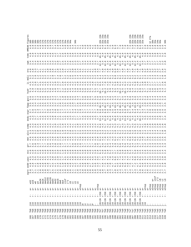|                                       |                       |                |                                                                                                                               |                                                |            |                                 |                                                             |                              |                              |                 |                         |                                                                                                                                                                                                                                                                                                                     |              |                    |                   |                                |                         |                                         |                        |                  |              |              |                            |                                                |            |                    |                                                                                                                                                                                                                         |                     |                     |                                                    |                    |                    |                                                          | 23b                                                    |  | A<br>A A A A A<br>A A A A A                                                                                                                                            |                    |         |                |                                                               |                      |  |                                                                              |            |
|---------------------------------------|-----------------------|----------------|-------------------------------------------------------------------------------------------------------------------------------|------------------------------------------------|------------|---------------------------------|-------------------------------------------------------------|------------------------------|------------------------------|-----------------|-------------------------|---------------------------------------------------------------------------------------------------------------------------------------------------------------------------------------------------------------------------------------------------------------------------------------------------------------------|--------------|--------------------|-------------------|--------------------------------|-------------------------|-----------------------------------------|------------------------|------------------|--------------|--------------|----------------------------|------------------------------------------------|------------|--------------------|-------------------------------------------------------------------------------------------------------------------------------------------------------------------------------------------------------------------------|---------------------|---------------------|----------------------------------------------------|--------------------|--------------------|----------------------------------------------------------|--------------------------------------------------------|--|------------------------------------------------------------------------------------------------------------------------------------------------------------------------|--------------------|---------|----------------|---------------------------------------------------------------|----------------------|--|------------------------------------------------------------------------------|------------|
| Figur                                 | 99<br>9               | င္မ            |                                                                                                                               |                                                |            |                                 |                                                             |                              |                              |                 |                         |                                                                                                                                                                                                                                                                                                                     |              |                    | 34a               |                                | 34b                     |                                         |                        |                  |              |              |                            |                                                |            | 2 <sup>o</sup>     | 2<br>2<br>2<br>2<br>2<br>2<br>2                                                                                                                                                                                         |                     |                     |                                                    |                    |                    |                                                          | 2 <sub>b</sub>                                         |  | R<br>A R R R R<br>A R R R R                                                                                                                                            |                    |         |                |                                                               | $\sim$ $\sim$ $\sim$ |  |                                                                              | 34b        |
| HMEAN                                 | 4.0.000               |                |                                                                                                                               |                                                | $\ddot{ }$ | $\frac{1}{4}$                   |                                                             |                              |                              |                 |                         |                                                                                                                                                                                                                                                                                                                     |              | $\,$ ,             |                   |                                |                         |                                         |                        |                  |              |              |                            |                                                |            |                    | 1000001                                                                                                                                                                                                                 |                     |                     | on un on t                                         |                    |                    | $F \cap F \cap F$                                        |                                                        |  |                                                                                                                                                                        |                    |         |                |                                                               |                      |  |                                                                              |            |
| tomc                                  |                       | $4.3$<br>$3.2$ |                                                                                                                               |                                                | 4.9        |                                 |                                                             | $\ddot{ }$                   |                              |                 |                         | $\frac{1}{2}$ $\frac{1}{2}$ $\frac{1}{2}$ $\frac{1}{2}$ $\frac{1}{2}$ $\frac{1}{2}$ $\frac{1}{2}$ $\frac{1}{2}$ $\frac{1}{2}$ $\frac{1}{2}$ $\frac{1}{2}$ $\frac{1}{2}$ $\frac{1}{2}$ $\frac{1}{2}$ $\frac{1}{2}$ $\frac{1}{2}$ $\frac{1}{2}$ $\frac{1}{2}$ $\frac{1}{2}$ $\frac{1}{2}$ $\frac{1}{2}$ $\frac{1}{2}$ |              | 4                  |                   |                                |                         | a www.ww.com<br>vol.                    |                        |                  |              | 4.9          | 4.9                        |                                                |            |                    |                                                                                                                                                                                                                         |                     |                     |                                                    |                    |                    |                                                          |                                                        |  | $45 - 45$                                                                                                                                                              |                    |         |                |                                                               |                      |  |                                                                              |            |
|                                       | $\frac{3 \cdot 4}{ }$ |                |                                                                                                                               |                                                |            |                                 |                                                             |                              |                              |                 |                         |                                                                                                                                                                                                                                                                                                                     |              |                    |                   |                                |                         |                                         |                        |                  |              |              |                            |                                                |            |                    |                                                                                                                                                                                                                         |                     |                     |                                                    |                    |                    |                                                          |                                                        |  |                                                                                                                                                                        |                    |         |                |                                                               |                      |  |                                                                              |            |
|                                       |                       |                |                                                                                                                               |                                                |            |                                 |                                                             |                              |                              |                 |                         |                                                                                                                                                                                                                                                                                                                     |              |                    |                   |                                |                         | $0.0404$<br>$0.0404$                    |                        | $\frac{1}{4}$    |              |              |                            |                                                |            |                    | $7.50$<br>$-4.70$                                                                                                                                                                                                       |                     |                     | $\begin{array}{c} 0 \\ 0 \\ 0 \\ 0 \\ \end{array}$ |                    |                    |                                                          |                                                        |  |                                                                                                                                                                        |                    |         |                |                                                               |                      |  |                                                                              |            |
|                                       |                       |                | $\frac{1}{2}$ $\frac{1}{2}$ $\frac{1}{2}$ $\frac{1}{2}$ $\frac{1}{2}$ $\frac{1}{2}$ $\frac{1}{2}$ $\frac{1}{2}$ $\frac{1}{2}$ |                                                |            |                                 |                                                             |                              |                              | $2.0$<br>$2.0$  |                         |                                                                                                                                                                                                                                                                                                                     |              | 3.2                |                   |                                |                         |                                         |                        |                  |              |              |                            |                                                |            |                    |                                                                                                                                                                                                                         |                     |                     |                                                    |                    |                    |                                                          | $\ddot{a}$ $\ddot{a}$ $\ddot{a}$                       |  |                                                                                                                                                                        |                    |         |                |                                                               |                      |  |                                                                              |            |
| ⊣                                     |                       |                |                                                                                                                               |                                                |            | <u>. സമ്പ</u>                   | ◅                                                           |                              |                              |                 |                         | $\circ$                                                                                                                                                                                                                                                                                                             | L            | ru ru              |                   | $\sim$                         | $\sim$                  | $\circ$                                 |                        |                  |              |              |                            |                                                |            |                    |                                                                                                                                                                                                                         | $\infty$            |                     | $1.10000$<br>$4.7400$                              |                    |                    |                                                          |                                                        |  |                                                                                                                                                                        |                    |         |                |                                                               |                      |  |                                                                              |            |
|                                       |                       |                |                                                                                                                               |                                                |            |                                 |                                                             |                              |                              |                 |                         |                                                                                                                                                                                                                                                                                                                     |              |                    |                   |                                |                         |                                         |                        |                  |              |              |                            |                                                |            |                    |                                                                                                                                                                                                                         |                     |                     |                                                    |                    |                    |                                                          |                                                        |  |                                                                                                                                                                        |                    |         |                |                                                               |                      |  |                                                                              |            |
| $0.76014$<br>$0.730014$<br>$0.730000$ |                       |                |                                                                                                                               |                                                |            |                                 |                                                             |                              |                              |                 |                         |                                                                                                                                                                                                                                                                                                                     |              | O                  |                   | م ما ما<br>$m \dot{m} \dot{m}$ |                         | mn                                      | O                      |                  |              |              |                            |                                                |            |                    |                                                                                                                                                                                                                         |                     |                     | coornoananoani<br>Coornoananoan                    |                    |                    | ഗന                                                       |                                                        |  |                                                                                                                                                                        |                    |         |                |                                                               |                      |  |                                                                              |            |
| fppp<br>3.5                           |                       |                |                                                                                                                               |                                                |            |                                 |                                                             |                              |                              |                 |                         |                                                                                                                                                                                                                                                                                                                     |              |                    |                   |                                |                         | a a a a a a m m m m m m a               |                        |                  |              |              |                            |                                                |            |                    |                                                                                                                                                                                                                         |                     |                     |                                                    |                    |                    |                                                          |                                                        |  |                                                                                                                                                                        |                    |         |                |                                                               |                      |  |                                                                              |            |
| espr                                  |                       |                |                                                                                                                               |                                                |            |                                 |                                                             |                              |                              |                 |                         |                                                                                                                                                                                                                                                                                                                     |              |                    |                   |                                |                         |                                         |                        |                  |              |              |                            |                                                |            |                    | $\begin{array}{ccc}\n\uparrow & \circ & \circ & \circ & \circ & \circ & \circ \\ \downarrow & \circ & \circ & \circ & \circ & \circ & \circ \\ \downarrow & \circ & \circ & \circ & \circ & \circ & \circ\n\end{array}$ |                     |                     |                                                    |                    |                    |                                                          |                                                        |  |                                                                                                                                                                        |                    |         |                |                                                               |                      |  |                                                                              |            |
| dodu                                  |                       |                |                                                                                                                               |                                                |            |                                 |                                                             |                              |                              |                 |                         |                                                                                                                                                                                                                                                                                                                     | 4            | 4                  |                   |                                |                         |                                         |                        |                  |              | $\div$       |                            |                                                |            |                    |                                                                                                                                                                                                                         |                     |                     |                                                    |                    |                    |                                                          |                                                        |  | $\frac{4}{9}$ o                                                                                                                                                        |                    |         |                |                                                               |                      |  |                                                                              |            |
| 24.4                                  |                       |                |                                                                                                                               |                                                |            |                                 |                                                             |                              |                              |                 |                         |                                                                                                                                                                                                                                                                                                                     |              |                    |                   |                                |                         |                                         |                        |                  |              |              |                            |                                                |            |                    |                                                                                                                                                                                                                         |                     |                     | 444444469478488444<br>444444696478484              |                    |                    |                                                          |                                                        |  |                                                                                                                                                                        |                    |         |                |                                                               |                      |  |                                                                              |            |
| a1v                                   |                       |                |                                                                                                                               |                                                |            |                                 |                                                             |                              |                              |                 |                         |                                                                                                                                                                                                                                                                                                                     |              |                    |                   |                                |                         |                                         |                        |                  |              |              |                            |                                                |            |                    |                                                                                                                                                                                                                         |                     |                     |                                                    |                    |                    |                                                          |                                                        |  |                                                                                                                                                                        |                    |         |                |                                                               |                      |  |                                                                              |            |
|                                       |                       |                |                                                                                                                               |                                                |            |                                 |                                                             |                              |                              |                 |                         |                                                                                                                                                                                                                                                                                                                     |              |                    |                   |                                |                         |                                         |                        |                  |              |              |                            |                                                |            |                    |                                                                                                                                                                                                                         |                     |                     |                                                    |                    |                    |                                                          |                                                        |  |                                                                                                                                                                        |                    |         |                |                                                               |                      |  |                                                                              |            |
|                                       |                       |                |                                                                                                                               |                                                |            |                                 |                                                             |                              |                              |                 |                         |                                                                                                                                                                                                                                                                                                                     |              |                    |                   |                                |                         |                                         |                        |                  |              |              |                            |                                                |            |                    |                                                                                                                                                                                                                         |                     |                     |                                                    |                    |                    |                                                          |                                                        |  |                                                                                                                                                                        |                    |         |                |                                                               |                      |  |                                                                              |            |
|                                       |                       |                |                                                                                                                               |                                                |            |                                 |                                                             |                              |                              |                 |                         |                                                                                                                                                                                                                                                                                                                     |              |                    |                   |                                |                         |                                         |                        |                  |              |              |                            |                                                |            |                    |                                                                                                                                                                                                                         |                     |                     |                                                    | $\,$ ,             |                    |                                                          |                                                        |  |                                                                                                                                                                        |                    |         |                |                                                               |                      |  |                                                                              |            |
|                                       | $\frac{1}{4}$ .       |                |                                                                                                                               |                                                |            |                                 |                                                             |                              |                              |                 |                         |                                                                                                                                                                                                                                                                                                                     |              |                    |                   |                                |                         |                                         |                        |                  |              |              | <b>555555</b>              |                                                |            |                    | - ഥ                                                                                                                                                                                                                     |                     |                     |                                                    |                    |                    |                                                          |                                                        |  |                                                                                                                                                                        |                    |         |                |                                                               |                      |  |                                                                              |            |
| ಕರ                                    |                       |                |                                                                                                                               |                                                |            |                                 |                                                             |                              |                              |                 |                         |                                                                                                                                                                                                                                                                                                                     |              |                    |                   |                                |                         |                                         |                        |                  |              |              |                            |                                                |            |                    | $\begin{array}{c} 2.7 \\ 2.7 \\ -4.8 \end{array}$                                                                                                                                                                       | $\frac{1}{6}$       |                     |                                                    |                    |                    |                                                          |                                                        |  |                                                                                                                                                                        |                    |         |                |                                                               |                      |  |                                                                              |            |
|                                       | $m \sim 10$           |                |                                                                                                                               |                                                |            |                                 |                                                             |                              |                              |                 |                         |                                                                                                                                                                                                                                                                                                                     |              |                    |                   |                                |                         |                                         |                        |                  |              |              |                            |                                                |            |                    |                                                                                                                                                                                                                         |                     |                     |                                                    |                    |                    |                                                          |                                                        |  |                                                                                                                                                                        |                    |         |                |                                                               |                      |  |                                                                              |            |
|                                       | w32<br>w16            | $\frac{8}{3}$  | w <sub>4</sub>                                                                                                                | dw2K                                           | dw1K       |                                 | dw512<br>dw256<br>dw128                                     | dw64<br>dw32<br>dw16         |                              |                 | dw8                     | dw4                                                                                                                                                                                                                                                                                                                 | iInf         | $i*2$              | $\mathbb{H}$      | 입 음                            |                         | ਥਿ                                      |                        |                  |              |              |                            |                                                |            |                    |                                                                                                                                                                                                                         |                     |                     |                                                    |                    |                    |                                                          |                                                        |  |                                                                                                                                                                        |                    |         |                |                                                               | $\frac{1}{2}$        |  |                                                                              |            |
|                                       |                       |                |                                                                                                                               | $_{\rm \sigma}^+$                              |            | $\vec{a}$<br>$\frac{+}{\sigma}$ |                                                             | $_{\rm \sigma}^+$            | $_{\rm \sigma}^{+}$          | $_{\alpha}^{+}$ | $_{\alpha}^{+}$         | $_\sigma^+$                                                                                                                                                                                                                                                                                                         |              | $\frac{+}{\alpha}$ | $_{\rm \sigma}^+$ | $\frac{+}{\sigma}$             | $_{\rm \sigma}^{+}$     | aInsp<br>$_{\rm \pi}^{+}$               | $_{\rm \pi}^{+}$       | $_{\rm \pi}^{+}$ | $_\sigma^+$  |              | ó                          | $_{\text{m}}^{+}$                              | aInsp      | $\frac{+}{\sigma}$ | $_{\rm \sigma}^{+}$                                                                                                                                                                                                     | $\frac{1}{\sigma}$  | $_\sigma^+$         |                                                    | $\frac{+}{\sigma}$ | $\frac{1}{\sigma}$ | ö                                                        |                                                        |  |                                                                                                                                                                        | ō                  | aInsp   | $\frac{+}{6}$  |                                                               |                      |  | dram<br>drama<br>drama<br>drama<br>drama<br>drama<br>drama<br>drama<br>drama |            |
|                                       |                       |                | $\mathbf{H}$                                                                                                                  | $\begin{array}{cc} 1 & 1 \\ 2 & 1 \end{array}$ |            |                                 | $\begin{array}{ccc} & + & + & + \\ & + & + & + \end{array}$ | $\mathbf{I}$<br>$\mathbf{H}$ | $\blacksquare$<br><b>H H</b> | $\mathbf{I}$    | $\perp$<br>$\mathbf{H}$ | $\blacksquare$<br>$\mathbf{H}$                                                                                                                                                                                                                                                                                      | $\mathbf{I}$ | $\frac{1}{\Delta}$ | $\mathbf{I}$      | $\mathbf{I}$                   | $\pm 1$<br>$\mathbf{H}$ | $\mathbf{I}$<br>$\mathbf{I}$<br>$H$ $H$ | $\frac{1}{\mathbf{H}}$ | $\mathbf{I}$     | $\mathbf{r}$ | $\mathbf{H}$ | $\Gamma=1$<br>$\mathbf{H}$ | $\begin{array}{cc} 1 & 1 \\ 2 & 2 \end{array}$ | r-<br>r256 |                    |                                                                                                                                                                                                                         |                     |                     |                                                    |                    |                    |                                                          | $\begin{array}{c} 25\, \\ 24\, \\ 25\, \\ \end{array}$ |  |                                                                                                                                                                        | $\frac{1}{\Delta}$ | $\perp$ | $\blacksquare$ | $\perp$<br>$\begin{array}{ccccc}\nA & B & B & B\n\end{array}$ | $\mathbf{H}$         |  |                                                                              |            |
|                                       |                       |                |                                                                                                                               |                                                |            |                                 |                                                             |                              |                              |                 |                         |                                                                                                                                                                                                                                                                                                                     |              |                    |                   |                                |                         |                                         |                        |                  | 40           |              | $-1$ $\Delta$              |                                                |            | $2K+2K$            | $\frac{9}{5}$                                                                                                                                                                                                           | $j2K + 2K$<br>$j16$ | $j2K+2K$ :<br>$j16$ |                                                    |                    |                    | j2K+2K r256<br>j16 r-<br>j2K+2K r256<br>j16 r-<br>j16 r- | $j2K+2K$ :<br>$j16$                                    |  | $\frac{1}{2}$<br>$\frac{1}{2}$<br>$\frac{1}{2}$<br>$\frac{1}{2}$<br>$\frac{1}{2}$<br>$\frac{1}{2}$<br>$\frac{1}{2}$<br>$\frac{1}{2}$<br>$\frac{1}{2}$<br>$\frac{1}{2}$ |                    |         |                |                                                               |                      |  |                                                                              |            |
|                                       |                       |                |                                                                                                                               |                                                |            |                                 |                                                             |                              |                              |                 |                         |                                                                                                                                                                                                                                                                                                                     |              |                    |                   |                                |                         |                                         |                        |                  |              |              |                            |                                                |            |                    |                                                                                                                                                                                                                         |                     |                     |                                                    |                    |                    |                                                          |                                                        |  |                                                                                                                                                                        |                    |         |                |                                                               |                      |  | 2a5                                                                          | pas<br>Pas |
|                                       |                       |                |                                                                                                                               |                                                |            |                                 |                                                             |                              |                              |                 |                         |                                                                                                                                                                                                                                                                                                                     |              |                    |                   |                                |                         |                                         |                        |                  |              |              |                            |                                                |            |                    |                                                                                                                                                                                                                         |                     |                     |                                                    |                    |                    |                                                          |                                                        |  |                                                                                                                                                                        |                    |         |                |                                                               |                      |  |                                                                              |            |
|                                       |                       |                |                                                                                                                               |                                                |            |                                 |                                                             |                              |                              |                 |                         |                                                                                                                                                                                                                                                                                                                     |              |                    |                   |                                |                         |                                         |                        |                  |              |              |                            |                                                |            |                    |                                                                                                                                                                                                                         |                     |                     |                                                    |                    |                    |                                                          |                                                        |  |                                                                                                                                                                        |                    |         |                |                                                               |                      |  |                                                                              |            |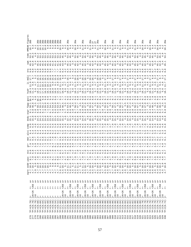|                                 |                                                                                                                                                                                                                                                                                                                                       |                                                                                       |                                                | $\dot{\mathbb{U}}$ |      |  |            | $\frac{5}{6}$ . |                                |                                                                                                                                                                                                                                                                                                                                                                                                                                                                                                                                                                        |                            |                     |                |                                         | $\frac{1}{2}$ |                            |           |                                                                                                                                                                                                                                                                                  | HMEA                                       | З<br>定            |
|---------------------------------|---------------------------------------------------------------------------------------------------------------------------------------------------------------------------------------------------------------------------------------------------------------------------------------------------------------------------------------|---------------------------------------------------------------------------------------|------------------------------------------------|--------------------|------|--|------------|-----------------|--------------------------------|------------------------------------------------------------------------------------------------------------------------------------------------------------------------------------------------------------------------------------------------------------------------------------------------------------------------------------------------------------------------------------------------------------------------------------------------------------------------------------------------------------------------------------------------------------------------|----------------------------|---------------------|----------------|-----------------------------------------|---------------|----------------------------|-----------|----------------------------------------------------------------------------------------------------------------------------------------------------------------------------------------------------------------------------------------------------------------------------------|--------------------------------------------|-------------------|
| 276                             | 70)<br>$\circ$<br>17:35<br>17:36                                                                                                                                                                                                                                                                                                      |                                                                                       | $\begin{array}{cc} + & + \\ - & + \end{array}$ | m 4                | ത' ത |  | $\circ$    |                 | S                              |                                                                                                                                                                                                                                                                                                                                                                                                                                                                                                                                                                        |                            |                     | $\ddot{\circ}$ |                                         |               | ് റ് റ്                    | ັນ<br>ອື່ | tom<br>53.45<br>45                                                                                                                                                                                                                                                               | $\sim$                                     | e9                |
| 277                             | 0.70)                                                                                                                                                                                                                                                                                                                                 | r256<br>$2K+2K$                                                                       |                                                | $\overline{4}$     |      |  |            | $\circ$         | LO                             | 9.337                                                                                                                                                                                                                                                                                                                                                                                                                                                                                                                                                                  | 46.                        |                     |                |                                         |               |                            |           |                                                                                                                                                                                                                                                                                  |                                            |                   |
|                                 | $0.70$ )<br>$0.68$ )<br>$\begin{array}{r} 15.5 \\ 15.5 \\ 16.4 \\ 17.5 \\ 18.3 \\ 19.4 \\ 19.5 \\ 15.3 \\ 19.4 \\ 19.5 \\ 19.5 \\ 19.5 \\ 19.5 \\ 19.5 \\ 19.5 \\ 19.5 \\ 19.5 \\ 19.5 \\ 19.5 \\ 19.5 \\ 19.5 \\ 19.5 \\ 19.5 \\ 19.5 \\ 19.5 \\ 19.5 \\ 19.5 \\ 19.5 \\ 19.5 \\ 19.5 \\ 19.5 \\ 19.5 \\ 19.5 \\ 19.5 \\ 19.5 \\ 19$ | $\overline{1}$<br>$\circ$                                                             |                                                | $\sim$             |      |  | $M \cup M$ | ᢦ               |                                |                                                                                                                                                                                                                                                                                                                                                                                                                                                                                                                                                                        | $\infty$ rue $\rightarrow$ |                     |                |                                         |               |                            |           | $\sigma$                                                                                                                                                                                                                                                                         |                                            |                   |
|                                 |                                                                                                                                                                                                                                                                                                                                       | $\vec{x}^+$                                                                           | $\frac{+}{\sigma}$                             |                    |      |  |            | w               |                                |                                                                                                                                                                                                                                                                                                                                                                                                                                                                                                                                                                        | $\dot{\circ}$              |                     |                |                                         |               |                            |           |                                                                                                                                                                                                                                                                                  |                                            | 운                 |
|                                 | 0.66)                                                                                                                                                                                                                                                                                                                                 |                                                                                       |                                                |                    |      |  |            | $\circ$ $\circ$ |                                |                                                                                                                                                                                                                                                                                                                                                                                                                                                                                                                                                                        |                            |                     |                |                                         |               |                            |           |                                                                                                                                                                                                                                                                                  |                                            | 음 음               |
|                                 | $(0.64)$<br>$(0.62)$                                                                                                                                                                                                                                                                                                                  |                                                                                       | $_{\rm \sigma}^{+}$                            |                    |      |  |            |                 | $\mathbf{H}$                   |                                                                                                                                                                                                                                                                                                                                                                                                                                                                                                                                                                        |                            |                     |                | $\circ$ $\circ$                         |               |                            |           |                                                                                                                                                                                                                                                                                  |                                            |                   |
|                                 |                                                                                                                                                                                                                                                                                                                                       |                                                                                       | $_\sigma^+$                                    |                    |      |  |            |                 | 4                              |                                                                                                                                                                                                                                                                                                                                                                                                                                                                                                                                                                        |                            |                     |                |                                         |               |                            |           |                                                                                                                                                                                                                                                                                  |                                            | 9                 |
|                                 | $\begin{array}{l} \n 1(0.0, 60) \\  1(0.58) \\  1(0.56) \\  1(0.54) \\  1(0.54) \\  1(0.54) \\  1(0.54) \\  1(0.54) \\  1(0.54) \\  1(0.54) \\  1(0.54) \\  1(0.54) \\  1(0.54) \\  1(0.54) \\  1(0.54) \\  1(0.54) \\  1(0.54) \\  1(0.54) \\  1(0.54) \\  1(0.54) \\  1(0.54) \\  1(0.54) \\  1(0.54) \\  $                         |                                                                                       | $_{\text{\tiny{D}}}^+$                         |                    |      |  |            | 000             | 3<br>2223324<br>aaaaaaa        | $\begin{array}{c} \varpi \otimes \varpi \otimes \varpi \otimes \varpi \otimes \varpi \otimes \varpi \otimes \varpi \otimes \varpi \otimes \varpi \otimes \varpi \otimes \varpi \otimes \varpi \otimes \varpi \otimes \varpi \otimes \varpi \otimes \varpi \otimes \varpi \otimes \varpi \otimes \varpi \otimes \varpi \otimes \varpi \otimes \varpi \otimes \varpi \otimes \varpi \otimes \varpi \otimes \varpi \otimes \varpi \otimes \varpi \otimes \varpi \otimes \varpi \otimes \varpi \otimes \varpi \otimes \varpi \otimes \varpi \otimes \varpi \otimes \varpi$ | m N O O H                  | 0.000000000000      |                | $\overline{10}$                         |               |                            |           | $\ddot{u}$ $\ddot{u}$ $\ddot{u}$ $\ddot{u}$ $\ddot{u}$ $\ddot{u}$ $\ddot{u}$ $\ddot{u}$ $\ddot{u}$ $\ddot{u}$ $\ddot{u}$ $\ddot{u}$ $\ddot{u}$ $\ddot{u}$ $\ddot{u}$ $\ddot{u}$ $\ddot{u}$ $\ddot{u}$ $\ddot{u}$ $\ddot{u}$ $\ddot{u}$ $\ddot{u}$ $\ddot{u}$ $\ddot{u}$ $\ddot{$ |                                            | <b>e e</b>        |
|                                 |                                                                                                                                                                                                                                                                                                                                       |                                                                                       | $_\sigma^+$                                    |                    |      |  |            |                 |                                |                                                                                                                                                                                                                                                                                                                                                                                                                                                                                                                                                                        |                            |                     |                |                                         |               |                            |           |                                                                                                                                                                                                                                                                                  |                                            |                   |
|                                 |                                                                                                                                                                                                                                                                                                                                       |                                                                                       | $_\sigma^+$                                    |                    |      |  |            |                 |                                |                                                                                                                                                                                                                                                                                                                                                                                                                                                                                                                                                                        |                            | $\sigma$ $\infty$ r |                |                                         |               |                            |           |                                                                                                                                                                                                                                                                                  |                                            | 26b               |
|                                 |                                                                                                                                                                                                                                                                                                                                       | $\vec{x}$                                                                             |                                                |                    |      |  |            |                 |                                |                                                                                                                                                                                                                                                                                                                                                                                                                                                                                                                                                                        |                            |                     | o n            |                                         |               |                            |           |                                                                                                                                                                                                                                                                                  |                                            |                   |
|                                 |                                                                                                                                                                                                                                                                                                                                       | $\stackrel{+}{\sim}$                                                                  | $\frac{1}{\sigma}$                             |                    |      |  |            |                 |                                |                                                                                                                                                                                                                                                                                                                                                                                                                                                                                                                                                                        |                            |                     |                | $\circ$ $\circ$ $\circ$ $\frac{\pi}{1}$ |               |                            |           |                                                                                                                                                                                                                                                                                  |                                            | 990               |
|                                 |                                                                                                                                                                                                                                                                                                                                       |                                                                                       |                                                |                    |      |  |            |                 |                                |                                                                                                                                                                                                                                                                                                                                                                                                                                                                                                                                                                        | 54.                        |                     |                |                                         |               |                            |           |                                                                                                                                                                                                                                                                                  |                                            |                   |
|                                 |                                                                                                                                                                                                                                                                                                                                       | r256<br>$2K+2K$                                                                       | $\frac{+}{\sigma}$                             |                    |      |  |            |                 |                                |                                                                                                                                                                                                                                                                                                                                                                                                                                                                                                                                                                        | 46.                        |                     | $\circ$        |                                         |               |                            |           |                                                                                                                                                                                                                                                                                  |                                            |                   |
|                                 |                                                                                                                                                                                                                                                                                                                                       | $\mathbf{1}$<br>$\mathbf{H}$<br>$\frac{9}{1}$                                         |                                                |                    |      |  |            |                 | 4                              |                                                                                                                                                                                                                                                                                                                                                                                                                                                                                                                                                                        |                            |                     |                | 941                                     |               |                            |           |                                                                                                                                                                                                                                                                                  |                                            |                   |
|                                 |                                                                                                                                                                                                                                                                                                                                       | $\frac{1}{2}$<br>$^{+}$                                                               |                                                |                    |      |  |            |                 | 0104                           |                                                                                                                                                                                                                                                                                                                                                                                                                                                                                                                                                                        | $\frac{1}{2}$              |                     | $\dot{\infty}$ |                                         |               |                            |           | $\omega$ ro 4                                                                                                                                                                                                                                                                    |                                            | O                 |
|                                 |                                                                                                                                                                                                                                                                                                                                       | r256<br>$2K + 2K$                                                                     | $_\sigma^+$                                    |                    |      |  |            |                 |                                |                                                                                                                                                                                                                                                                                                                                                                                                                                                                                                                                                                        | $46$<br>3.5                |                     |                |                                         |               |                            |           |                                                                                                                                                                                                                                                                                  |                                            |                   |
|                                 |                                                                                                                                                                                                                                                                                                                                       | $\perp$<br>$\frac{9}{1}$                                                              |                                                |                    |      |  |            |                 |                                |                                                                                                                                                                                                                                                                                                                                                                                                                                                                                                                                                                        |                            |                     |                |                                         |               |                            |           |                                                                                                                                                                                                                                                                                  |                                            |                   |
|                                 |                                                                                                                                                                                                                                                                                                                                       | $\stackrel{+}{\simeq}$<br>$^{+}$                                                      |                                                |                    |      |  |            |                 |                                | $\infty$                                                                                                                                                                                                                                                                                                                                                                                                                                                                                                                                                               |                            |                     | $\dot{\infty}$ |                                         |               |                            |           |                                                                                                                                                                                                                                                                                  |                                            | O                 |
|                                 |                                                                                                                                                                                                                                                                                                                                       | r256<br>$2K + 2K$                                                                     | $_\sigma^+$                                    |                    |      |  |            |                 |                                |                                                                                                                                                                                                                                                                                                                                                                                                                                                                                                                                                                        |                            | $\,$ ,              |                |                                         |               |                            |           |                                                                                                                                                                                                                                                                                  |                                            |                   |
|                                 |                                                                                                                                                                                                                                                                                                                                       | $\perp$<br>$\mathsf{H}$<br>$\frac{9}{1}$                                              |                                                |                    |      |  |            |                 | $\omega$ rv 4                  | $\infty$ m                                                                                                                                                                                                                                                                                                                                                                                                                                                                                                                                                             |                            |                     |                |                                         |               |                            |           | $\frac{1}{2}$                                                                                                                                                                                                                                                                    |                                            |                   |
|                                 |                                                                                                                                                                                                                                                                                                                                       | $\frac{1}{2}$<br>$\ddot{}$                                                            |                                                |                    |      |  |            |                 |                                |                                                                                                                                                                                                                                                                                                                                                                                                                                                                                                                                                                        |                            |                     |                |                                         |               |                            |           |                                                                                                                                                                                                                                                                                  |                                            | v                 |
|                                 |                                                                                                                                                                                                                                                                                                                                       | r256<br>$2K + 2K$                                                                     | $_\sigma^+$                                    |                    |      |  |            |                 |                                | m, m, m                                                                                                                                                                                                                                                                                                                                                                                                                                                                                                                                                                |                            |                     |                |                                         |               |                            |           | $m \nightharpoonup$ $4$                                                                                                                                                                                                                                                          |                                            |                   |
|                                 |                                                                                                                                                                                                                                                                                                                                       | $\mathbf{1}$<br>$\mathsf{H}$<br>$\frac{9}{1}$                                         |                                                |                    |      |  |            |                 |                                |                                                                                                                                                                                                                                                                                                                                                                                                                                                                                                                                                                        |                            |                     |                |                                         |               |                            |           |                                                                                                                                                                                                                                                                                  |                                            |                   |
|                                 |                                                                                                                                                                                                                                                                                                                                       | $_{\rm H}^+$<br>$\,$ + $\,$                                                           |                                                |                    |      |  |            |                 |                                |                                                                                                                                                                                                                                                                                                                                                                                                                                                                                                                                                                        |                            |                     |                |                                         |               |                            |           |                                                                                                                                                                                                                                                                                  |                                            |                   |
|                                 |                                                                                                                                                                                                                                                                                                                                       | r256<br>$2K + 2K$                                                                     | $_\sigma^+$                                    |                    |      |  |            |                 |                                |                                                                                                                                                                                                                                                                                                                                                                                                                                                                                                                                                                        |                            |                     |                |                                         |               |                            |           |                                                                                                                                                                                                                                                                                  |                                            |                   |
|                                 |                                                                                                                                                                                                                                                                                                                                       | $\mathbf{1}$<br>$\frac{9}{1}$                                                         |                                                |                    |      |  |            |                 |                                | ന ന ന                                                                                                                                                                                                                                                                                                                                                                                                                                                                                                                                                                  |                            |                     |                |                                         |               | $\infty$ $\infty$ $\infty$ |           | 53.45.                                                                                                                                                                                                                                                                           |                                            |                   |
| 302<br>303<br>303               |                                                                                                                                                                                                                                                                                                                                       | $_{\rm H}^+$<br>Я<br>$\,$ + $\,$                                                      |                                                |                    |      |  |            |                 |                                |                                                                                                                                                                                                                                                                                                                                                                                                                                                                                                                                                                        |                            |                     |                |                                         |               |                            |           |                                                                                                                                                                                                                                                                                  |                                            | 8<br>2078<br>2022 |
|                                 |                                                                                                                                                                                                                                                                                                                                       | r256                                                                                  |                                                |                    |      |  |            |                 |                                |                                                                                                                                                                                                                                                                                                                                                                                                                                                                                                                                                                        |                            |                     |                |                                         |               |                            |           |                                                                                                                                                                                                                                                                                  |                                            |                   |
| 305<br>305<br>306               |                                                                                                                                                                                                                                                                                                                                       | $2K + 2K$                                                                             | $_\sigma^+$                                    |                    |      |  |            |                 |                                | ന ന ന                                                                                                                                                                                                                                                                                                                                                                                                                                                                                                                                                                  |                            |                     |                |                                         |               |                            |           | 53.44                                                                                                                                                                                                                                                                            |                                            |                   |
|                                 |                                                                                                                                                                                                                                                                                                                                       | $\mathbf{1}$<br>Я<br>$\frac{\infty}{L}$                                               |                                                |                    |      |  |            |                 |                                |                                                                                                                                                                                                                                                                                                                                                                                                                                                                                                                                                                        |                            |                     |                |                                         |               |                            |           |                                                                                                                                                                                                                                                                                  |                                            |                   |
|                                 |                                                                                                                                                                                                                                                                                                                                       | $_{\rm H}^+$                                                                          |                                                |                    |      |  |            |                 |                                |                                                                                                                                                                                                                                                                                                                                                                                                                                                                                                                                                                        |                            |                     |                |                                         |               |                            |           |                                                                                                                                                                                                                                                                                  |                                            | ್ತಿ               |
|                                 |                                                                                                                                                                                                                                                                                                                                       | r256<br>$2K + 2K$                                                                     | $_\sigma^+$                                    |                    |      |  |            |                 |                                | ന ന ന                                                                                                                                                                                                                                                                                                                                                                                                                                                                                                                                                                  | $55 - 3$                   |                     |                |                                         | $O \cup D$    | <b>@@db@@db</b> @@db       |           | 53.4                                                                                                                                                                                                                                                                             |                                            |                   |
|                                 |                                                                                                                                                                                                                                                                                                                                       | $\mathbf{1}$<br>Я<br>$\frac{\infty}{L}$                                               |                                                |                    |      |  |            |                 |                                |                                                                                                                                                                                                                                                                                                                                                                                                                                                                                                                                                                        |                            |                     |                |                                         |               |                            |           |                                                                                                                                                                                                                                                                                  |                                            |                   |
|                                 |                                                                                                                                                                                                                                                                                                                                       | $\stackrel{+}{\cancel{\Delta}}$                                                       |                                                |                    |      |  |            |                 | 24.7                           | ന ന ന                                                                                                                                                                                                                                                                                                                                                                                                                                                                                                                                                                  | $56 - 3$                   |                     |                |                                         |               |                            |           | $53 + 4$                                                                                                                                                                                                                                                                         |                                            | 26a               |
|                                 |                                                                                                                                                                                                                                                                                                                                       | r256<br>$j2K+2K$                                                                      | $_\sigma^+$                                    |                    |      |  |            |                 |                                |                                                                                                                                                                                                                                                                                                                                                                                                                                                                                                                                                                        |                            |                     |                |                                         | $O \cup D$    |                            |           |                                                                                                                                                                                                                                                                                  |                                            |                   |
|                                 |                                                                                                                                                                                                                                                                                                                                       | $\perp$<br>Я<br>$\frac{9}{1}$                                                         |                                                |                    |      |  |            |                 |                                |                                                                                                                                                                                                                                                                                                                                                                                                                                                                                                                                                                        |                            |                     |                |                                         |               |                            |           |                                                                                                                                                                                                                                                                                  |                                            |                   |
|                                 |                                                                                                                                                                                                                                                                                                                                       | $\stackrel{+}{\scriptstyle \times}$                                                   |                                                |                    |      |  |            |                 | 24.4                           |                                                                                                                                                                                                                                                                                                                                                                                                                                                                                                                                                                        |                            |                     |                |                                         |               |                            |           | $53 + 4$                                                                                                                                                                                                                                                                         |                                            | 6                 |
|                                 |                                                                                                                                                                                                                                                                                                                                       | r256<br>$j2K+2K$                                                                      | $_\sigma^+$                                    |                    |      |  |            |                 |                                |                                                                                                                                                                                                                                                                                                                                                                                                                                                                                                                                                                        |                            |                     |                |                                         |               |                            |           |                                                                                                                                                                                                                                                                                  |                                            |                   |
|                                 |                                                                                                                                                                                                                                                                                                                                       | $\perp$<br>Я<br>$\frac{9}{1}$                                                         |                                                |                    |      |  |            |                 |                                |                                                                                                                                                                                                                                                                                                                                                                                                                                                                                                                                                                        |                            |                     |                |                                         | owr cowr cowr |                            |           |                                                                                                                                                                                                                                                                                  |                                            |                   |
|                                 |                                                                                                                                                                                                                                                                                                                                       | $\vec{z}$                                                                             |                                                |                    |      |  |            |                 |                                |                                                                                                                                                                                                                                                                                                                                                                                                                                                                                                                                                                        |                            | $\sim$ $\sim$       |                |                                         |               |                            |           | m m                                                                                                                                                                                                                                                                              |                                            | G                 |
| $117800$<br>$111110$<br>$11100$ |                                                                                                                                                                                                                                                                                                                                       | r256<br>$j2K+2K$                                                                      | $_\sigma^+$                                    |                    |      |  |            |                 | $\frac{1}{2}$ in $\frac{1}{4}$ | ന ന ന                                                                                                                                                                                                                                                                                                                                                                                                                                                                                                                                                                  |                            |                     |                |                                         |               |                            |           |                                                                                                                                                                                                                                                                                  |                                            |                   |
|                                 |                                                                                                                                                                                                                                                                                                                                       | $\perp$<br>Ч<br>$\frac{9}{1}$                                                         |                                                |                    |      |  |            |                 |                                |                                                                                                                                                                                                                                                                                                                                                                                                                                                                                                                                                                        |                            |                     |                |                                         |               |                            |           |                                                                                                                                                                                                                                                                                  |                                            |                   |
|                                 |                                                                                                                                                                                                                                                                                                                                       | $\vec{z}$                                                                             |                                                |                    |      |  |            |                 | 24.                            | $\infty$                                                                                                                                                                                                                                                                                                                                                                                                                                                                                                                                                               |                            |                     |                |                                         |               |                            |           | m m                                                                                                                                                                                                                                                                              | $-1$ $\omega$ $-4$                         | G                 |
|                                 |                                                                                                                                                                                                                                                                                                                                       | r256<br>$2K + 2K$                                                                     |                                                |                    |      |  |            |                 |                                |                                                                                                                                                                                                                                                                                                                                                                                                                                                                                                                                                                        |                            |                     |                |                                         |               |                            |           |                                                                                                                                                                                                                                                                                  |                                            |                   |
|                                 |                                                                                                                                                                                                                                                                                                                                       | $\mathbb T$<br>Ч<br>$\frac{9}{1}$                                                     |                                                |                    |      |  |            |                 | 4                              |                                                                                                                                                                                                                                                                                                                                                                                                                                                                                                                                                                        |                            |                     |                | $\omega$ 4                              |               |                            |           |                                                                                                                                                                                                                                                                                  |                                            |                   |
| 321                             |                                                                                                                                                                                                                                                                                                                                       | $\vec{z}$<br>$\begin{array}{c} + \end{array}$                                         |                                                |                    |      |  |            |                 |                                |                                                                                                                                                                                                                                                                                                                                                                                                                                                                                                                                                                        |                            |                     |                |                                         |               |                            |           |                                                                                                                                                                                                                                                                                  |                                            | G                 |
|                                 |                                                                                                                                                                                                                                                                                                                                       | r256<br>$2K + 2K$                                                                     | $_\sigma^+$                                    |                    |      |  |            |                 | $\frac{4}{5}$                  | $\infty$                                                                                                                                                                                                                                                                                                                                                                                                                                                                                                                                                               | 6.7.7                      |                     |                |                                         |               |                            |           | $\sim$ m                                                                                                                                                                                                                                                                         | $\circ$ $\circ$ $\circ$                    |                   |
| 2<br>2222222<br>222222          |                                                                                                                                                                                                                                                                                                                                       | $\mathbb T$<br>Ч<br>$\frac{9}{1}$                                                     |                                                |                    |      |  |            |                 | 4                              |                                                                                                                                                                                                                                                                                                                                                                                                                                                                                                                                                                        |                            |                     |                | ㅎ ㅠ ㅡ ㅎ ㅠ                               |               |                            |           |                                                                                                                                                                                                                                                                                  |                                            |                   |
|                                 |                                                                                                                                                                                                                                                                                                                                       | $\vec{r}$<br>$\ddot{}$                                                                |                                                |                    |      |  |            |                 | 4                              | ന ന                                                                                                                                                                                                                                                                                                                                                                                                                                                                                                                                                                    | ந் ஓ்                      |                     |                |                                         |               |                            |           | w m                                                                                                                                                                                                                                                                              | $\mathbf{\sim}$<br>$\circ$ $\circ$ $\circ$ | G                 |
|                                 |                                                                                                                                                                                                                                                                                                                                       | r256<br>$2K + 2K$                                                                     | $_\sigma^+$                                    |                    |      |  |            |                 | 4                              |                                                                                                                                                                                                                                                                                                                                                                                                                                                                                                                                                                        |                            |                     |                |                                         |               |                            |           |                                                                                                                                                                                                                                                                                  |                                            |                   |
|                                 |                                                                                                                                                                                                                                                                                                                                       | $\perp$<br>Ч<br>$\frac{9}{1}$                                                         |                                                |                    |      |  |            |                 |                                |                                                                                                                                                                                                                                                                                                                                                                                                                                                                                                                                                                        |                            |                     |                |                                         |               |                            |           |                                                                                                                                                                                                                                                                                  |                                            |                   |
|                                 |                                                                                                                                                                                                                                                                                                                                       | $\stackrel{+}{\scriptstyle \simeq}$<br>$\! +$                                         |                                                |                    |      |  |            |                 |                                |                                                                                                                                                                                                                                                                                                                                                                                                                                                                                                                                                                        |                            |                     |                |                                         |               |                            |           |                                                                                                                                                                                                                                                                                  | $\mathbf{\Omega}$<br>$\circ$ $\circ$       | O                 |
| 328                             | .74)<br>$\circ$<br>$\stackrel{\sim}{\scriptstyle\sim}$<br>: dć                                                                                                                                                                                                                                                                        | r256<br>$j2K+2K$                                                                      | $_\sigma^+$                                    |                    |      |  |            |                 |                                |                                                                                                                                                                                                                                                                                                                                                                                                                                                                                                                                                                        |                            |                     |                |                                         |               |                            |           |                                                                                                                                                                                                                                                                                  |                                            |                   |
| 329                             | 74<br>$\circ$ $\circ$<br>$\sim$ $\sim$<br>op:<br>PP:                                                                                                                                                                                                                                                                                  | $\begin{array}{cc} 1 & + \\ 2 & + \end{array}$<br>$\circ$<br>$\overline{\phantom{a}}$ |                                                |                    |      |  |            |                 |                                |                                                                                                                                                                                                                                                                                                                                                                                                                                                                                                                                                                        |                            |                     |                |                                         |               |                            |           |                                                                                                                                                                                                                                                                                  | 40                                         |                   |
|                                 |                                                                                                                                                                                                                                                                                                                                       |                                                                                       |                                                |                    |      |  |            |                 |                                |                                                                                                                                                                                                                                                                                                                                                                                                                                                                                                                                                                        |                            |                     |                |                                         |               |                            |           |                                                                                                                                                                                                                                                                                  |                                            | 26a               |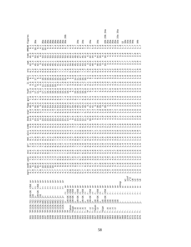| д<br>д<br>Φ<br>نه<br>3<br>2 <sub>b</sub><br>a a a a a<br>nnnnn<br>nnnn<br>4b<br><b>መ</b><br>24a<br>4a<br>$U$ $\alpha$ $\gamma$ $4$ $4$<br>st dio didiritativa di dividio di dividio di dividio di dividio di dividio di dividio di dividio di dividio di<br>Più di di di dividio di dividio di dividio di dividio di dividio di dividio di dividio di dividio di dividio d<br>$\begin{array}{c}\n9.9 \\ \end{array}$<br>$\begin{array}{c}\n 2 \\  0 \\  0 \\  0 \\  0 \\  0 \\  0\n\end{array}$<br>$\begin{array}{c}\n\stackrel{\rightarrow}{\rightarrow} \cdots \stackrel{\rightarrow}{\rightarrow} \cdots \stackrel{\rightarrow}{\rightarrow} \cdots \stackrel{\rightarrow}{\rightarrow} \cdots \stackrel{\rightarrow}{\rightarrow} \cdots \stackrel{\rightarrow}{\rightarrow} \cdots \stackrel{\rightarrow}{\rightarrow} \cdots \stackrel{\rightarrow}{\rightarrow} \cdots \stackrel{\rightarrow}{\rightarrow} \cdots \stackrel{\rightarrow}{\rightarrow} \cdots \stackrel{\rightarrow}{\rightarrow} \cdots \stackrel{\rightarrow}{\rightarrow} \cdots \stackrel{\rightarrow}{\rightarrow} \cdots \stackrel{\rightarrow}{\rightarrow} \cdots \stackrel{\rightarrow}{\rightarrow} \cdots \stackrel{\rightarrow}{\rightarrow} \cdots \stackrel{\rightarrow}{\rightarrow} \cdots \stackrel{\rightarrow}{\rightarrow$<br>$\therefore$ $\therefore$ $\therefore$ $\therefore$<br>rrrrrr<br><br>ᡡ<br>$\ddot{\omega}$ $\ddot{\omega}$ $\ddot{\omega}$<br>0.0000000<br>9.55<br>$\ddot{o}$ $\ddot{c}$ $\ddot{c}$<br>$\infty$<br>$$<br>$\begin{array}{lll} \dot{u} & \dot{u} & \dot{u} & \dot{u} & \dot{u} & \dot{u} \\ \dot{u} & \dot{u} & \dot{u} & \dot{u} & \dot{u} & \dot{u} \\ \dot{u} & \dot{u} & \dot{u} & \dot{u} & \dot{u} & \dot{u} \end{array}$<br>wwwwwwwww<br>Γ.<br>Γ.<br>4.7<br>Γ.<br>Γ.<br>$\cdot$ .7<br>$\cdot$<br>$\mathcal{L}$<br>44<br>$m \neq$<br>4<br>$\overline{ }$<br>4<br>4<br>4<br>m, m, m<br>$\sim$<br>inf<br>$\begin{array}{c} \star\\ \star\\ \star\\ \end{array}$<br>$\frac{1}{2}$<br>$_{\rm \sigma}^{+}$<br>$\frac{+}{\sigma}$<br>$\vec{a}$<br>$\frac{+}{\sigma}$<br>$_\mathrm{\sigma}^+$<br>$\vec{a}$<br>$_{\rm \pi}^{+}$<br>$_{\rm \sigma}^{+}$<br>$\frac{+}{\sigma}$<br>$_{\rm \sigma}^{+}$<br>$\frac{+}{\sigma}$<br>$_{\rm \sigma}^{+}$<br>$_\sigma^+$<br>aInsp<br>G<br>LN<br>$\,$ I |                                                                                                                                                                                                                                                                                                                                                                                                       | $12K + 2K$ | r256 | $_\sigma^+$ | egre<br>$\ddot{ }$<br>4 | racc<br>7<br>7<br>5 |  |  | dodu | igs: | fppp | $9^{\circ}C_{7}^{1}$ |  | $\frac{1}{2}$ |  | tomc | HMEAN<br>9.1 | igure<br>匤 |     |
|------------------------------------------------------------------------------------------------------------------------------------------------------------------------------------------------------------------------------------------------------------------------------------------------------------------------------------------------------------------------------------------------------------------------------------------------------------------------------------------------------------------------------------------------------------------------------------------------------------------------------------------------------------------------------------------------------------------------------------------------------------------------------------------------------------------------------------------------------------------------------------------------------------------------------------------------------------------------------------------------------------------------------------------------------------------------------------------------------------------------------------------------------------------------------------------------------------------------------------------------------------------------------------------------------------------------------------------------------------------------------------------------------------------------------------------------------------------------------------------------------------------------------------------------------------------------------------------------------------------------------------------------------------------------------------------------------------------------------------------------------------------------------------------------------------------------------------------------------------------------------------------------------------------------------------------------------------------------------------------------------------------------------------------------------------------------------------------------------------------------------------------------------------------------------------------------------------------------------------------------------------------------------------------------------------------|-------------------------------------------------------------------------------------------------------------------------------------------------------------------------------------------------------------------------------------------------------------------------------------------------------------------------------------------------------------------------------------------------------|------------|------|-------------|-------------------------|---------------------|--|--|------|------|------|----------------------|--|---------------|--|------|--------------|------------|-----|
|                                                                                                                                                                                                                                                                                                                                                                                                                                                                                                                                                                                                                                                                                                                                                                                                                                                                                                                                                                                                                                                                                                                                                                                                                                                                                                                                                                                                                                                                                                                                                                                                                                                                                                                                                                                                                                                                                                                                                                                                                                                                                                                                                                                                                                                                                                                  | J.<br>н<br>j16                                                                                                                                                                                                                                                                                                                                                                                        |            |      |             |                         |                     |  |  |      |      |      |                      |  |               |  |      |              |            |     |
|                                                                                                                                                                                                                                                                                                                                                                                                                                                                                                                                                                                                                                                                                                                                                                                                                                                                                                                                                                                                                                                                                                                                                                                                                                                                                                                                                                                                                                                                                                                                                                                                                                                                                                                                                                                                                                                                                                                                                                                                                                                                                                                                                                                                                                                                                                                  | $\stackrel{+}{\textrm{2}}$<br>$\pm$                                                                                                                                                                                                                                                                                                                                                                   |            |      |             |                         |                     |  |  |      |      |      |                      |  |               |  |      |              |            |     |
|                                                                                                                                                                                                                                                                                                                                                                                                                                                                                                                                                                                                                                                                                                                                                                                                                                                                                                                                                                                                                                                                                                                                                                                                                                                                                                                                                                                                                                                                                                                                                                                                                                                                                                                                                                                                                                                                                                                                                                                                                                                                                                                                                                                                                                                                                                                  | r2<br>$j2K + 2K$                                                                                                                                                                                                                                                                                                                                                                                      |            |      |             |                         |                     |  |  |      |      |      |                      |  |               |  |      |              |            |     |
|                                                                                                                                                                                                                                                                                                                                                                                                                                                                                                                                                                                                                                                                                                                                                                                                                                                                                                                                                                                                                                                                                                                                                                                                                                                                                                                                                                                                                                                                                                                                                                                                                                                                                                                                                                                                                                                                                                                                                                                                                                                                                                                                                                                                                                                                                                                  | $\,$ I<br>Я<br>j16                                                                                                                                                                                                                                                                                                                                                                                    |            |      |             |                         |                     |  |  |      |      |      |                      |  |               |  |      |              |            |     |
|                                                                                                                                                                                                                                                                                                                                                                                                                                                                                                                                                                                                                                                                                                                                                                                                                                                                                                                                                                                                                                                                                                                                                                                                                                                                                                                                                                                                                                                                                                                                                                                                                                                                                                                                                                                                                                                                                                                                                                                                                                                                                                                                                                                                                                                                                                                  | $\stackrel{+}{\scriptstyle \Delta}$<br>$\stackrel{+}{\neg}$                                                                                                                                                                                                                                                                                                                                           |            |      |             |                         |                     |  |  |      |      |      |                      |  |               |  |      |              |            |     |
|                                                                                                                                                                                                                                                                                                                                                                                                                                                                                                                                                                                                                                                                                                                                                                                                                                                                                                                                                                                                                                                                                                                                                                                                                                                                                                                                                                                                                                                                                                                                                                                                                                                                                                                                                                                                                                                                                                                                                                                                                                                                                                                                                                                                                                                                                                                  | $\stackrel{+}{\scriptstyle \simeq}$<br>$\frac{+}{-}$                                                                                                                                                                                                                                                                                                                                                  |            |      |             |                         |                     |  |  |      |      |      |                      |  |               |  |      |              |            |     |
|                                                                                                                                                                                                                                                                                                                                                                                                                                                                                                                                                                                                                                                                                                                                                                                                                                                                                                                                                                                                                                                                                                                                                                                                                                                                                                                                                                                                                                                                                                                                                                                                                                                                                                                                                                                                                                                                                                                                                                                                                                                                                                                                                                                                                                                                                                                  | $\stackrel{+}{\scriptstyle \simeq}$                                                                                                                                                                                                                                                                                                                                                                   |            |      |             |                         |                     |  |  |      |      |      |                      |  |               |  |      |              |            |     |
|                                                                                                                                                                                                                                                                                                                                                                                                                                                                                                                                                                                                                                                                                                                                                                                                                                                                                                                                                                                                                                                                                                                                                                                                                                                                                                                                                                                                                                                                                                                                                                                                                                                                                                                                                                                                                                                                                                                                                                                                                                                                                                                                                                                                                                                                                                                  | $\stackrel{+}{\rightarrow}$                                                                                                                                                                                                                                                                                                                                                                           |            |      |             |                         |                     |  |  |      |      |      |                      |  |               |  |      |              |            |     |
|                                                                                                                                                                                                                                                                                                                                                                                                                                                                                                                                                                                                                                                                                                                                                                                                                                                                                                                                                                                                                                                                                                                                                                                                                                                                                                                                                                                                                                                                                                                                                                                                                                                                                                                                                                                                                                                                                                                                                                                                                                                                                                                                                                                                                                                                                                                  | $\stackrel{+}{\scriptstyle \times}$                                                                                                                                                                                                                                                                                                                                                                   |            |      |             |                         |                     |  |  |      |      |      |                      |  |               |  |      |              |            |     |
|                                                                                                                                                                                                                                                                                                                                                                                                                                                                                                                                                                                                                                                                                                                                                                                                                                                                                                                                                                                                                                                                                                                                                                                                                                                                                                                                                                                                                                                                                                                                                                                                                                                                                                                                                                                                                                                                                                                                                                                                                                                                                                                                                                                                                                                                                                                  | $\stackrel{+}{\scriptstyle \times}$                                                                                                                                                                                                                                                                                                                                                                   |            |      |             |                         |                     |  |  |      |      |      |                      |  |               |  |      |              |            |     |
|                                                                                                                                                                                                                                                                                                                                                                                                                                                                                                                                                                                                                                                                                                                                                                                                                                                                                                                                                                                                                                                                                                                                                                                                                                                                                                                                                                                                                                                                                                                                                                                                                                                                                                                                                                                                                                                                                                                                                                                                                                                                                                                                                                                                                                                                                                                  | $_{\rm H}^+$                                                                                                                                                                                                                                                                                                                                                                                          |            |      |             |                         |                     |  |  |      |      |      |                      |  |               |  |      |              |            |     |
|                                                                                                                                                                                                                                                                                                                                                                                                                                                                                                                                                                                                                                                                                                                                                                                                                                                                                                                                                                                                                                                                                                                                                                                                                                                                                                                                                                                                                                                                                                                                                                                                                                                                                                                                                                                                                                                                                                                                                                                                                                                                                                                                                                                                                                                                                                                  | $\stackrel{+}{\scriptstyle \rightarrow}$                                                                                                                                                                                                                                                                                                                                                              |            |      |             |                         |                     |  |  |      |      |      |                      |  |               |  |      |              |            |     |
|                                                                                                                                                                                                                                                                                                                                                                                                                                                                                                                                                                                                                                                                                                                                                                                                                                                                                                                                                                                                                                                                                                                                                                                                                                                                                                                                                                                                                                                                                                                                                                                                                                                                                                                                                                                                                                                                                                                                                                                                                                                                                                                                                                                                                                                                                                                  | $_{\rm H}^+$                                                                                                                                                                                                                                                                                                                                                                                          |            |      |             |                         |                     |  |  |      |      |      |                      |  |               |  |      |              |            |     |
|                                                                                                                                                                                                                                                                                                                                                                                                                                                                                                                                                                                                                                                                                                                                                                                                                                                                                                                                                                                                                                                                                                                                                                                                                                                                                                                                                                                                                                                                                                                                                                                                                                                                                                                                                                                                                                                                                                                                                                                                                                                                                                                                                                                                                                                                                                                  | $\frac{+}{\sigma}$                                                                                                                                                                                                                                                                                                                                                                                    |            |      |             |                         |                     |  |  |      |      |      |                      |  |               |  |      |              |            |     |
|                                                                                                                                                                                                                                                                                                                                                                                                                                                                                                                                                                                                                                                                                                                                                                                                                                                                                                                                                                                                                                                                                                                                                                                                                                                                                                                                                                                                                                                                                                                                                                                                                                                                                                                                                                                                                                                                                                                                                                                                                                                                                                                                                                                                                                                                                                                  | $\frac{+}{\sigma}$<br>j2K+2K r256                                                                                                                                                                                                                                                                                                                                                                     |            |      |             |                         |                     |  |  |      |      |      |                      |  |               |  |      |              |            |     |
|                                                                                                                                                                                                                                                                                                                                                                                                                                                                                                                                                                                                                                                                                                                                                                                                                                                                                                                                                                                                                                                                                                                                                                                                                                                                                                                                                                                                                                                                                                                                                                                                                                                                                                                                                                                                                                                                                                                                                                                                                                                                                                                                                                                                                                                                                                                  | $\frac{+}{\sigma}$<br>r256<br>$j2K+2K$                                                                                                                                                                                                                                                                                                                                                                |            |      |             |                         |                     |  |  |      |      |      |                      |  |               |  |      |              |            |     |
|                                                                                                                                                                                                                                                                                                                                                                                                                                                                                                                                                                                                                                                                                                                                                                                                                                                                                                                                                                                                                                                                                                                                                                                                                                                                                                                                                                                                                                                                                                                                                                                                                                                                                                                                                                                                                                                                                                                                                                                                                                                                                                                                                                                                                                                                                                                  | $\frac{+}{\sigma}$<br>r256<br>r+<br>$j2K+2K$                                                                                                                                                                                                                                                                                                                                                          |            |      |             |                         |                     |  |  |      |      |      |                      |  |               |  |      |              |            |     |
|                                                                                                                                                                                                                                                                                                                                                                                                                                                                                                                                                                                                                                                                                                                                                                                                                                                                                                                                                                                                                                                                                                                                                                                                                                                                                                                                                                                                                                                                                                                                                                                                                                                                                                                                                                                                                                                                                                                                                                                                                                                                                                                                                                                                                                                                                                                  | $\frac{+}{\sigma}$                                                                                                                                                                                                                                                                                                                                                                                    |            |      |             |                         |                     |  |  |      |      |      |                      |  |               |  |      |              |            |     |
|                                                                                                                                                                                                                                                                                                                                                                                                                                                                                                                                                                                                                                                                                                                                                                                                                                                                                                                                                                                                                                                                                                                                                                                                                                                                                                                                                                                                                                                                                                                                                                                                                                                                                                                                                                                                                                                                                                                                                                                                                                                                                                                                                                                                                                                                                                                  | $\frac{+}{\sigma}$<br>r256<br>$j2K+2K$                                                                                                                                                                                                                                                                                                                                                                |            |      |             |                         |                     |  |  |      |      |      |                      |  |               |  |      |              |            |     |
|                                                                                                                                                                                                                                                                                                                                                                                                                                                                                                                                                                                                                                                                                                                                                                                                                                                                                                                                                                                                                                                                                                                                                                                                                                                                                                                                                                                                                                                                                                                                                                                                                                                                                                                                                                                                                                                                                                                                                                                                                                                                                                                                                                                                                                                                                                                  | $\frac{1}{2}$                                                                                                                                                                                                                                                                                                                                                                                         |            |      |             |                         |                     |  |  |      |      |      |                      |  |               |  |      |              |            |     |
|                                                                                                                                                                                                                                                                                                                                                                                                                                                                                                                                                                                                                                                                                                                                                                                                                                                                                                                                                                                                                                                                                                                                                                                                                                                                                                                                                                                                                                                                                                                                                                                                                                                                                                                                                                                                                                                                                                                                                                                                                                                                                                                                                                                                                                                                                                                  | $_\sigma^+$<br>r256<br>$j2K+2K$                                                                                                                                                                                                                                                                                                                                                                       |            |      |             |                         |                     |  |  |      |      |      |                      |  |               |  |      |              |            |     |
|                                                                                                                                                                                                                                                                                                                                                                                                                                                                                                                                                                                                                                                                                                                                                                                                                                                                                                                                                                                                                                                                                                                                                                                                                                                                                                                                                                                                                                                                                                                                                                                                                                                                                                                                                                                                                                                                                                                                                                                                                                                                                                                                                                                                                                                                                                                  | $\frac{+}{\sigma}$<br>$\frac{+}{2}$                                                                                                                                                                                                                                                                                                                                                                   |            |      |             |                         |                     |  |  |      |      |      |                      |  |               |  |      |              |            |     |
|                                                                                                                                                                                                                                                                                                                                                                                                                                                                                                                                                                                                                                                                                                                                                                                                                                                                                                                                                                                                                                                                                                                                                                                                                                                                                                                                                                                                                                                                                                                                                                                                                                                                                                                                                                                                                                                                                                                                                                                                                                                                                                                                                                                                                                                                                                                  | $_\sigma^+$<br>$\mathbf{r}$                                                                                                                                                                                                                                                                                                                                                                           |            |      |             |                         |                     |  |  |      |      |      |                      |  |               |  |      |              |            |     |
|                                                                                                                                                                                                                                                                                                                                                                                                                                                                                                                                                                                                                                                                                                                                                                                                                                                                                                                                                                                                                                                                                                                                                                                                                                                                                                                                                                                                                                                                                                                                                                                                                                                                                                                                                                                                                                                                                                                                                                                                                                                                                                                                                                                                                                                                                                                  | $^+_\sigma$<br>r256<br>$j2K+2K$                                                                                                                                                                                                                                                                                                                                                                       |            |      |             |                         |                     |  |  |      |      |      |                      |  |               |  |      |              |            |     |
|                                                                                                                                                                                                                                                                                                                                                                                                                                                                                                                                                                                                                                                                                                                                                                                                                                                                                                                                                                                                                                                                                                                                                                                                                                                                                                                                                                                                                                                                                                                                                                                                                                                                                                                                                                                                                                                                                                                                                                                                                                                                                                                                                                                                                                                                                                                  | $_\sigma^+$<br>$^{+}_{\Delta}$                                                                                                                                                                                                                                                                                                                                                                        |            |      |             |                         |                     |  |  |      |      |      |                      |  |               |  |      |              |            |     |
|                                                                                                                                                                                                                                                                                                                                                                                                                                                                                                                                                                                                                                                                                                                                                                                                                                                                                                                                                                                                                                                                                                                                                                                                                                                                                                                                                                                                                                                                                                                                                                                                                                                                                                                                                                                                                                                                                                                                                                                                                                                                                                                                                                                                                                                                                                                  | $_\sigma^+$<br>$\frac{1}{2}$                                                                                                                                                                                                                                                                                                                                                                          |            |      |             |                         |                     |  |  |      |      |      |                      |  |               |  |      |              |            |     |
|                                                                                                                                                                                                                                                                                                                                                                                                                                                                                                                                                                                                                                                                                                                                                                                                                                                                                                                                                                                                                                                                                                                                                                                                                                                                                                                                                                                                                                                                                                                                                                                                                                                                                                                                                                                                                                                                                                                                                                                                                                                                                                                                                                                                                                                                                                                  | $^+_\sigma$<br>r256<br>$j2K+2K$                                                                                                                                                                                                                                                                                                                                                                       |            |      |             |                         |                     |  |  |      |      |      |                      |  |               |  |      |              |            |     |
|                                                                                                                                                                                                                                                                                                                                                                                                                                                                                                                                                                                                                                                                                                                                                                                                                                                                                                                                                                                                                                                                                                                                                                                                                                                                                                                                                                                                                                                                                                                                                                                                                                                                                                                                                                                                                                                                                                                                                                                                                                                                                                                                                                                                                                                                                                                  | $_\sigma^+$<br>$\begin{array}{cc} + & + \\ + & + \end{array}$                                                                                                                                                                                                                                                                                                                                         |            |      |             |                         |                     |  |  |      |      |      |                      |  |               |  |      |              |            |     |
|                                                                                                                                                                                                                                                                                                                                                                                                                                                                                                                                                                                                                                                                                                                                                                                                                                                                                                                                                                                                                                                                                                                                                                                                                                                                                                                                                                                                                                                                                                                                                                                                                                                                                                                                                                                                                                                                                                                                                                                                                                                                                                                                                                                                                                                                                                                  | $_\sigma^+$                                                                                                                                                                                                                                                                                                                                                                                           |            |      |             |                         |                     |  |  |      |      |      |                      |  |               |  |      |              |            |     |
|                                                                                                                                                                                                                                                                                                                                                                                                                                                                                                                                                                                                                                                                                                                                                                                                                                                                                                                                                                                                                                                                                                                                                                                                                                                                                                                                                                                                                                                                                                                                                                                                                                                                                                                                                                                                                                                                                                                                                                                                                                                                                                                                                                                                                                                                                                                  | $\vec{c}$<br>r256<br>$j2K+2K$                                                                                                                                                                                                                                                                                                                                                                         |            |      |             |                         |                     |  |  |      |      |      |                      |  |               |  |      |              |            | 24a |
|                                                                                                                                                                                                                                                                                                                                                                                                                                                                                                                                                                                                                                                                                                                                                                                                                                                                                                                                                                                                                                                                                                                                                                                                                                                                                                                                                                                                                                                                                                                                                                                                                                                                                                                                                                                                                                                                                                                                                                                                                                                                                                                                                                                                                                                                                                                  | $_\sigma^+$<br>$\frac{1}{2}$                                                                                                                                                                                                                                                                                                                                                                          |            |      |             |                         |                     |  |  |      |      |      |                      |  |               |  |      |              |            |     |
|                                                                                                                                                                                                                                                                                                                                                                                                                                                                                                                                                                                                                                                                                                                                                                                                                                                                                                                                                                                                                                                                                                                                                                                                                                                                                                                                                                                                                                                                                                                                                                                                                                                                                                                                                                                                                                                                                                                                                                                                                                                                                                                                                                                                                                                                                                                  | $_\sigma^+$<br>$\frac{1}{2}$ - $\frac{1}{2}$                                                                                                                                                                                                                                                                                                                                                          |            |      |             |                         |                     |  |  |      |      |      |                      |  |               |  |      |              |            |     |
|                                                                                                                                                                                                                                                                                                                                                                                                                                                                                                                                                                                                                                                                                                                                                                                                                                                                                                                                                                                                                                                                                                                                                                                                                                                                                                                                                                                                                                                                                                                                                                                                                                                                                                                                                                                                                                                                                                                                                                                                                                                                                                                                                                                                                                                                                                                  | $_\sigma^+$                                                                                                                                                                                                                                                                                                                                                                                           |            |      |             |                         |                     |  |  |      |      |      |                      |  |               |  |      |              |            |     |
|                                                                                                                                                                                                                                                                                                                                                                                                                                                                                                                                                                                                                                                                                                                                                                                                                                                                                                                                                                                                                                                                                                                                                                                                                                                                                                                                                                                                                                                                                                                                                                                                                                                                                                                                                                                                                                                                                                                                                                                                                                                                                                                                                                                                                                                                                                                  | $_\sigma^+$<br>$\frac{1}{2}$                                                                                                                                                                                                                                                                                                                                                                          |            |      |             |                         |                     |  |  |      |      |      |                      |  |               |  |      |              |            |     |
|                                                                                                                                                                                                                                                                                                                                                                                                                                                                                                                                                                                                                                                                                                                                                                                                                                                                                                                                                                                                                                                                                                                                                                                                                                                                                                                                                                                                                                                                                                                                                                                                                                                                                                                                                                                                                                                                                                                                                                                                                                                                                                                                                                                                                                                                                                                  | $\frac{+}{\sigma}$<br>$\frac{1}{\Delta}$                                                                                                                                                                                                                                                                                                                                                              |            |      |             |                         |                     |  |  |      |      |      |                      |  |               |  |      |              |            | 25a |
|                                                                                                                                                                                                                                                                                                                                                                                                                                                                                                                                                                                                                                                                                                                                                                                                                                                                                                                                                                                                                                                                                                                                                                                                                                                                                                                                                                                                                                                                                                                                                                                                                                                                                                                                                                                                                                                                                                                                                                                                                                                                                                                                                                                                                                                                                                                  | $\begin{smallmatrix}1&1\\1&&1\end{smallmatrix}$                                                                                                                                                                                                                                                                                                                                                       |            |      |             |                         |                     |  |  |      |      |      |                      |  |               |  |      |              |            |     |
|                                                                                                                                                                                                                                                                                                                                                                                                                                                                                                                                                                                                                                                                                                                                                                                                                                                                                                                                                                                                                                                                                                                                                                                                                                                                                                                                                                                                                                                                                                                                                                                                                                                                                                                                                                                                                                                                                                                                                                                                                                                                                                                                                                                                                                                                                                                  | <b>Q</b>                                                                                                                                                                                                                                                                                                                                                                                              |            |      |             |                         |                     |  |  |      |      |      |                      |  |               |  |      |              |            |     |
|                                                                                                                                                                                                                                                                                                                                                                                                                                                                                                                                                                                                                                                                                                                                                                                                                                                                                                                                                                                                                                                                                                                                                                                                                                                                                                                                                                                                                                                                                                                                                                                                                                                                                                                                                                                                                                                                                                                                                                                                                                                                                                                                                                                                                                                                                                                  | ά<br>$\,$ I<br>$\mathbb{H}$                                                                                                                                                                                                                                                                                                                                                                           |            |      |             |                         |                     |  |  |      |      |      |                      |  |               |  |      |              |            |     |
|                                                                                                                                                                                                                                                                                                                                                                                                                                                                                                                                                                                                                                                                                                                                                                                                                                                                                                                                                                                                                                                                                                                                                                                                                                                                                                                                                                                                                                                                                                                                                                                                                                                                                                                                                                                                                                                                                                                                                                                                                                                                                                                                                                                                                                                                                                                  | œ<br>$\mathbb H$                                                                                                                                                                                                                                                                                                                                                                                      |            |      |             |                         |                     |  |  |      |      |      |                      |  |               |  |      |              |            |     |
|                                                                                                                                                                                                                                                                                                                                                                                                                                                                                                                                                                                                                                                                                                                                                                                                                                                                                                                                                                                                                                                                                                                                                                                                                                                                                                                                                                                                                                                                                                                                                                                                                                                                                                                                                                                                                                                                                                                                                                                                                                                                                                                                                                                                                                                                                                                  | ൯<br>$\begin{array}{c} \rule{0pt}{2.5ex} \rule{0pt}{2.5ex} \rule{0pt}{2.5ex} \rule{0pt}{2.5ex} \rule{0pt}{2.5ex} \rule{0pt}{2.5ex} \rule{0pt}{2.5ex} \rule{0pt}{2.5ex} \rule{0pt}{2.5ex} \rule{0pt}{2.5ex} \rule{0pt}{2.5ex} \rule{0pt}{2.5ex} \rule{0pt}{2.5ex} \rule{0pt}{2.5ex} \rule{0pt}{2.5ex} \rule{0pt}{2.5ex} \rule{0pt}{2.5ex} \rule{0pt}{2.5ex} \rule{0pt}{2.5ex} \rule{0$<br>$\mathbb{H}$ |            |      |             |                         |                     |  |  |      |      |      |                      |  |               |  |      |              |            |     |
|                                                                                                                                                                                                                                                                                                                                                                                                                                                                                                                                                                                                                                                                                                                                                                                                                                                                                                                                                                                                                                                                                                                                                                                                                                                                                                                                                                                                                                                                                                                                                                                                                                                                                                                                                                                                                                                                                                                                                                                                                                                                                                                                                                                                                                                                                                                  | đ<br>I                                                                                                                                                                                                                                                                                                                                                                                                |            |      |             |                         |                     |  |  |      |      |      |                      |  |               |  |      |              |            |     |
|                                                                                                                                                                                                                                                                                                                                                                                                                                                                                                                                                                                                                                                                                                                                                                                                                                                                                                                                                                                                                                                                                                                                                                                                                                                                                                                                                                                                                                                                                                                                                                                                                                                                                                                                                                                                                                                                                                                                                                                                                                                                                                                                                                                                                                                                                                                  | œ                                                                                                                                                                                                                                                                                                                                                                                                     |            |      |             |                         |                     |  |  |      |      |      |                      |  |               |  |      |              |            |     |
|                                                                                                                                                                                                                                                                                                                                                                                                                                                                                                                                                                                                                                                                                                                                                                                                                                                                                                                                                                                                                                                                                                                                                                                                                                                                                                                                                                                                                                                                                                                                                                                                                                                                                                                                                                                                                                                                                                                                                                                                                                                                                                                                                                                                                                                                                                                  | Φ<br>я                                                                                                                                                                                                                                                                                                                                                                                                |            |      |             |                         |                     |  |  |      |      |      |                      |  |               |  |      |              |            |     |
|                                                                                                                                                                                                                                                                                                                                                                                                                                                                                                                                                                                                                                                                                                                                                                                                                                                                                                                                                                                                                                                                                                                                                                                                                                                                                                                                                                                                                                                                                                                                                                                                                                                                                                                                                                                                                                                                                                                                                                                                                                                                                                                                                                                                                                                                                                                  |                                                                                                                                                                                                                                                                                                                                                                                                       |            |      |             |                         |                     |  |  |      |      |      |                      |  |               |  |      |              |            |     |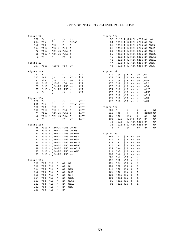| Figure 12    |                            |                            |              |            |       | Figure 17a |                 |     |                             |       |          |       |
|--------------|----------------------------|----------------------------|--------------|------------|-------|------------|-----------------|-----|-----------------------------|-------|----------|-------|
| 368          | $? -$                      | $j-$                       | $r-$         | $a -$      |       | 55         |                 |     | $?c13:4 j2K+2K r256 a+dw4$  |       |          |       |
| 214          | 2a5                        | $j-$                       | $r-$         | aInsp      |       | 54         |                 |     | ?c13:4 j2K+2K r256 a+ dw8   |       |          |       |
| 159          | ?b8                        | j16                        | $r-$         | $a+$       |       | 53         |                 |     | ?c13:4 j2K+2K r256 a+ dw16  |       |          |       |
| 107          | ?c10                       | $j16+8$ r64                |              | $a+$       |       | 52         |                 |     | ?c13:4 j2K+2K r256 a+ dw32  |       |          |       |
| 72           | ?c13                       | $j2K+2K$ r256 a+           |              |            |       | 51         |                 |     | ?c13:4 j2K+2K r256 a+ dw64  |       |          |       |
| 35           |                            | ?c13:4 j2K+2K r256 a+      |              |            |       | 50         |                 |     | ?c13:4 j2K+2K r256 a+ dw128 |       |          |       |
| $\mathbf{1}$ | $? +$                      | $\dot{1}$ +                | $r+$         | $a+$       |       | 49         |                 |     | ?c13:4 j2K+2K r256 a+ dw256 |       |          |       |
|              |                            |                            |              |            |       | 48         |                 |     | ?c13:4 j2K+2K r256 a+ dw512 |       |          |       |
| Figure 13    |                            |                            |              |            |       | 47         |                 |     | ?c13:4 j2K+2K r256 a+ dw1K  |       |          |       |
|              | 107 ?c10                   | $116+8$                    | r64          | $a+$       |       | 46         |                 |     | ?c13:4 j2K+2K r256 a+ dw2K  |       |          |       |
| Figure 14a   |                            |                            |              |            |       | Figure 17b |                 |     |                             |       |          |       |
| 371          | $? -$                      | $j-$                       | $r-$         | $a -$      | $i*2$ | 179        | ?b8             | j16 | $\underline{r}$ –           | $a+$  | dw4      |       |
| 217          | 2a5                        | $j-$                       | $r-$         | aInsp i*2  |       | 178        | ?b8             | j16 | $\Upsilon$ –                | $a+$  | dw8      |       |
| 181          | ?b8                        | 716                        | $r-$         | $a+$       | i*2   | 177        | ?b8             | j16 | $\underline{r}$ –           | $a+$  | dw16     |       |
| 110          | ?c10                       | $116+8$                    | r64          | $a+$       | i*2   | 176        | ?b8             | j16 | $\underline{r}$ –           | $a+$  | dw32     |       |
| 75           | ?c13                       | $j2K+2K$ r256 a+           |              |            | $i*2$ | 175        | ?b8             | j16 | $\underline{r}$ –           | $a+$  | dw64     |       |
| 57           |                            | ?c13:4 j2K+2K r256 a+      |              |            | i*2   | 174        | ?b8             | j16 | $\underline{r}$ –           | $a+$  | dw128    |       |
| 4            | $? +$                      | $j+$                       | $\Upsilon^+$ | $a+$       | i*2   | 173        | ?b8             | j16 | $r-$                        | $a+$  | dw256    |       |
|              |                            |                            |              |            |       | 172        | ? <sub>b8</sub> | j16 | $r-$                        | $a+$  | dw512    |       |
| Figure 15a   |                            |                            |              |            |       | 171        | ?b8             | j16 | $\underline{r}$ –           | $a+$  | dw1K     |       |
| 370          | $? -$                      | $j-$                       | $r-$         | $a -$      | iInf  | 170        | ?b8             | j16 | $\underline{r}$ –           | $a+$  | dw2K     |       |
| 216          | ?a5                        | j-                         | $r-$         | aInsp iInf |       |            |                 |     |                             |       |          |       |
| 180          | ?b8                        | 116                        | $r-$         | $a+$       | iInf  | Figure 18a |                 |     |                             |       |          |       |
| 109          | ?c10                       | $j16+8$ r64                |              | $a+$       | iInf  | 369        | $? -$           |     | $j-$                        | $r-$  | $a -$    | $W +$ |
| 74           | ?c13                       | j2K+2K r256 a+             |              |            | iInf  | 215        | 2a5             |     | $j-$                        | $r -$ | aInsp w+ |       |
| 56           |                            | ?c13:4 j2K+2K r256 a+      |              |            | iInf  | 160        | ?b8             |     | j16                         | $r -$ | $a+$     | $W +$ |
| 3            | $\ddot{ }$ +               | $\dot{1}$                  | $r +$        | $a+$       | iInf  | 108        | ?c10            |     | $116+8$                     | r64   | $a+$     | $W +$ |
|              |                            |                            |              |            |       | 73         | ?c13            |     | $j2K+2K$ r256 a+            |       |          | $W +$ |
| Figure 16a   |                            |                            |              |            |       | 36         |                 |     | ?c13:4 j2K+2K r256 a+       |       |          | $W +$ |
| 45           |                            | ?c13:4 j2K+2K r256 a+ w4   |              |            |       | 2          | $? +$           |     | $j+$                        | $r +$ | $a+$     | $W +$ |
| 44           |                            | ?c13:4 j2K+2K r256 a+ w8   |              |            |       |            |                 |     |                             |       |          |       |
| 43           |                            | ?c13:4 j2K+2K r256 a+ w16  |              |            |       | Figure 22a |                 |     |                             |       |          |       |
| 42           |                            | ?c13:4 j2K+2K r256 a+ w32  |              |            |       | 366        | $? -$           | j16 | $\underline{r}$ –           | $a+$  |          |       |
| 41           |                            | ?c13:4 j2K+2K r256 a+ w64  |              |            |       | 230        | ?al             | j16 | $r -$                       | $a+$  |          |       |
| 40           | ?c13:4 j2K+2K r256 a+ w128 |                            |              |            |       | 228        | 2a2             | j16 | $r-$                        | $a+$  |          |       |
| 39           |                            | ?c13:4 j2K+2K r256 a+ w256 |              |            |       | 226        | 2a3             | j16 | $r -$                       | $a+$  |          |       |
| 38           |                            | ?c13:4 j2K+2K r256 a+ w512 |              |            |       | 224        | ?a4             | j16 | $r -$                       | $a+$  |          |       |
| 37           |                            | ?c13:4 j2K+2K r256 a+ w1K  |              |            |       | 211        | 2a5             | j16 | $r -$                       | $a+$  |          |       |
| 35           |                            | ?c13:4 j2K+2K r256 a+      |              |            |       | 209        | 2a6             | j16 | $r -$                       | $a +$ |          |       |
|              |                            |                            |              |            |       | 207        | ?a7             | j16 | $r -$                       | $a+$  |          |       |
| Figure 16b   |                            |                            |              |            |       | 197        | ?b6             | j16 | $r -$                       | $a+$  |          |       |
| 169          | ?b8                        | j16<br>$r-$                | $a+$         | w4         |       | 195        | ?b7             | j16 | r-                          | $a+$  |          |       |
| 168          | ?b8                        | 716<br>$\Upsilon$ –        | $a+$         | w8         |       | 159        | ?b8             | j16 | $r -$                       | $a+$  |          |       |
| 167          | ?b8                        | 716<br>$r -$               | $a+$         | w16        |       | 143        | ? <sub>b9</sub> | j16 | $r -$                       | $a+$  |          |       |
| 166          | ?b8                        | 716<br>$r-$                | $a+$         | w32        |       | 123        | ?C9             | j16 | $r-$                        | $a+$  |          |       |
| 165          | ?b8                        | j16<br>$r -$               | $a+$         | w64        |       | 121        | ?c10j16         |     | $\underline{r}$ –           | $a+$  |          |       |
| 164          | ?b8                        | j16<br>$r -$               | $a+$         | w128       |       | 101        | ?c11 j16        |     | $r -$                       | $a+$  |          |       |
| 163          | ?b8                        | 716<br>$r-$                | $a+$         | w256       |       | 99         | ?c12 j16        |     | $r -$                       | $a+$  |          |       |
| 162          | ?b8                        | j16<br>$r -$               | $a+$         | w512       |       | 91         | ?c13 j16        |     | $r -$                       | $a+$  |          |       |
| 161          | ?b8                        | 716<br>$r -$               | $a+$         | w1K        |       |            |                 |     |                             |       |          |       |
| 159          | 2b8                        | j16<br>$r -$               | $a+$         |            |       |            |                 |     |                             |       |          |       |

| re 12          |            |                            |                |                  |       | Figure 17a |               |      |                                    |              |       |          |       |
|----------------|------------|----------------------------|----------------|------------------|-------|------------|---------------|------|------------------------------------|--------------|-------|----------|-------|
| 368            | $? -$      | j-                         | $r-$           | $a-$             |       | 55         |               |      | ?c13:4 j2K+2K r256 a+ dw4          |              |       |          |       |
| 214            | 2a5        | $j-$                       | $\Upsilon^-$   | aInsp            |       | 54         |               |      | ?c13:4 j2K+2K r256 a+ dw8          |              |       |          |       |
| 159            | ?b8        | j16                        | $\Upsilon$ –   | $a+$             |       | 53         |               |      | ?c13:4 j2K+2K r256 a+ dw16         |              |       |          |       |
| 107            | ?c10       | $j16+8$ r64                |                | $a+$             |       | 52         |               |      | ?c13:4 j2K+2K r256 a+ dw32         |              |       |          |       |
| 72             | ?c13       | $j2K+2K r256 a+$           |                |                  |       | 51         |               |      | $?c13:4 j2K+2K r256 a+ d\omega 64$ |              |       |          |       |
| 35             |            | ?c13:4 j2K+2K r256 a+      |                |                  |       | 50         |               |      | ?c13:4 j2K+2K r256 a+ dw128        |              |       |          |       |
| 1              | $?+$       | $j+$                       | $r +$          | $a+$             |       | 49         |               |      | ?c13:4 j2K+2K r256 a+ dw256        |              |       |          |       |
|                |            |                            |                |                  |       | 48         |               |      | ?c13:4 j2K+2K r256 a+ dw512        |              |       |          |       |
| re 13          |            |                            |                |                  |       | 47         |               |      | ?c13:4 j2K+2K r256 a+ dw1K         |              |       |          |       |
| 107            | $?$ c $10$ | $116+8$                    | r64            | $a+$             |       | 46         |               |      | ?c13:4 j2K+2K r256 a+ dw2K         |              |       |          |       |
|                |            |                            |                |                  |       |            |               |      |                                    |              |       |          |       |
| re 14a         |            |                            |                |                  |       | Figure 17b |               |      |                                    |              |       |          |       |
| 371            | $? -$      | j-                         | $\Upsilon$ –   | $a -$            | $i*2$ | 179        | ?b8           | j16  | $r-$                               | $a+$         | dw4   |          |       |
| 217            | 2a5        | $j-$                       | $r-$           | aInsp i*2        |       | 178        | ?b8           | j16  | $r-$                               | $a+$         | dw8   |          |       |
| 181            | ?b8        | j16                        | $r-$           | $a+$             | $i*2$ | 177        | ?b8           | j16  | $\underline{r}$ –                  | $a+$         | dw16  |          |       |
| 110            | ?c10       | $j16+8$ r64                |                | $a+$             | $i*2$ | 176        | ?b8           | j16  | $\underline{r}$ –                  | $a+$         | dw32  |          |       |
| 75             | ?c13       | $j2K+2K$ r256 a+           |                |                  | $i*2$ | 175        | ?b8           | j16  | $r -$                              | $a+$         | dw64  |          |       |
| 57             |            | ?c13:4 j2K+2K r256 a+      |                |                  | $i*2$ | 174        | ?b8           | j16  | $r -$                              | $a+$         | dw128 |          |       |
| $\overline{4}$ | $? +$      | $j+$                       | $\mathtt{r}$ + | $a+$             | i*2   | 173        | ?b8           | j16  | $r-$                               | $a+$         | dw256 |          |       |
|                |            |                            |                |                  |       | 172        | ?b8           | j16  | $r -$                              | $a+$         | dw512 |          |       |
| re 15a         |            |                            |                |                  |       | 171        | ?b8           | j16  | $r -$                              | $a+$         | dw1K  |          |       |
| 370            | $? -$      | $j-$                       | $\Upsilon$ –   | $a-$             | iInf  | 170        | ?b8           | j16  | $\underline{r}$ –                  | $a+$         | dw2K  |          |       |
| 216            | 2a5        | j-                         | $\Upsilon$ –   | aInsp iInf       |       |            |               |      |                                    |              |       |          |       |
| 180            | ?b8        | j16                        | $r-$           | $a+$             | iInf  | Figure 18a |               |      |                                    |              |       |          |       |
| 109            | ?c10       | $j16+8$ r64                |                | $a+$             | iInf  | 369        | $? -$         | j-   |                                    | $\Upsilon$ – | $a -$ |          | $W +$ |
| 74             | ?c13       | $j2K+2K$ r256 a+           |                |                  | iInf  | 215        | ?a5           | j-   |                                    | $\Upsilon$ – |       | aInsp w+ |       |
| 56             |            | ?c13:4 j2K+2K r256 a+      |                |                  | iInf  | 160        | ?b8           | j16  |                                    | $\Upsilon$ – | $a +$ |          | $W +$ |
| 3              | $? +$      | $j+$                       | $\mathtt{r}$ + | $a+$             | iInf  | 108        | ?c10          |      | j16+8                              | r64          | $a+$  |          | $W+$  |
|                |            |                            |                |                  |       | 73         | ?c13          |      | j2K+2K r256 a+                     |              |       |          | $W+$  |
| re 16a         |            |                            |                |                  |       | 36         |               |      | ?c13:4 j2K+2K r256 a+              |              |       |          | $W+$  |
| 45             |            | ?c13:4 j2K+2K r256 a+ w4   |                |                  |       | 2          | $? +$         | $j+$ |                                    | $r +$        | $a+$  |          | $W +$ |
| 44             |            | ?c13:4 j2K+2K r256 a+ w8   |                |                  |       |            |               |      |                                    |              |       |          |       |
| 43             |            | ?c13:4 j2K+2K r256 a+ w16  |                |                  |       | Figure 22a |               |      |                                    |              |       |          |       |
| 42             |            | ?c13:4 j2K+2K r256 a+ w32  |                |                  |       | 366        | $? -$         | j16  | $r -$                              | $a+$         |       |          |       |
| 41             |            | ?c13:4 j2K+2K r256 a+ w64  |                |                  |       | 230        | ?al           | j16  | $r -$                              | $a+$         |       |          |       |
| 40             |            | ?c13:4 j2K+2K r256 a+ w128 |                |                  |       | 228        | 2a2           | j16  | $r -$                              | $a+$         |       |          |       |
| 39             |            | ?c13:4 j2K+2K r256 a+ w256 |                |                  |       | 226        | 2a3           | j16  | $r -$                              | $a+$         |       |          |       |
| 38             |            | ?c13:4 j2K+2K r256 a+ w512 |                |                  |       | 224        | ?a4           | j16  | $r-$                               | $a+$         |       |          |       |
| 37             |            | ?c13:4 j2K+2K r256 a+ w1K  |                |                  |       | 211        | ?a5           | j16  | $r -$                              | $a+$         |       |          |       |
| 35             |            | ?c13:4 j2K+2K r256 a+      |                |                  |       | 209        | ?a6           | j16  | r-                                 | $a+$         |       |          |       |
|                |            |                            |                |                  |       | 207        | ?a7           | j16  | $\underline{r}$ –                  | $a+$         |       |          |       |
| re 16b         |            |                            |                |                  |       | 197        | ?b6           | j16  | $r -$                              | $a+$         |       |          |       |
| 169            | ?b8        | j16<br>$\Upsilon$ –        | $a+$           | w4               |       | 195        | ?b7           | j16  | $\underline{r}$ –                  | $a+$         |       |          |       |
| 168            | ?b8        | j16<br>$\Upsilon$ –        | $a+$           | w8               |       | 159        | ?b8           | j16  | $r-$                               | $a+$         |       |          |       |
| 167            | ?b8        | j16<br>$\underline{r}$ –   | $a+$           | w16              |       | 143        | ?b9           | j16  | $r -$                              | $a+$         |       |          |       |
| 166            | ?b8        | j16<br>$\Upsilon$ –        | $a+$           | w32              |       | 123        | ?C9           | j16  | $r -$                              | $a+$         |       |          |       |
| 165            | ?b8<br>716 | $r-$                       | $a+$           | w64              |       | 121        | ?c10 j16      |      | $r-$                               | $a+$         |       |          |       |
| 164            | ?b8<br>716 | $\underline{r}$ –          | $a+$           | w128             |       | 101        | ?c11 j16      |      | $r -$                              | $a +$        |       |          |       |
| 163            | ?b8        | j16<br>$r-$                | $a+$           | w256             |       | 99         | ?c12 j16      |      | $\underline{r}$ –                  | $a+$         |       |          |       |
| 162            | 2b8        | $-116$ $r-$                | $a+$           | w <sub>512</sub> |       | 91         | $?c13$ il6 r- |      |                                    | $a+$         |       |          |       |
|                |            |                            |                |                  |       |            |               |      |                                    |              |       |          |       |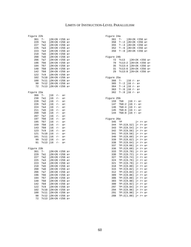| Figure 22b |           |                             | Figure 24a                         |
|------------|-----------|-----------------------------|------------------------------------|
| 361        | $? -$     | j2K+2K r256 a+              | j2K+2K r256 a+<br>361 ?-           |
| 229        | ?al       | j2K+2K r256 a+              | 358<br>?-:2 j2K+2K r256 a+         |
| 227        | ?a2       | j2K+2K r256 a+              | 355<br>?-:4 j2K+2K r256 a+         |
| 225        | 2a3       | $j2K+2K$ r256 a+            | $? - 16 j2K + 2K r256 a+$<br>352   |
| 223        | ?a4       | $j2K+2K r256 a+$            | 350<br>$? - 0.8 j2K + 2K r256 a +$ |
| 210        | ?a5       | j2K+2K r256 a+              |                                    |
| 208        | ?a6       | j2K+2K r256 a+              | Figure 24b                         |
| 206        | ?a7       | j2K+2K r256 a+              | 72<br>?c13<br>j2K+2K r256          |
| 196        | ?b6       | j2K+2K r256 a+              | 70<br>?c13:2 j2K+2K r256           |
| 194        | ?b7       | j2K+2K r256 a+              | 35<br>?c13:4 j2K+2K r256           |
| 148        | ?b8       | $j2K+2K r256 a+$            | 31<br>?c13:6 j2K+2K r256           |
| 142        | ?b9       | $12K+2K$ r256 a+            | 29<br>?c13:8 j2K+2K r256           |
| 122        | $?$ c $9$ | j2K+2K r256 a+              |                                    |
| 102        |           | ?c10 j2K+2K r256 a+         | Figure 25a                         |
| 100        |           | ?c11 j2K+2K r256 a+         | 366<br>$? -$<br>$j16$ r- a+        |
| 98         |           | ?c12 j2K+2K r256 a+         | $? - 2 j16 r - a +$<br>365         |
| 72         |           | ?c13 j2K+2K r256 a+         | $? - 14 j16 r - a +$<br>364        |
|            |           |                             | $363$ ?-:6 j16 r- a+               |
| Figure 23a |           |                             | 362 ?-:8 j16 r- a+                 |
| 366        | $? -$     | $116$ r-<br>$a+$            |                                    |
| 230        | ?al       | j16<br>$r -$<br>$a+$        | Figure 25b                         |
| 228        | ?a2       | j16<br>$r -$<br>$a+$        | 159<br>?b8<br>$j16$ r- a+          |
| 226        | 2a3       | j16<br>$r-$<br>$a+$         | $?b8:2 j16 r - a+$<br>147          |
| 224        | ?a4       | 716<br>$r-$<br>$a+$         | 146<br>$?b8:4 j16 r - a+$          |
| 211        | ?a5       | j16<br>$r-$<br>$a+$         | 145 ?b8:6 j16 r- a+                |
| 209        | ?a6       | j16<br>$r-$<br>$a+$         | 144<br>$?b8:8 j16 r - a +$         |
| 207        | ?a7       | 716<br>$r-$<br>$a+$         |                                    |
| 197        | ?b6       | j16<br>$\Upsilon$ –<br>$a+$ | Figure 26a                         |
| 195        | ?b7       | j16<br>$r-$<br>$a+$         | 345<br>$j+$ $r+$ $a+$<br>?P        |
| 159        | ?b8       | j16<br>$\Upsilon$ –<br>$a+$ | 344<br>$PP:2(0.52)$ j+ r+ a+       |
| 143        | ?b9       | j16<br>$r-$<br>$a+$         | $PP:2(0.54)$ j+ r+ a+<br>343       |
| 123        | $?$ c $9$ | j16<br>$r-$<br>$a+$         | 342<br>$PP:2(0.56)$ j+ r+ a+       |
| 121        | ?c10 j16  | $r-$<br>$a+$                | 341<br>?P:2(0.58) j+ r+ a+         |
| 101        |           | $?c11 j16 r-$<br>$a+$       | 340<br>?P:2(0.60) j+ r+ a+         |
| 99         |           | $?c12 j16 r-$<br>$a+$       | 339<br>?P:2(0.62) j+ r+ a+         |
| 91         | ?c13 j16  | $\Upsilon$ –<br>$a+$        | 338<br>$PP:2(0.64)$ j+ r+ a+       |
|            |           |                             | 337<br>$PP:2(0.66)$ j+ r+ a+       |
| Figure 23b |           |                             | 336<br>?P:2(0.68) j+ r+ a+         |
| 361        | $? -$     | j2K+2K r256 a+              | 333<br>?P:2(0.70) j+ r+ a+         |
| 229        | ?al       | j2K+2K r256 a+              | 330<br>$?P:2(0.72) j+ r+ a+$       |
| 227        | ?a2       | j2K+2K r256 a+              | 327<br>$PP:2(0.74)$ j+ r+ a+       |
| 225        | 2a3       | j2K+2K r256 a+              | 324<br>?P:2(0.76) j+ r+ a+         |
| 223        | ?a4       | j2K+2K r256 a+              | 321<br>?P:2(0.78) j+ r+ a+         |
| 210        | ?a5       | j2K+2K r256 a+              | 318<br>$PP:2(0.80)$ j+ r+ a+       |
| 208        | ?a6       | j2K+2K r256 a+              | 315<br>$PP:2(0.82) j+ r+ a+$       |
| 206        | ?a7       | j2K+2K r256 a+              | 312<br>$PP:2(0.84)$ j+ r+ a+       |
| 196        |           | ?b6 j2K+2K r256 a+          | $PP:2(0.86)$ j+ r+ a+<br>309       |
| 194        |           | ?b7 j2K+2K r256 a+          | 306<br>?P:2(0.88) j+ r+ a+         |
| 148        | ?b8       | $j2K+2K$ r256 a+            | 303<br>?P:2(0.90) j+ r+ a+         |
| 142        | ?b9       | $j2K+2K$ r256 a+            | 300<br>$PP:2(0.92) j+ r+ a+$       |
| 122        |           | ?c9 j2K+2K r256 a+          | 297<br>?P:2(0.94) j+ r+ a+         |
| 102        |           | ?c10 j2K+2K r256 a+         | 294<br>?P:2(0.96) j+ r+ a+         |
| 100        |           | ?c11 j2K+2K r256 a+         | 291<br>?P:2(0.98) j+ r+ a+         |
| 98         |           | ?c12 j2K+2K r256 a+         | $PP:2(1.00)$ j+ r+ a+<br>288       |
| 72         |           | ?c13 j2K+2K r256 a+         |                                    |
|            |           |                             |                                    |

| re 22b    |                                                                                                                                                                     | Figure 24a                                                                                                                                                                                                                                                                                                                                                                                                                                                                                                                                                                                                                                                                                                                                                                                        |                                                                                                                                                                        |
|-----------|---------------------------------------------------------------------------------------------------------------------------------------------------------------------|---------------------------------------------------------------------------------------------------------------------------------------------------------------------------------------------------------------------------------------------------------------------------------------------------------------------------------------------------------------------------------------------------------------------------------------------------------------------------------------------------------------------------------------------------------------------------------------------------------------------------------------------------------------------------------------------------------------------------------------------------------------------------------------------------|------------------------------------------------------------------------------------------------------------------------------------------------------------------------|
| $? -$     | j2K+2K r256 a+                                                                                                                                                      | 361                                                                                                                                                                                                                                                                                                                                                                                                                                                                                                                                                                                                                                                                                                                                                                                               | $? -$<br>j2K+2K r256 a+                                                                                                                                                |
| ?a1       | j2K+2K r256 a+                                                                                                                                                      | 358                                                                                                                                                                                                                                                                                                                                                                                                                                                                                                                                                                                                                                                                                                                                                                                               | $? - 2j2K + 2K r256 a+$                                                                                                                                                |
| 2a2       |                                                                                                                                                                     | 355                                                                                                                                                                                                                                                                                                                                                                                                                                                                                                                                                                                                                                                                                                                                                                                               | ?-:4 j2K+2K r256 a+                                                                                                                                                    |
|           |                                                                                                                                                                     |                                                                                                                                                                                                                                                                                                                                                                                                                                                                                                                                                                                                                                                                                                                                                                                                   | $? - 16$ j2K+2K r256 a+                                                                                                                                                |
|           |                                                                                                                                                                     |                                                                                                                                                                                                                                                                                                                                                                                                                                                                                                                                                                                                                                                                                                                                                                                                   | $? - 8j2K + 2K r256 a+$                                                                                                                                                |
|           |                                                                                                                                                                     |                                                                                                                                                                                                                                                                                                                                                                                                                                                                                                                                                                                                                                                                                                                                                                                                   |                                                                                                                                                                        |
|           |                                                                                                                                                                     |                                                                                                                                                                                                                                                                                                                                                                                                                                                                                                                                                                                                                                                                                                                                                                                                   |                                                                                                                                                                        |
|           |                                                                                                                                                                     |                                                                                                                                                                                                                                                                                                                                                                                                                                                                                                                                                                                                                                                                                                                                                                                                   |                                                                                                                                                                        |
|           |                                                                                                                                                                     |                                                                                                                                                                                                                                                                                                                                                                                                                                                                                                                                                                                                                                                                                                                                                                                                   | ?c13<br>$j2K+2K$ r256 a+                                                                                                                                               |
|           |                                                                                                                                                                     |                                                                                                                                                                                                                                                                                                                                                                                                                                                                                                                                                                                                                                                                                                                                                                                                   | $?c13:2 j2K+2K r256 a+$                                                                                                                                                |
|           |                                                                                                                                                                     |                                                                                                                                                                                                                                                                                                                                                                                                                                                                                                                                                                                                                                                                                                                                                                                                   | ?c13:4 j2K+2K r256 a+                                                                                                                                                  |
|           |                                                                                                                                                                     |                                                                                                                                                                                                                                                                                                                                                                                                                                                                                                                                                                                                                                                                                                                                                                                                   | ?c13:6 j2K+2K r256 a+                                                                                                                                                  |
|           |                                                                                                                                                                     |                                                                                                                                                                                                                                                                                                                                                                                                                                                                                                                                                                                                                                                                                                                                                                                                   | ?c13:8 j2K+2K r256 a+                                                                                                                                                  |
|           |                                                                                                                                                                     |                                                                                                                                                                                                                                                                                                                                                                                                                                                                                                                                                                                                                                                                                                                                                                                                   |                                                                                                                                                                        |
|           |                                                                                                                                                                     |                                                                                                                                                                                                                                                                                                                                                                                                                                                                                                                                                                                                                                                                                                                                                                                                   |                                                                                                                                                                        |
|           |                                                                                                                                                                     | 366                                                                                                                                                                                                                                                                                                                                                                                                                                                                                                                                                                                                                                                                                                                                                                                               | $? -$<br>j16 r- a+                                                                                                                                                     |
|           |                                                                                                                                                                     | 365                                                                                                                                                                                                                                                                                                                                                                                                                                                                                                                                                                                                                                                                                                                                                                                               | $? - 2$ j16 r- a+                                                                                                                                                      |
|           |                                                                                                                                                                     | 364                                                                                                                                                                                                                                                                                                                                                                                                                                                                                                                                                                                                                                                                                                                                                                                               | $? - 4 j16 r - a +$                                                                                                                                                    |
|           |                                                                                                                                                                     | 363                                                                                                                                                                                                                                                                                                                                                                                                                                                                                                                                                                                                                                                                                                                                                                                               | $? - 0.6$ j16 r- a+                                                                                                                                                    |
| re 23a    |                                                                                                                                                                     | 362                                                                                                                                                                                                                                                                                                                                                                                                                                                                                                                                                                                                                                                                                                                                                                                               | $? - 0.8$ j16 r- a+                                                                                                                                                    |
|           |                                                                                                                                                                     |                                                                                                                                                                                                                                                                                                                                                                                                                                                                                                                                                                                                                                                                                                                                                                                                   |                                                                                                                                                                        |
|           |                                                                                                                                                                     |                                                                                                                                                                                                                                                                                                                                                                                                                                                                                                                                                                                                                                                                                                                                                                                                   |                                                                                                                                                                        |
|           |                                                                                                                                                                     |                                                                                                                                                                                                                                                                                                                                                                                                                                                                                                                                                                                                                                                                                                                                                                                                   | ?b8<br>$j16$ r- a+                                                                                                                                                     |
|           |                                                                                                                                                                     |                                                                                                                                                                                                                                                                                                                                                                                                                                                                                                                                                                                                                                                                                                                                                                                                   | $?b8:2$ j16 r- a+                                                                                                                                                      |
|           |                                                                                                                                                                     |                                                                                                                                                                                                                                                                                                                                                                                                                                                                                                                                                                                                                                                                                                                                                                                                   | $?b8:4 j16 r - a+$                                                                                                                                                     |
|           |                                                                                                                                                                     |                                                                                                                                                                                                                                                                                                                                                                                                                                                                                                                                                                                                                                                                                                                                                                                                   | $?b8:6 j16 r - a +$                                                                                                                                                    |
|           |                                                                                                                                                                     |                                                                                                                                                                                                                                                                                                                                                                                                                                                                                                                                                                                                                                                                                                                                                                                                   |                                                                                                                                                                        |
|           |                                                                                                                                                                     |                                                                                                                                                                                                                                                                                                                                                                                                                                                                                                                                                                                                                                                                                                                                                                                                   | ?b8:8 j16 r- a+                                                                                                                                                        |
|           |                                                                                                                                                                     |                                                                                                                                                                                                                                                                                                                                                                                                                                                                                                                                                                                                                                                                                                                                                                                                   |                                                                                                                                                                        |
|           |                                                                                                                                                                     |                                                                                                                                                                                                                                                                                                                                                                                                                                                                                                                                                                                                                                                                                                                                                                                                   |                                                                                                                                                                        |
|           |                                                                                                                                                                     |                                                                                                                                                                                                                                                                                                                                                                                                                                                                                                                                                                                                                                                                                                                                                                                                   | ?P<br>$j+$ r+ a+                                                                                                                                                       |
|           |                                                                                                                                                                     |                                                                                                                                                                                                                                                                                                                                                                                                                                                                                                                                                                                                                                                                                                                                                                                                   | $PP:2(0.52)$ j+ r+ a+                                                                                                                                                  |
|           |                                                                                                                                                                     |                                                                                                                                                                                                                                                                                                                                                                                                                                                                                                                                                                                                                                                                                                                                                                                                   | $?P:2(0.54)$ j+ r+ a+                                                                                                                                                  |
|           |                                                                                                                                                                     |                                                                                                                                                                                                                                                                                                                                                                                                                                                                                                                                                                                                                                                                                                                                                                                                   | $PP:2(0.56)$ j+ r+ a+                                                                                                                                                  |
|           | a+                                                                                                                                                                  |                                                                                                                                                                                                                                                                                                                                                                                                                                                                                                                                                                                                                                                                                                                                                                                                   | $PP:2(0.58)$ j+ r+ a+                                                                                                                                                  |
|           | $\underline{r}$ –<br>$a+$                                                                                                                                           | 340                                                                                                                                                                                                                                                                                                                                                                                                                                                                                                                                                                                                                                                                                                                                                                                               | $PP:2(0.60)$ j+ r+ a+                                                                                                                                                  |
| ?c12 j16  |                                                                                                                                                                     |                                                                                                                                                                                                                                                                                                                                                                                                                                                                                                                                                                                                                                                                                                                                                                                                   |                                                                                                                                                                        |
|           | $r-$<br>$a+$                                                                                                                                                        | 339                                                                                                                                                                                                                                                                                                                                                                                                                                                                                                                                                                                                                                                                                                                                                                                               | $PP:2(0.62)$ j+ r+ a+                                                                                                                                                  |
| ?c13 j16  | $\underline{r}$ –<br>$a+$                                                                                                                                           | 338                                                                                                                                                                                                                                                                                                                                                                                                                                                                                                                                                                                                                                                                                                                                                                                               | $PP:2(0.64)$ j+ r+ a+                                                                                                                                                  |
|           |                                                                                                                                                                     | 337                                                                                                                                                                                                                                                                                                                                                                                                                                                                                                                                                                                                                                                                                                                                                                                               | $PP:2(0.66)$ j+ r+ a+                                                                                                                                                  |
| re 23b    |                                                                                                                                                                     | 336                                                                                                                                                                                                                                                                                                                                                                                                                                                                                                                                                                                                                                                                                                                                                                                               | $PP:2(0.68)$ j+ r+ a+                                                                                                                                                  |
| $? -$     | j2K+2K r256 a+                                                                                                                                                      | 333                                                                                                                                                                                                                                                                                                                                                                                                                                                                                                                                                                                                                                                                                                                                                                                               | $PP:2(0.70)$ j+ r+ a+                                                                                                                                                  |
| ?al       |                                                                                                                                                                     | 330                                                                                                                                                                                                                                                                                                                                                                                                                                                                                                                                                                                                                                                                                                                                                                                               |                                                                                                                                                                        |
|           | j2K+2K r256 a+                                                                                                                                                      | 327                                                                                                                                                                                                                                                                                                                                                                                                                                                                                                                                                                                                                                                                                                                                                                                               | $PP:2(0.72)$ j+ r+ a+                                                                                                                                                  |
| 2a2       | $j2K+2K$ r256 a+                                                                                                                                                    |                                                                                                                                                                                                                                                                                                                                                                                                                                                                                                                                                                                                                                                                                                                                                                                                   | $PP:2(0.74)$ j+ r+ a+                                                                                                                                                  |
| 2a3       | j2K+2K r256 a+                                                                                                                                                      | 324                                                                                                                                                                                                                                                                                                                                                                                                                                                                                                                                                                                                                                                                                                                                                                                               | $PP:2(0.76)$ j+ r+ a+                                                                                                                                                  |
| ?a4       | j2K+2K r256 a+                                                                                                                                                      | 321                                                                                                                                                                                                                                                                                                                                                                                                                                                                                                                                                                                                                                                                                                                                                                                               | $PP:2(0.78)$ j+ r+ a+                                                                                                                                                  |
| ?a5       | j2K+2K r256 a+                                                                                                                                                      | 318                                                                                                                                                                                                                                                                                                                                                                                                                                                                                                                                                                                                                                                                                                                                                                                               | $PP:2(0.80)$ j+ r+ a+                                                                                                                                                  |
| ?a6       | j2K+2K r256 a+                                                                                                                                                      | 315                                                                                                                                                                                                                                                                                                                                                                                                                                                                                                                                                                                                                                                                                                                                                                                               | $PP:2(0.82)$ j+ r+ a+                                                                                                                                                  |
| ?a7       | $j2K+2K$ r256 a+                                                                                                                                                    | 312                                                                                                                                                                                                                                                                                                                                                                                                                                                                                                                                                                                                                                                                                                                                                                                               | $PP:2(0.84)$ j+ r+ a+                                                                                                                                                  |
| ?b6       | j2K+2K r256 a+                                                                                                                                                      | 309                                                                                                                                                                                                                                                                                                                                                                                                                                                                                                                                                                                                                                                                                                                                                                                               | $PP:2(0.86)$ j+ r+ a+                                                                                                                                                  |
| ?b7       | $j2K+2K$ r256 a+                                                                                                                                                    | 306                                                                                                                                                                                                                                                                                                                                                                                                                                                                                                                                                                                                                                                                                                                                                                                               | $PP:2(0.88)$ j+ r+ a+                                                                                                                                                  |
| ?b8       | j2K+2K r256 a+                                                                                                                                                      | 303                                                                                                                                                                                                                                                                                                                                                                                                                                                                                                                                                                                                                                                                                                                                                                                               | $PP:2(0.90)$ j+ r+ a+                                                                                                                                                  |
| ?b9       | j2K+2K r256 a+                                                                                                                                                      | 300                                                                                                                                                                                                                                                                                                                                                                                                                                                                                                                                                                                                                                                                                                                                                                                               | $PP:2(0.92)$ j+ r+ a+                                                                                                                                                  |
| $?$ c $9$ | j2K+2K r256 a+                                                                                                                                                      | 297                                                                                                                                                                                                                                                                                                                                                                                                                                                                                                                                                                                                                                                                                                                                                                                               | $PP:2(0.94)$ j+ r+ a+                                                                                                                                                  |
|           | ?c10 j2K+2K r256 a+                                                                                                                                                 | 294                                                                                                                                                                                                                                                                                                                                                                                                                                                                                                                                                                                                                                                                                                                                                                                               | $PP:2(0.96)$ j+ r+ a+                                                                                                                                                  |
|           | ?c11 j2K+2K r256 a+<br>?c12 j2K+2K r256 a+                                                                                                                          | 291<br>288                                                                                                                                                                                                                                                                                                                                                                                                                                                                                                                                                                                                                                                                                                                                                                                        | $PP:2(0.98)$ j+ r+ a+<br>$PP:2(1.00)$ j+ r+ a+                                                                                                                         |
|           | 2a3<br>?a4<br>?a5<br>?а6<br>?a7<br>?b6<br>?b7<br>?b8<br>?b9<br>?C9<br>? –<br>?al<br>2a2<br>2a3<br>?a4<br>?a5<br>?a6<br>?a7<br>?b6<br>?b7<br>?b8<br>?b9<br>$?$ c $9$ | j2K+2K r256 a+<br>$j2K+2K$ r256 a+<br>j2K+2K r256 a+<br>$j2K+2K$ r256 a+<br>j2K+2K r256 a+<br>$j2K+2K$ r256 a+<br>$j2K+2K$ r256 a+<br>j2K+2K r256 a+<br>$j2K+2K$ r256 a+<br>j2K+2K r256 a+<br>$j2K+2K$ r256 a+<br>?c10 j2K+2K r256 a+<br>?c11 j2K+2K r256 a+<br>?c12 j2K+2K r256 a+<br>?c13 j2K+2K r256 a+<br>j16<br>$r-$<br>$a+$<br>j16<br>$\underline{r}$ –<br>$a+$<br>j16<br>$\underline{r}$ –<br>$a+$<br>j16<br>$\underline{r}$ –<br>a+<br>j16<br>$\underline{r}$ –<br>$a+$<br>j16<br>$\Upsilon$ –<br>a+<br>j16<br>$\underline{r}$ –<br>$a+$<br>j16<br>$\underline{r}$ –<br>$a+$<br>j16<br>$r -$<br>a+<br>j16<br>$\underline{r}$ –<br>$a+$<br>j16<br>$\Upsilon$ –<br>$a+$<br>j16<br>$\underline{r}$ –<br>$a+$<br>j16<br>$\underline{r}$ –<br>$a+$<br>?c10j16<br>$\underline{r}$ –<br>?c11 j16 | 352<br>350<br>Figure 24b<br>72<br>70<br>35<br>31<br>29<br>Figure 25a<br>Figure 25b<br>159<br>147<br>146<br>145<br>144<br>Figure 26a<br>345<br>344<br>343<br>342<br>341 |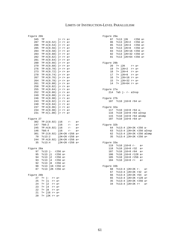## Figure 26b Figure 29a

| 11901 C 2010 |                                            | $2 + 9$ urc $2$ urc                               |
|--------------|--------------------------------------------|---------------------------------------------------|
| 345          | j+ r+ a+<br>?P                             | 87 ?c13 j2K r256 a+                               |
|              | 287 ?P:4(0.52) j+ r+ a+                    | 86 ?c13 j2K+2 r256 a+                             |
| 286          | $?P:4(0.54) j+ r+ a+$                      | 85<br>?c13 j2K+4 r256 a+                          |
| 285          | $?P:4(0.56)$ j+ r+ a+                      | 84 ?c13 j2K+8 r256 a+                             |
| 284          | ?P:4(0.58) j+ r+ a+                        | 83 ?c13 j2K+16 r256 a+                            |
| 283          | ?P:4(0.60) j+ r+ a+                        | 82 ?c13 j2K+32 r256 a+                            |
| 282          | $?P:4(0.62)$ j+ r+ a+                      | 81<br>?c13 j2K+64 r256 a+                         |
| 281          | $?P:4(0.64) j+ r+ a+$                      |                                                   |
| 280          | $?P:4(0.66) j+ r+ a+$                      | Figure 29b                                        |
| 279          | $?P:4(0.68)$ j+ r+ a+                      | 20<br>$? + j2K$ $r+ a+$                           |
| 276          | $?P:4(0.70)$ j+ r+ a+                      | 19<br>$?+ j2K+2$ $r+ a+$                          |
| 273          | $?P:4(0.72)$ j+ r+ a+                      | $18$ ?+ $j2K+4$ r+ a+                             |
| 270          | ?P:4(0.74) j+ r+ a+                        | $17$ ?+ $j2K+8$ r+ a+                             |
| 267          | ?P:4(0.76) j+ r+ a+                        | $16$ ?+ $j2K+16$ r+ a+                            |
| 264          | ?P:4(0.78) j+ r+ a+                        | $15$ ?+ $j2K+32$ r+ a+                            |
| 261          | $?P:4(0.80) j+ r+ a+$                      | 14 ?+ j2K+64 r+ a+                                |
| 258          | ?P:4(0.82) j+ r+ a+                        |                                                   |
| 255          | $?P:4(0.84) j+ r+ a+$                      | Figure 27a                                        |
| 252          | ?P:4(0.86) j+ r+ a+                        | $214$ ?a5 j- r- alnsp                             |
| 249          | $?P:4(0.88)$ j+ r+ a+                      |                                                   |
| 246          | ?P:4(0.90) j+ r+ a+                        | Figure 27b                                        |
| 243          |                                            |                                                   |
| 240          | ?P:4(0.92) j+ r+ a+<br>?P:4(0.94) j+ r+ a+ | 107 ?c10 j16+8 r64 a+                             |
|              |                                            |                                                   |
| 237          | ?P:4(0.96) j+ r+ a+                        | Figure 32a                                        |
|              | 234 ?P:4(0.98) j+ r+ a+                    | 117<br>?c10 j16+8 r64 a-                          |
|              | 231 ?P:4(1.00) j+ r+ a+                    | 116 ?c10 j16+8 r64 aInsp                          |
| Figure 27    |                                            | 115 ?c10 j16+8 r64 aComp<br>107 ?c10 j16+8 r64 a+ |
| 302          | ?P:2(0.92) j16 r-<br>a+                    |                                                   |
| 147          | j16 r-<br>?b8:2<br>a+                      | Figure 32b                                        |
| 245          | ?P:4(0.92) j16<br>$r-$<br>$a+$             | 64 ?c13:4 j2K+2K r256 a-                          |
| 146          | $r-$<br>j16<br>?b8:4<br>$a+$               | 63 ?c13:4 j2K+2K r256 aI                          |
| 301          | ?P:2(0.92) j2K+2K r256 a+                  | 62 ?c13:4 j2K+2K r256 aC                          |
| 70           | ?c13:2 j2K+2K r256 a+                      | 35<br>?c13:4 j2K+2K r256 a+                       |
| 244          | ?P:4(0.92) j2K+2K r256 a+                  |                                                   |
| 35           | $?c13:4$ $j2K+2K$ r256 a+                  | Figure 33a                                        |
|              |                                            | 119 ?c10 j16+8 r-<br>$a+$                         |
| Figure 28a   |                                            | 118 ?c10 j16+8 r32<br>$a+$                        |
| 97           | ?c13 j- r256 a+                            | 107 ?c10 j16+8 r64<br>$a+$                        |
| 95           | ?c13 j1 r256 a+                            | 106 ?c10 j16+8 r128 a+                            |
| 94           | ?c13 j2 r256 a+                            | 105 ?c10 j16+8 r256 a+                            |
| 93           | ?c13 j4 r256 a+                            | 104 ?c10 j16+8 r+<br>$a+$                         |
| 92           | ?c13 j8 r256 a+                            |                                                   |
| 90           | ?c13 j16 r256 a+                           | Figure 33b                                        |
| 87           | ?c13 j2K r256 a+                           | 68 ?c13:4 j2K+2K r- a+                            |
|              |                                            | 67 ?c13:4 j2K+2K r32 a+                           |
| Figure 28b   |                                            | 66 -<br>$?c13:4 j2K+2K r64 a+$                    |
| 27           | $?+j r+$ $a+$                              | 65<br>?c13:4 j2K+2K r128 a+                       |
| 25           | $? + j1$ $r+ a+$                           | 35<br>?c13:4 j2K+2K r256 a+                       |
| 24           | $? + j2$<br>$r+$ a+                        | 34<br>$?c13:4 j2K+2K r+ a+$                       |
| 23           | $? + j4$<br>$r+ a+$                        |                                                   |
|              |                                            |                                                   |

22 ?+ j8 r+ a+ 21 ?+ j16 r+ a+ 20 ?+ j2K r+ a+

| ⊥⊂ ∠ບມ |                                | riyult 20a                      |
|--------|--------------------------------|---------------------------------|
| 345    | ?Р<br>j+ r+ a+                 | ?c13 j2K r256 a+<br>87          |
| 287    | ?P:4(0.52) j+ r+ a+            | ?c13 j2K+2 r256 a+<br>86        |
| 286    | ?P:4(0.54) j+ r+ a+            | 85<br>?c13 j2K+4 r256 a+        |
| 285    | $?P:4(0.56)$ j+ r+ a+          | 84<br>?c13 j2K+8 r256 a+        |
| 284    | $PP:4(0.58)$ j+ r+ a+          | 83<br>?c13 j2K+16 r256 a+       |
| 283    | $PP:4(0.60)$ j+ r+ a+          | 82<br>?c13 j2K+32 r256 a+       |
| 282    | $PP:4(0.62)$ j+ r+ a+          | 81<br>?c13 j2K+64 r256 a+       |
| 281    | $PP:4(0.64)$ j+ r+ a+          |                                 |
| 280    | $PP:4(0.66)$ j+ r+ a+          | Figure 29b                      |
| 279    | $PP:4(0.68)$ j+ r+ a+          | ?+ j2K<br>20<br>r+ a+           |
| 276    | $PP:4(0.70)$ j+ r+ a+          | 19<br>?+ j2K+2 r+ a+            |
| 273    | $?P:4(0.72)$ j+ r+ a+          | $?+ j2K+4$ $r+ a+$<br>18        |
| 270    | $PP:4(0.74)$ j+ r+ a+          | 17<br>?+ j2K+8 r+ a+            |
| 267    | $PP:4(0.76)$ j+ r+ a+          | $16$ ?+ $j2K+16$ r+ a+          |
| 264    | $?P:4(0.78)$ j+ r+ a+          | $15$ ?+ $j2K+32$ r+ a+          |
| 261    | $PP:4(0.80)$ j+ r+ a+          | $14$ ?+ $j2K+64$ r+ a+          |
| 258    | $?P:4(0.82)$ j+ r+ a+          |                                 |
| 255    | $PP:4(0.84)$ j+ r+ a+          | Figure 27a                      |
| 252    | $PP:4(0.86)$ j+ r+ a+          | $214$ $25j$ - $r$ - alnsp       |
| 249    | $PP:4(0.88)$ j+ r+ a+          |                                 |
| 246    | $PP:4(0.90)$ j+ r+ a+          | Figure 27b                      |
| 243    | $PP:4(0.92)$ j+ r+ a+          | 107 ?c10 j16+8 r64 a+           |
| 240    | $PP:4(0.94)$ j+ r+ a+          |                                 |
| 237    | $PP:4(0.96)$ j+ r+ a+          | Figure 32a                      |
| 234    | $?P:4(0.98)$ j+ r+ a+          | 117<br>?c10 j16+8 r64 a-        |
| 231    | $PP:4(1.00)$ j+ r+ a+          | 116 ?c10 j16+8 r64 aInsp        |
|        |                                | 115 ?c10 j16+8 r64 aComp        |
| re 27  |                                | 107<br>?c10 j16+8 r64 a+        |
| 302    | ?P:2(0.92) j16<br>$r-$<br>$a+$ |                                 |
| 147    | ?b8:2<br>716<br>$r-$<br>a+     | Figure 32b                      |
| 245    | $PP:4(0.92)$ j16<br>$r-$<br>a+ | 64 ?c13:4 j2K+2K r256 a-        |
| 146    | ?b8:4<br>j16<br>$r-$<br>$a+$   | 63 ?c13:4 j2K+2K r256 aInsp     |
| 301    | ?P:2(0.92) j2K+2K r256 a+      | 62 ?c13:4 j2K+2K r256 aComp     |
| 70     | $?c13:2$ $j2K+2K r256 a+$      | 35<br>?c13:4 j2K+2K r256 a+     |
| 244    | ?P:4(0.92) j2K+2K r256 a+      |                                 |
| 35     | ?c13:4<br>j2K+2K r256 a+       | Figure 33a                      |
|        |                                | $?c10 j16+8 r- a+$<br>119       |
| re 28a |                                | 118<br>?c10 j16+8 r32 a+        |
| 97     | ?c13 j- r256 a+                | ?c10 j16+8 r64<br>107<br>$a+$   |
| 95     | ?c13 j1 r256 a+                | 106<br>?c10 j16+8 r128 a+       |
| 94     | ?c13 j2 r256 a+                | 105 ?c10 j16+8 r256 a+          |
| 93     | ?c13 j4 r256 a+                | 104<br>?c10 j16+8 r+ a+         |
| 92     | $?c13$ $j8$ $r256$ a+          |                                 |
| 90     | ?c13 j16 r256 a+               | Figure 33b                      |
| 87     | ?c13 j2K r256 a+               | 68<br>?c13:4 j2K+2K r-<br>$a+$  |
|        |                                | 67<br>?c13:4 j2K+2K r32<br>$a+$ |
| re 28b |                                | ?c13:4 j2K+2K r64<br>66<br>$a+$ |
| 27     | $? + j - r + a +$              | 65<br>?c13:4 j2K+2K r128 a+     |
| 25     | ?+ j1 r+ a+                    | 35<br>?c13:4 j2K+2K r256 a+     |
| 24     | $? + j2$ $r+ a+$               | 34<br>?c13:4 j2K+2K r+<br>$a+$  |
|        |                                |                                 |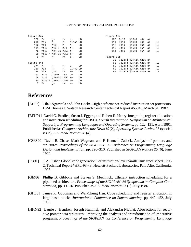| Figure 34a |            |                            |                  |           | Figure 35a |           |            |                            |                |  |    |
|------------|------------|----------------------------|------------------|-----------|------------|-----------|------------|----------------------------|----------------|--|----|
|            | $372$ ?-   |                            | j-               | $r-$ a-   |            | LB        |            | 107 ?c10                   | $116+8$ r64 a+ |  |    |
|            | 218        | ?a5                        | $j-$             | $r-$      | aInsp LB   |           |            | 111 ?c10                   | $116+8$ r64 a+ |  | LB |
|            | 182        | ?b8                        | j16              | $r a+$    |            | LВ        |            | 112 ?c10                   | $116+8$ r64 a+ |  | ГC |
|            | 111 ?c10   |                            | $116+8$ r64 a+   |           |            | LB        |            | 113 ?c10                   | $116+8$ r64 a+ |  | LD |
|            |            | 76 ?c13                    | i2K+2K r256 a+   |           |            | $L$ B     |            | 114 ?c10                   | $116+8$ r64 a+ |  | LЕ |
|            |            | 58 ?c13:4 j2K+2K r256 a+   |                  |           |            | <b>LB</b> |            |                            |                |  |    |
|            | $5 \t2+$   |                            | $\mathbf{i}$ +   | $r+$ $a+$ |            | LВ        | Figure 35b |                            |                |  |    |
|            |            |                            |                  |           |            |           |            | 35 ?c13:4 j2K+2K r256 a+   |                |  |    |
|            | Figure 34b |                            |                  |           |            |           | 58         | ?c13:4 j2K+2K r256 a+      |                |  | LB |
|            | $374$ ?-   |                            | $j-$             | $r-$ a-   |            | LD        | 59         | ?c13:4 j2K+2K r256 a+      |                |  | LC |
|            | 220 ?a5    |                            | $j-$             | $r-$      | aInsp LD   |           | 60 -       | ?c13:4 j2K+2K r256 a+      |                |  | LD |
|            | 184        | ?b8                        | $\overline{116}$ | $r a+$    |            | LD        |            | 61 ?c13:4 $j2K+2K$ r256 a+ |                |  | LE |
|            | 113 ?c10   |                            | $116+8$ r64 a+   |           |            | LD        |            |                            |                |  |    |
|            |            | 78 ?c13                    | i2K+2K r256 a+   |           |            | LD        |            |                            |                |  |    |
|            |            | 60 ?c13:4 $j2K+2K$ r256 a+ |                  |           |            | LD        |            |                            |                |  |    |
|            |            | $7 \t2+$                   | $j+$             | $r$ +     | $a+$       | LD        |            |                            |                |  |    |

| Fiqure 35a |     |                          |                       |     |      |    |  |  |
|------------|-----|--------------------------|-----------------------|-----|------|----|--|--|
|            | 107 | ?c10                     | $116+8$               | r64 | $a+$ |    |  |  |
|            |     | 111 ?c10                 | $116+8$               | r64 | $a+$ | LΒ |  |  |
|            |     | 112 ?c10                 | $-16+8$               | r64 | $a+$ | LC |  |  |
|            |     | 113 ?c10                 | $-16+8$               | r64 | $a+$ | LD |  |  |
|            | 114 | 2c10                     | $116+8$               | r64 | $a+$ | LΕ |  |  |
|            |     |                          |                       |     |      |    |  |  |
| Figure 35b |     |                          |                       |     |      |    |  |  |
|            | 35  |                          | ?c13:4 j2K+2K r256 a+ |     |      |    |  |  |
|            | 58  |                          | ?c13:4 j2K+2K r256 a+ |     |      | LВ |  |  |
|            |     | 59 ?c13:4 j2K+2K r256 a+ |                       |     |      | LC |  |  |
|            |     | 60 ?c13:4 j2K+2K r256 a+ |                       |     |      | LD |  |  |
|            | 61  |                          | ?c13:4 j2K+2K r256 a+ |     |      | LΕ |  |  |
|            |     |                          |                       |     |      |    |  |  |

# **References**

- [AC87] Tilak Agarwala and John Cocke. High performance reduced instruction set processors. IBM Thomas J. Watson Research Center Technical Report #55845, March 31, 1987.
- [BEH91] David G. Bradlee, Susan J. Eggers, and Robert R. Henry. Integrating register allocation and instruction scheduling for RISCs. *Fourth International Symposium on Architectural Support for Programming Languages and Operating Systems*, pp. 122–131, April 1991. Published as *Computer Architecture News 19* (2), *Operating Systems Review 25* (special issue), *SIGPLAN Notices 26* (4).
- [CWZ90] David R. Chase, Mark Wegman, and F. Kenneth Zadeck. Analysis of pointers and structures. *Proceedings of the SIGPLAN '90 Conference on Programming Language Design and Implementation*, pp. 296–310. Published as *SIGPLAN Notices 25* (6), June 1990.
- [Fis91] J. A. Fisher. Global code generation For instruction-level parallelism: trace scheduling-2. Technical Report #HPL-93-43, Hewlett-Packard Laboratories, Palo Alto, California, 1993.
- [GM86] Phillip B. Gibbons and Steven S. Muchnick. Efficient instruction scheduling for a pipelined architecture. *Proceedings of the SIGPLAN '86 Symposium on Compiler Construction*, pp. 11–16. Published as *SIGPLAN Notices 21* (7), July 1986.
- [GH88] James R. Goodman and Wei-Chung Hsu. Code scheduling and register allocation in large basic blocks. *International Conference on Supercomputing*, pp. 442–452, July 1988.
- [HHN92] Laurie J. Hendren, Joseph Hummel, and Alexandru Nicolai. Abstractions for recursive pointer data structures: Improving the analysis and transformation of imperative programs. *Proceedings of the SIGPLAN '92 Conference on Programming Language*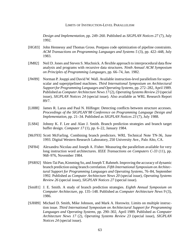*Design and Implementation*, pp. 249–260. Published as *SIGPLAN Notices 27* (7), July 1992.

- [HG83] John Hennessy and Thomas Gross. Postpass code optimization of pipeline constraints. *ACM Transactions on Programming Languages and Systems 5* (3), pp. 422–448, July 1983.
- [JM82] Neil D. Jones and Steven S. Muchnick. A flexible approach to interprocedural data flow analysis and programs with recursive data structures. *Ninth Annual ACM Symposium on Principles of Programming Languages*, pp. 66–74, Jan. 1982.
- [JW89] Norman P. Jouppi and David W. Wall. Available instruction-level parallelism for superscalar and superpipelined machines. *Third International Symposium on Architectural Support for Programming Languages and Operating Systems*, pp. 272–282, April 1989. Published as *Computer Architecture News 17* (2), *Operating Systems Review 23* (special issue), *SIGPLAN Notices 24* (special issue). Also available as WRL Research Report 89/7.
- [LH88] James R. Larus and Paul N. Hilfinger. Detecting conflicts between structure accesses. *Proceedings of the SIGPLAN'88 Conference on Programming Language Design and Implementation*, pp. 21–34. Published as *SIGPLAN Notices 23* (7), July 1988.
- [LS84] Johnny K. F. Lee and Alan J. Smith. Branch prediction strategies and branch target buffer design. *Computer 17* (1), pp. 6–22, January 1984.
- [McF93] Scott McFarling. Combining branch predictors. WRL Technical Note TN-36, June 1993. Digital Western Research Laboratory, 250 University Ave., Palo Alto, CA.
- [NF84] Alexandru Nicolau and Joseph A. Fisher. Measuring the parallelism available for very long instruction word architectures. *IEEE Transactions on Computers C-33* (11), pp. 968–976, November 1984.
- [PSR92] Shien-Tai Pan, Kimming So, and Joseph T. Rahmeh. Improving the accuracy of dynamic branch prediction using branch correlation. *Fifth International Symposium on Architectural Support for Programming Languages and Operating Systems*, 76–84, September 1992. Published as *Computer Architecture News 20* (special issue), *Operating Systems Review 26* (special issue), *SIGPLAN Notices 27* (special issue).
- [Smi81] J. E. Smith. A study of branch prediction strategies. *Eighth Annual Symposium on Computer Architecture*, pp. 135–148. Published as *Computer Architecture News 9* (3), 1986.
- [SJH89] Michael D. Smith, Mike Johnson, and Mark A. Horowitz. Limits on multiple instruction issue. *Third International Symposium on Architectural Support for Programming Languages and Operating Systems*, pp. 290–302, April 1989. Published as *Computer Architecture News 17* (2), *Operating Systems Review 23* (special issue), *SIGPLAN Notices 24* (special issue).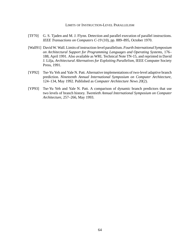- [TF70] G. S. Tjaden and M. J. Flynn. Detection and parallel execution of parallel instructions. *IEEE Transactions on Computers C-19* (10), pp. 889–895, October 1970.
- [Wall91] David W. Wall. Limits of instruction-level parallelism. *Fourth International Symposium on Architectural Support for Programming Languages and Operating Systems*, 176– 188, April 1991. Also available as WRL Technical Note TN-15, and reprinted in David J. Lilja, *Architectural Alternatives for Exploiting Parallelism*, IEEE Computer Society Press, 1991.
- [YP92] Tse-Yu Yeh and Yale N. Patt. Alternative implementations of two-level adaptive branch prediction. *Nineteenth Annual International Symposium on Computer Architecture*, 124–134, May 1992. Published as *Computer Architecture News 20*(2).
- [YP93] Tse-Yu Yeh and Yale N. Patt. A comparison of dynamic branch predictors that use two levels of branch history. *Twentieth Annual International Symposium on Computer Architecture*, 257–266, May 1993.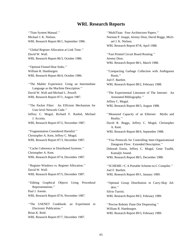## **WRL Research Reports**

''Titan System Manual.'' ''MultiTitan: Four Architecture Papers.'' WRL Research Report 86/1, September 1986. ael J. K. Nielsen.

''Global Register Allocation at Link Time.'' David W. Wall. ''Fast Printed Circuit Board Routing.'' WRL Research Report 86/3, October 1986. Jeremy Dion.

''Optimal Finned Heat Sinks.'' WRL Research Report 86/4, October 1986. Roots.''

''The Mahler Experience: Using an Intermediate WRL Research Report 88/2, February 1988. Language as the Machine Description.'' WRL Research Report 87/1, August 1987. Annotated Bibliography.''

''The Packet Filter: An Efficient Mechanism for WRL Research Report 88/3, August 1988. User-level Network Code.''

J. Accetta. Reality.''

Christopher A. Kent, Jeffrey C. Mogul.

Christopher A. Kent. Kamaljit Anand.

David W. Wall. Joel F. Bartlett.

Representations.'' ders.'' Paul J. Asente. Silvio Turrini.

''The USENET Cookbook: an Experiment in ''Precise Robotic Paste Dot Dispensing.'' Electronic Publication.'' William R. Hamburgen. Brian K. Reid. WRL Research Report 89/3, February 1989. WRL Research Report 87/7, December 1987.

Michael J. K. Nielsen. Norman P. Jouppi, Jeremy Dion, David Boggs, Mich-WRL Research Report 87/8, April 1988. WRL Research Report 88/1, March 1988. William R. Hamburgen. The Compacting Garbage Collection with Ambiguous Joel F. Bartlett. David W. Wall and Michael L. Powell. ''The Experimental Literature of The Internet: An Jeffrey C. Mogul. Jeffrey C. Mogul, Richard F. Rashid, Michael ''Measured Capacity of an Ethernet: Myths and WRL Research Report 87/2, November 1987. David R. Boggs, Jeffrey C. Mogul, Christopher A. Kent. ''Fragmentation Considered Harmful.'' WRL Research Report 88/4, September 1988. WRL Research Report 87/3, December 1987. **''Visa Protocols for Controlling Inter-Organizational** Datagram Flow: Extended Description.'' ''Cache Coherence in Distributed Systems.'' Deborah Estrin, Jeffrey C. Mogul, Gene Tsudik, WRL Research Report 87/4, December 1987. WRL Research Report 88/5, December 1988. ''Register Windows vs. Register Allocation.'' ''SCHEME->C A Portable Scheme-to-C Compiler.'' WRL Research Report 87/5, December 1987. WRL Research Report 89/1, January 1989. ''Editing Graphical Objects Using Procedural ''Optimal Group Distribution in Carry-Skip Ad-WRL Research Report 87/6, November 1987. WRL Research Report 89/2, February 1989.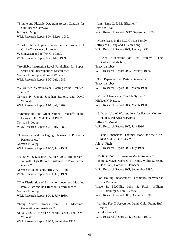''Simple and Flexible Datagram Access Controls for ''Link-Time Code Modification.'' Unix-based Gateways.'' David W. Wall. Jeffrey C. Mogul. WRL Research Report 89/17, September 1989. WRL Research Report 89/4, March 1989.

''Spritely NFS: Implementation and Performance of Jeffrey Y.F. Tang and J. Leon Yang. Cache-Consistency Protocols.'' WRL Research Report 90/1, January 1990. V. Srinivasan and Jeffrey C. Mogul. WRL Research Report 89/5, May 1989. ''Efficient Generation of Test Patterns Using

''Available Instruction-Level Parallelism for Super- Tracy Larrabee. scalar and Superpipelined Machines.'' WRL Research Report 90/2, February 1990. Norman P. Jouppi and David W. Wall. WRL Research Report 89/7, July 1989. ''Two Papers on Test Pattern Generation.''

- ''A Unified Vector/Scalar Floating-Point Architec- WRL Research Report 90/3, March 1990. ture.''
- Norman P. Jouppi, Jonathan Bertoni, and David ''Virtual Memory vs. The File System.'' W. Wall. Michael N. Nelson.

Design of the MultiTitan CPU." ing of Local Area Networks." Norman P. Jouppi. Jeffrey C. Mogul. WRL Research Report 89/9, July 1989. WRL Research Report 90/5, July 1990.

''Integration and Packaging Plateaus of Processor ''A One-Dimensional Thermal Model for the VAX Performance.'' 9000 Multi Chip Units.'' Norman P. Jouppi. John S. Fitch. WRL Research Report 89/10, July 1989. WRL Research Report 90/6, July 1990.

''A 20-MIPS Sustained 32-bit CMOS Microproces- ''1990 DECWRL/Livermore Magic Release.'' mance.'' Don Stark, Gordon T. Hamachi.

WRL Research Report 89/11, July 1989.

''The Distribution of Instruction-Level and Machine Low Pressure.'' Norman P. Jouppi. **R. Hamburgen, Van P. Carey.** 

- Generation and Analysis." fers."
- Anita Borg, R.E.Kessler, Georgia Lazana, and David Joel McCormack. W. Wall. WRL Research Report 91/1, February 1991.

WRL Research Report 89/14, September 1989.

''Noise Issues in the ECL Circuit Family.''

Boolean Satisfiablilty.''

Tracy Larrabee.

WRL Research Report 89/8, July 1989. WRL Research Report 90/4, March 1990.

''Architectural and Organizational Tradeoffs in the ''Efficient Use of Workstations for Passive Monitor-

sor with High Ratio of Sustained to Peak Perfor-<br>Robert N. Mayo, Michael H. Arnold, Walter S. Scott, Norman P. Jouppi and Jeffrey Y. F. Tang. WRL Research Report 90/7, September 1990.

''Pool Boiling Enhancement Techniques for Water at

Parallelism and Its Effect on Performance.'' Wade R. McGillis, John S. Fitch, William

WRL Research Report 89/13, July 1989. WRL Research Report 90/9, December 1990.

''Long Address Traces from RISC Machines: ''Writing Fast X Servers for Dumb Color Frame Buf-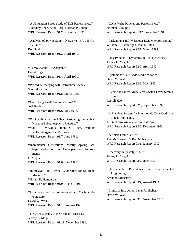''A Simulation Based Study of TLB Performance.'' ''Cache Write Policies and Performance.'' J. Bradley Chen, Anita Borg, Norman P. Jouppi. Norman P. Jouppi. WRL Research Report 91/2, November 1991. WRL Research Report 91/12, December 1991.

cuits.'' William R. Hamburgen, John S. Fitch. Don Stark. WRL Research Report 92/1, March 1992. WRL Research Report 91/3, April 1991.

WRL Research Report 92/2, April 1992. ''TurboChannel T1 Adapter.'' David Boggs.<br>
WRL Research Report 91/4, April 1991. 
'Systems for Late Code Modification.''<br>
David W. Wall.

WRL Research Report 92/3, May 1992. ''Procedure Merging with Instruction Caches.''

Russell Kao. ''Don't Fidget with Widgets, Draw!.'' WRL Research Report 92/5, September 1992. Joel Bartlett.

```
"Pool Boiling on Small Heat Dissipating Elements in tion at Link-Time."
```
Wade R. McGillis, John S. Fitch, William R. Hamburgen, Van P. Carey.<br>
WRL Research Report 91/7, June 1991. <sup>''</sup>A Smart Frame Buffer.''<br>
Joel McCormack & Bob McNamara.

WRL Research Report 93/1, January 1993. ''Incremental, Generational Mostly-Copying Garbage Collection in Uncooperative Environ-<br>
"Recovery in Spritely NFS."<br>
Jeffrey C. Mogul.

William R. Hamburgen.<br>WRL Research Report 91/9, August 1991. WRL Research Report 93/4, August 1993.

''Limits of Instruction-Level Parallelism.'' ''Experience with a Software-defined Machine Ar- David W. Wall. chitecture.'' WRL Research Report 93/6, November 1993. David W. Wall. WRL Research Report 91/10, August 1991.

''Network Locality at the Scale of Processes.'' Jeffrey C. Mogul. WRL Research Report 91/11, November 1991.

''Analysis of Power Supply Networks in VLSI Cir- ''Packaging a 150 W Bipolar ECL Microprocessor.''

''Observing TCP Dynamics in Real Networks.'' Jeffrey C. Mogul.

Scott McFarling.<br>
WRL Research Report 91/5, March 1991.<br>
tion.'' Chinear Models for Switch-Level Simula-<br>
tion.''

WRL Research Report 91/6, May 1991.<br>
"A Practical System for Intermodule Code Optimiza-Water at Subatmospheric Pressure.'' Amitabh Srivastava and David W. Wall.<br>
de B. McGillis John S. Eitch William WRL Research Report 92/6, December 1992.

G. May Yip.<br>WRL Research Report 91/8, June 1991. WRL Research Report 93/2, June 1993.

''Interleaved Fin Thermal Connectors for Multichip ''Unreachable Procedures in Object-oriented Programing.'' Amitabh Srivastava.